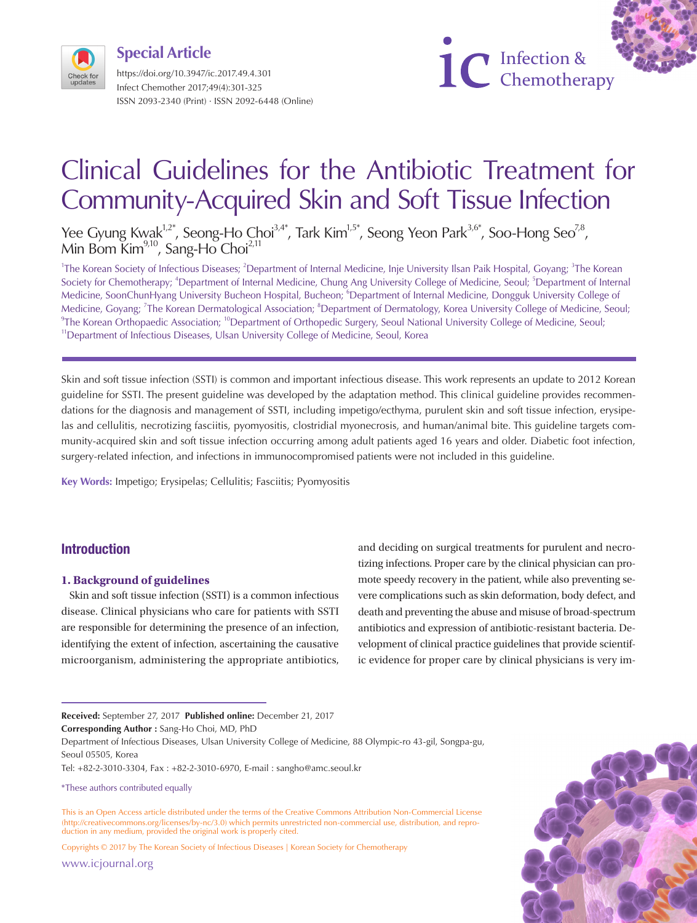

**Special Article**

https://doi.org/10.3947/ic.2017.49.4.301<br>Infect Chemother 2017:49/4):301-325 Infect Chemother 2017;49(4):301-325 ISSN 2093-2340 (Print) · ISSN 2092-6448 (Online)





# Clinical Guidelines for the Antibiotic Treatment for Community-Acquired Skin and Soft Tissue Infection

Yee Gyung Kwak<sup>1,2\*</sup>, Seong-Ho Choi<sup>3,4\*</sup>, Tark Kim<sup>1,5\*</sup>, Seong Yeon Park<sup>3,6\*</sup>, Soo-Hong Seo<sup>7,8</sup>, Min Bom Kim<sup>9,10</sup>, Sang-Ho Choi<sup>2,11</sup>

<sup>1</sup>The Korean Society of Infectious Diseases; <sup>2</sup>Department of Internal Medicine, Inje University Ilsan Paik Hospital, Goyang; <sup>3</sup>The Korean Society for Chemotherapy; <sup>4</sup>Department of Internal Medicine, Chung Ang University College of Medicine, Seoul; <sup>5</sup>Department of Internal Medicine, SoonChunHyang University Bucheon Hospital, Bucheon; <sup>6</sup>Department of Internal Medicine, Dongguk University College of Medicine, Goyang; <sup>7</sup>The Korean Dermatological Association; <sup>8</sup>Department of Dermatology, Korea University College of Medicine, Seoul;<br><sup>9</sup>The Korean Orthopaedic Association: <sup>10</sup>Department of Orthopaelic Surgery, Seoul Nat <sup>9</sup>The Korean Orthopaedic Association; <sup>10</sup>Department of Orthopedic Surgery, Seoul National University College of Medicine, Seoul; <sup>11</sup>Department of Infectious Diseases, Ulsan University College of Medicine, Seoul, Korea

Skin and soft tissue infection (SSTI) is common and important infectious disease. This work represents an update to 2012 Korean guideline for SSTI. The present guideline was developed by the adaptation method. This clinical guideline provides recommendations for the diagnosis and management of SSTI, including impetigo/ecthyma, purulent skin and soft tissue infection, erysipelas and cellulitis, necrotizing fasciitis, pyomyositis, clostridial myonecrosis, and human/animal bite. This guideline targets community-acquired skin and soft tissue infection occurring among adult patients aged 16 years and older. Diabetic foot infection, surgery-related infection, and infections in immunocompromised patients were not included in this guideline.

**Key Words:** Impetigo; Erysipelas; Cellulitis; Fasciitis; Pyomyositis

# **Introduction**

### **1. Background of guidelines**

Skin and soft tissue infection (SSTI) is a common infectious disease. Clinical physicians who care for patients with SSTI are responsible for determining the presence of an infection, identifying the extent of infection, ascertaining the causative microorganism, administering the appropriate antibiotics,

and deciding on surgical treatments for purulent and necrotizing infections. Proper care by the clinical physician can promote speedy recovery in the patient, while also preventing severe complications such as skin deformation, body defect, and death and preventing the abuse and misuse of broad-spectrum antibiotics and expression of antibiotic-resistant bacteria. Development of clinical practice guidelines that provide scientific evidence for proper care by clinical physicians is very im-

**Corresponding Author :** Sang-Ho Choi, MD, PhD

\*These authors contributed equally

This is an Open Access article distributed under the terms of the Creative Commons Attribution Non-Commercial License (http://creativecommons.org/licenses/by-nc/3.0) which permits unrestricted non-commercial use, distribution, and reproduction in any medium, provided the original work is properly cited.

Copyrights © 2017 by The Korean Society of Infectious Diseases | Korean Society for Chemotherapy

www.icjournal.org



**Received:** September 27, 2017 **Published online:** December 21, 2017

Department of Infectious Diseases, Ulsan University College of Medicine, 88 Olympic-ro 43-gil, Songpa-gu, Seoul 05505, Korea

Tel: +82-2-3010-3304, Fax : +82-2-3010-6970, E-mail : sangho@amc.seoul.kr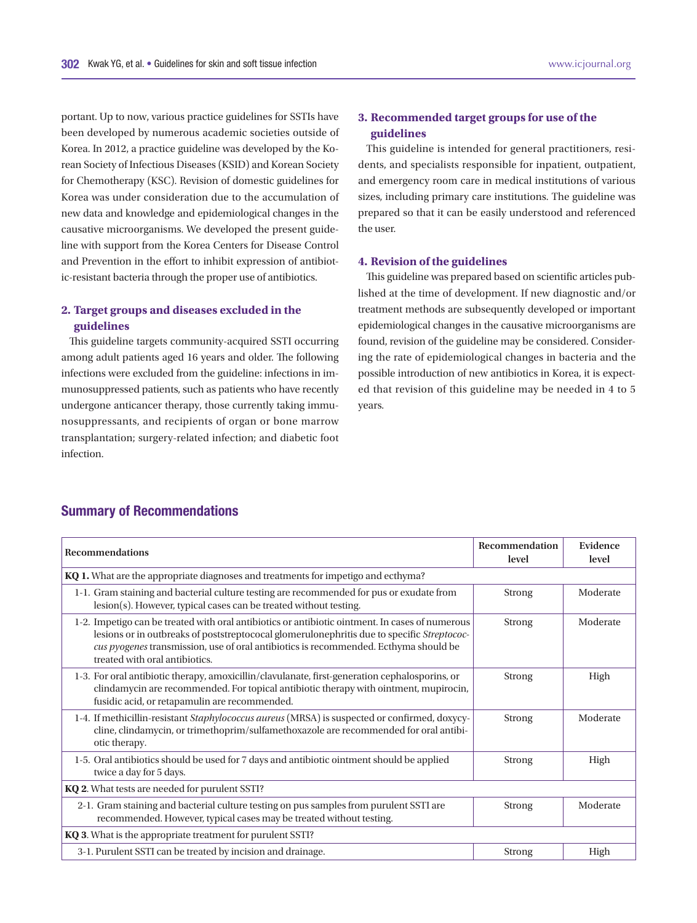portant. Up to now, various practice guidelines for SSTIs have been developed by numerous academic societies outside of Korea. In 2012, a practice guideline was developed by the Korean Society of Infectious Diseases (KSID) and Korean Society for Chemotherapy (KSC). Revision of domestic guidelines for Korea was under consideration due to the accumulation of new data and knowledge and epidemiological changes in the causative microorganisms. We developed the present guideline with support from the Korea Centers for Disease Control and Prevention in the effort to inhibit expression of antibiotic-resistant bacteria through the proper use of antibiotics.

# **2. Target groups and diseases excluded in the guidelines**

This guideline targets community-acquired SSTI occurring among adult patients aged 16 years and older. The following infections were excluded from the guideline: infections in immunosuppressed patients, such as patients who have recently undergone anticancer therapy, those currently taking immunosuppressants, and recipients of organ or bone marrow transplantation; surgery-related infection; and diabetic foot infection.

# **3. Recommended target groups for use of the guidelines**

This guideline is intended for general practitioners, residents, and specialists responsible for inpatient, outpatient, and emergency room care in medical institutions of various sizes, including primary care institutions. The guideline was prepared so that it can be easily understood and referenced the user.

### **4. Revision of the guidelines**

This guideline was prepared based on scientific articles published at the time of development. If new diagnostic and/or treatment methods are subsequently developed or important epidemiological changes in the causative microorganisms are found, revision of the guideline may be considered. Considering the rate of epidemiological changes in bacteria and the possible introduction of new antibiotics in Korea, it is expected that revision of this guideline may be needed in 4 to 5 years.

| <b>Recommendations</b>                                                                                                                                                                                                                                                                                                  | Recommendation<br>level | Evidence<br>level |  |  |
|-------------------------------------------------------------------------------------------------------------------------------------------------------------------------------------------------------------------------------------------------------------------------------------------------------------------------|-------------------------|-------------------|--|--|
| KQ 1. What are the appropriate diagnoses and treatments for impetigo and ecthyma?                                                                                                                                                                                                                                       |                         |                   |  |  |
| 1-1. Gram staining and bacterial culture testing are recommended for pus or exudate from<br>lesion(s). However, typical cases can be treated without testing.                                                                                                                                                           | Strong                  | Moderate          |  |  |
| 1-2. Impetigo can be treated with oral antibiotics or antibiotic ointment. In cases of numerous<br>lesions or in outbreaks of poststreptococal glomerulonephritis due to specific Streptococ-<br>cus pyogenes transmission, use of oral antibiotics is recommended. Ecthyma should be<br>treated with oral antibiotics. | <b>Strong</b>           | Moderate          |  |  |
| 1-3. For oral antibiotic therapy, amoxicillin/clavulanate, first-generation cephalosporins, or<br>clindamycin are recommended. For topical antibiotic therapy with ointment, mupirocin,<br>fusidic acid, or retapamulin are recommended.                                                                                | Strong                  | High              |  |  |
| 1-4. If methicillin-resistant Staphylococcus aureus (MRSA) is suspected or confirmed, doxycy-<br>cline, clindamycin, or trimethoprim/sulfamethoxazole are recommended for oral antibi-<br>otic therapy.                                                                                                                 | Strong                  | Moderate          |  |  |
| 1-5. Oral antibiotics should be used for 7 days and antibiotic ointment should be applied<br>twice a day for 5 days.                                                                                                                                                                                                    | <b>Strong</b>           | High              |  |  |
| KQ 2. What tests are needed for purulent SSTI?                                                                                                                                                                                                                                                                          |                         |                   |  |  |
| 2-1. Gram staining and bacterial culture testing on pus samples from purulent SSTI are<br>recommended. However, typical cases may be treated without testing.                                                                                                                                                           | <b>Strong</b>           | Moderate          |  |  |
| KQ 3. What is the appropriate treatment for purulent SSTI?                                                                                                                                                                                                                                                              |                         |                   |  |  |
| 3-1. Purulent SSTI can be treated by incision and drainage.                                                                                                                                                                                                                                                             | Strong                  | High              |  |  |

# **Summary of Recommendations**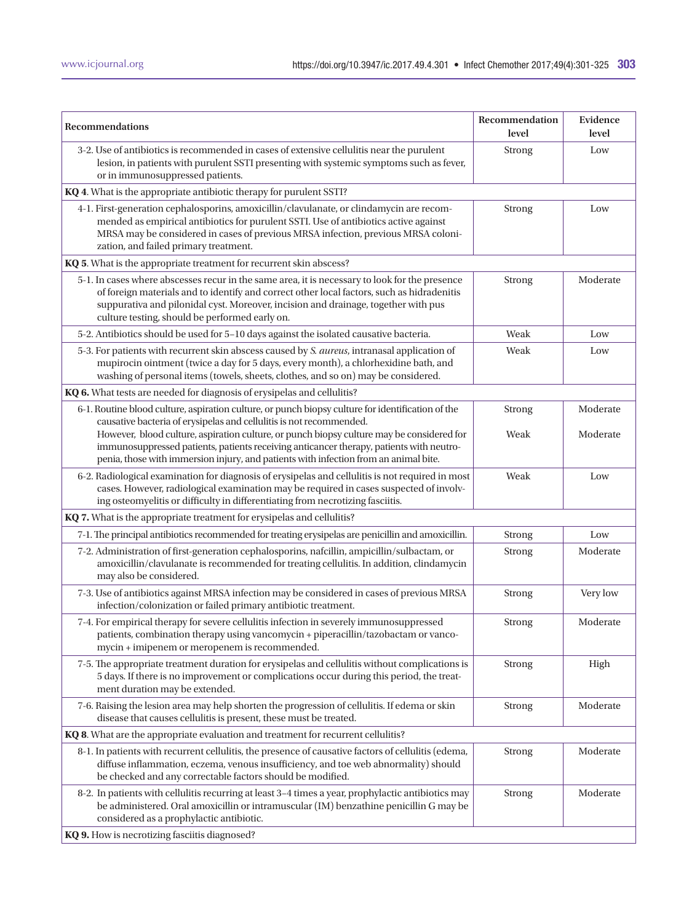| <b>Recommendations</b>                                                                                                                                                                                                                                                                                                                                                                                                                                   | Recommendation<br>level | Evidence<br>level    |
|----------------------------------------------------------------------------------------------------------------------------------------------------------------------------------------------------------------------------------------------------------------------------------------------------------------------------------------------------------------------------------------------------------------------------------------------------------|-------------------------|----------------------|
| 3-2. Use of antibiotics is recommended in cases of extensive cellulitis near the purulent<br>lesion, in patients with purulent SSTI presenting with systemic symptoms such as fever,<br>or in immunosuppressed patients.                                                                                                                                                                                                                                 | Strong                  | Low                  |
| KQ 4. What is the appropriate antibiotic therapy for purulent SSTI?                                                                                                                                                                                                                                                                                                                                                                                      |                         |                      |
| 4-1. First-generation cephalosporins, amoxicillin/clavulanate, or clindamycin are recom-<br>mended as empirical antibiotics for purulent SSTI. Use of antibiotics active against<br>MRSA may be considered in cases of previous MRSA infection, previous MRSA coloni-<br>zation, and failed primary treatment.                                                                                                                                           | Strong                  | Low                  |
| KQ 5. What is the appropriate treatment for recurrent skin abscess?                                                                                                                                                                                                                                                                                                                                                                                      |                         |                      |
| 5-1. In cases where abscesses recur in the same area, it is necessary to look for the presence<br>of foreign materials and to identify and correct other local factors, such as hidradenitis<br>suppurativa and pilonidal cyst. Moreover, incision and drainage, together with pus<br>culture testing, should be performed early on.                                                                                                                     | Strong                  | Moderate             |
| 5-2. Antibiotics should be used for 5-10 days against the isolated causative bacteria.                                                                                                                                                                                                                                                                                                                                                                   | Weak                    | Low                  |
| 5-3. For patients with recurrent skin abscess caused by S. aureus, intranasal application of<br>mupirocin ointment (twice a day for 5 days, every month), a chlorhexidine bath, and<br>washing of personal items (towels, sheets, clothes, and so on) may be considered.                                                                                                                                                                                 | Weak                    | Low                  |
| KQ 6. What tests are needed for diagnosis of erysipelas and cellulitis?                                                                                                                                                                                                                                                                                                                                                                                  |                         |                      |
| 6-1. Routine blood culture, aspiration culture, or punch biopsy culture for identification of the<br>causative bacteria of erysipelas and cellulitis is not recommended.<br>However, blood culture, aspiration culture, or punch biopsy culture may be considered for<br>immunosuppressed patients, patients receiving anticancer therapy, patients with neutro-<br>penia, those with immersion injury, and patients with infection from an animal bite. | Strong<br>Weak          | Moderate<br>Moderate |
| 6-2. Radiological examination for diagnosis of erysipelas and cellulitis is not required in most<br>cases. However, radiological examination may be required in cases suspected of involv-<br>ing osteomyelitis or difficulty in differentiating from necrotizing fasciitis.                                                                                                                                                                             | Weak                    | Low                  |
| KQ 7. What is the appropriate treatment for erysipelas and cellulitis?                                                                                                                                                                                                                                                                                                                                                                                   |                         |                      |
| 7-1. The principal antibiotics recommended for treating erysipelas are penicillin and amoxicillin.                                                                                                                                                                                                                                                                                                                                                       | Strong                  | Low                  |
| 7-2. Administration of first-generation cephalosporins, nafcillin, ampicillin/sulbactam, or<br>amoxicillin/clavulanate is recommended for treating cellulitis. In addition, clindamycin<br>may also be considered.                                                                                                                                                                                                                                       | Strong                  | Moderate             |
| 7-3. Use of antibiotics against MRSA infection may be considered in cases of previous MRSA<br>infection/colonization or failed primary antibiotic treatment.                                                                                                                                                                                                                                                                                             | Strong                  | Very low             |
| 7-4. For empirical therapy for severe cellulitis infection in severely immunosuppressed<br>patients, combination therapy using vancomycin + piperacillin/tazobactam or vanco-<br>mycin + imipenem or meropenem is recommended.                                                                                                                                                                                                                           | Strong                  | Moderate             |
| 7-5. The appropriate treatment duration for erysipelas and cellulitis without complications is<br>5 days. If there is no improvement or complications occur during this period, the treat-<br>ment duration may be extended.                                                                                                                                                                                                                             | Strong                  | High                 |
| 7-6. Raising the lesion area may help shorten the progression of cellulitis. If edema or skin<br>disease that causes cellulitis is present, these must be treated.                                                                                                                                                                                                                                                                                       | <b>Strong</b>           | Moderate             |
| KQ 8. What are the appropriate evaluation and treatment for recurrent cellulitis?                                                                                                                                                                                                                                                                                                                                                                        |                         |                      |
| 8-1. In patients with recurrent cellulitis, the presence of causative factors of cellulitis (edema,<br>diffuse inflammation, eczema, venous insufficiency, and toe web abnormality) should<br>be checked and any correctable factors should be modified.                                                                                                                                                                                                 | Strong                  | Moderate             |
| 8-2. In patients with cellulitis recurring at least 3-4 times a year, prophylactic antibiotics may<br>be administered. Oral amoxicillin or intramuscular (IM) benzathine penicillin G may be<br>considered as a prophylactic antibiotic.                                                                                                                                                                                                                 | Strong                  | Moderate             |
| KQ 9. How is necrotizing fasciitis diagnosed?                                                                                                                                                                                                                                                                                                                                                                                                            |                         |                      |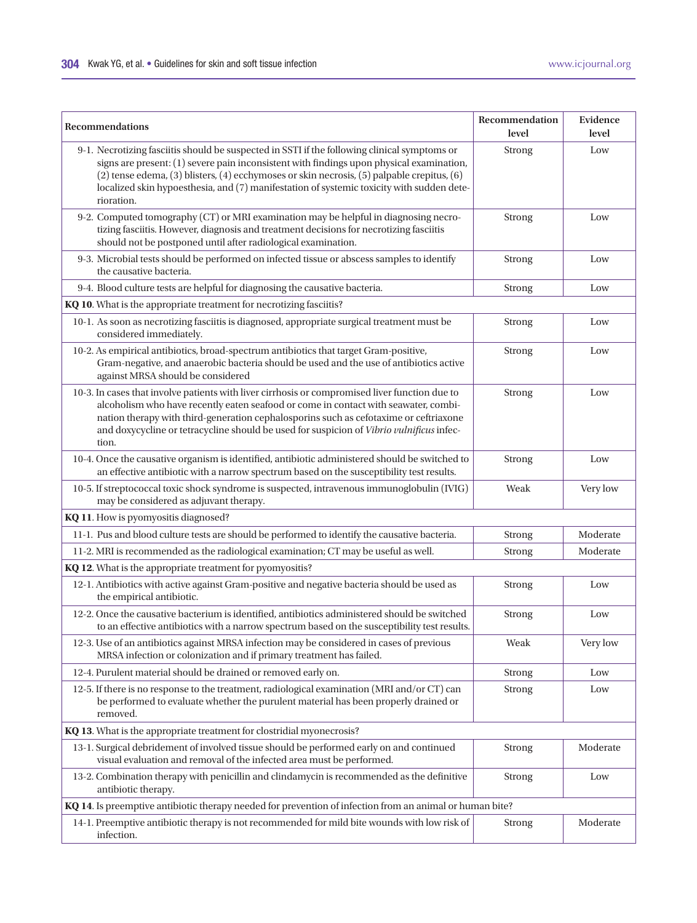| Recommendations                                                                                                                                                                                                                                                                                                                                                                                   | Recommendation<br>level | Evidence<br>level |  |  |
|---------------------------------------------------------------------------------------------------------------------------------------------------------------------------------------------------------------------------------------------------------------------------------------------------------------------------------------------------------------------------------------------------|-------------------------|-------------------|--|--|
| 9-1. Necrotizing fasciitis should be suspected in SSTI if the following clinical symptoms or<br>signs are present: (1) severe pain inconsistent with findings upon physical examination,<br>(2) tense edema, (3) blisters, (4) ecchymoses or skin necrosis, (5) palpable crepitus, (6)<br>localized skin hypoesthesia, and (7) manifestation of systemic toxicity with sudden dete-<br>rioration. | Strong                  | Low               |  |  |
| 9-2. Computed tomography (CT) or MRI examination may be helpful in diagnosing necro-<br>tizing fasciitis. However, diagnosis and treatment decisions for necrotizing fasciitis<br>should not be postponed until after radiological examination.                                                                                                                                                   | Strong                  | Low               |  |  |
| 9-3. Microbial tests should be performed on infected tissue or abscess samples to identify<br>the causative bacteria.                                                                                                                                                                                                                                                                             | Strong                  | Low               |  |  |
| 9-4. Blood culture tests are helpful for diagnosing the causative bacteria.                                                                                                                                                                                                                                                                                                                       | Strong                  | Low               |  |  |
| KQ 10. What is the appropriate treatment for necrotizing fasciitis?                                                                                                                                                                                                                                                                                                                               |                         |                   |  |  |
| 10-1. As soon as necrotizing fasciitis is diagnosed, appropriate surgical treatment must be<br>considered immediately.                                                                                                                                                                                                                                                                            | <b>Strong</b>           | Low               |  |  |
| 10-2. As empirical antibiotics, broad-spectrum antibiotics that target Gram-positive,<br>Gram-negative, and anaerobic bacteria should be used and the use of antibiotics active<br>against MRSA should be considered                                                                                                                                                                              | Strong                  | Low               |  |  |
| 10-3. In cases that involve patients with liver cirrhosis or compromised liver function due to<br>alcoholism who have recently eaten seafood or come in contact with seawater, combi-<br>nation therapy with third-generation cephalosporins such as cefotaxime or ceftriaxone<br>and doxycycline or tetracycline should be used for suspicion of Vibrio vulnificus infec-<br>tion.               | Strong                  | Low               |  |  |
| 10-4. Once the causative organism is identified, antibiotic administered should be switched to<br>an effective antibiotic with a narrow spectrum based on the susceptibility test results.                                                                                                                                                                                                        | Strong                  | Low               |  |  |
| 10-5. If streptococcal toxic shock syndrome is suspected, intravenous immunoglobulin (IVIG)<br>may be considered as adjuvant therapy.                                                                                                                                                                                                                                                             | Weak                    | Very low          |  |  |
| KQ 11. How is pyomyositis diagnosed?                                                                                                                                                                                                                                                                                                                                                              |                         |                   |  |  |
| 11-1. Pus and blood culture tests are should be performed to identify the causative bacteria.                                                                                                                                                                                                                                                                                                     | Strong                  | Moderate          |  |  |
| 11-2. MRI is recommended as the radiological examination; CT may be useful as well.                                                                                                                                                                                                                                                                                                               | Strong                  | Moderate          |  |  |
| KQ 12. What is the appropriate treatment for pyomyositis?                                                                                                                                                                                                                                                                                                                                         |                         |                   |  |  |
| 12-1. Antibiotics with active against Gram-positive and negative bacteria should be used as<br>the empirical antibiotic.                                                                                                                                                                                                                                                                          | Strong                  | Low               |  |  |
| 12-2. Once the causative bacterium is identified, antibiotics administered should be switched<br>to an effective antibiotics with a narrow spectrum based on the susceptibility test results.                                                                                                                                                                                                     | Strong                  | Low               |  |  |
| 12-3. Use of an antibiotics against MRSA infection may be considered in cases of previous<br>MRSA infection or colonization and if primary treatment has failed.                                                                                                                                                                                                                                  | Weak                    | Very low          |  |  |
| 12-4. Purulent material should be drained or removed early on.                                                                                                                                                                                                                                                                                                                                    | Strong                  | Low               |  |  |
| 12-5. If there is no response to the treatment, radiological examination (MRI and/or CT) can<br>be performed to evaluate whether the purulent material has been properly drained or<br>removed.                                                                                                                                                                                                   | Strong                  | Low               |  |  |
| KQ 13. What is the appropriate treatment for clostridial myonecrosis?                                                                                                                                                                                                                                                                                                                             |                         |                   |  |  |
| 13-1. Surgical debridement of involved tissue should be performed early on and continued<br>visual evaluation and removal of the infected area must be performed.                                                                                                                                                                                                                                 | <b>Strong</b>           | Moderate          |  |  |
| 13-2. Combination therapy with penicillin and clindamycin is recommended as the definitive<br>antibiotic therapy.                                                                                                                                                                                                                                                                                 | Strong                  | Low               |  |  |
| KQ 14. Is preemptive antibiotic therapy needed for prevention of infection from an animal or human bite?                                                                                                                                                                                                                                                                                          |                         |                   |  |  |
| 14-1. Preemptive antibiotic therapy is not recommended for mild bite wounds with low risk of<br>infection.                                                                                                                                                                                                                                                                                        | <b>Strong</b>           | Moderate          |  |  |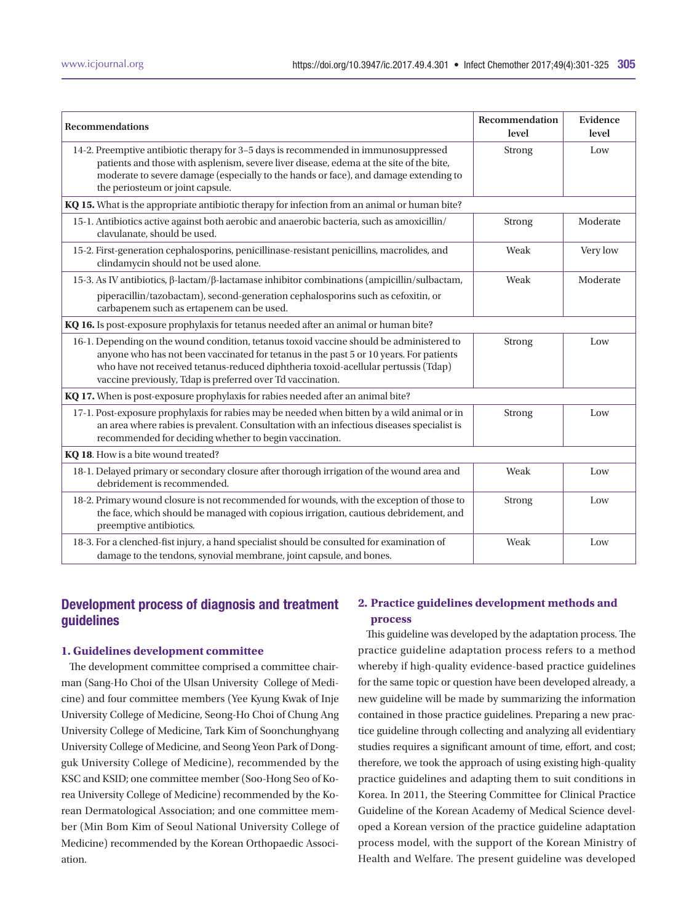| <b>Recommendations</b>                                                                                                                                                                                                                                                                                                                 | Recommendation<br>level | Evidence<br>level |
|----------------------------------------------------------------------------------------------------------------------------------------------------------------------------------------------------------------------------------------------------------------------------------------------------------------------------------------|-------------------------|-------------------|
| 14-2. Preemptive antibiotic therapy for 3-5 days is recommended in immunosuppressed<br>patients and those with asplenism, severe liver disease, edema at the site of the bite,<br>moderate to severe damage (especially to the hands or face), and damage extending to<br>the periosteum or joint capsule.                             | <b>Strong</b>           | Low               |
| KQ 15. What is the appropriate antibiotic therapy for infection from an animal or human bite?                                                                                                                                                                                                                                          |                         |                   |
| 15-1. Antibiotics active against both aerobic and anaerobic bacteria, such as amoxicillin/<br>clavulanate, should be used.                                                                                                                                                                                                             | <b>Strong</b>           | Moderate          |
| 15-2. First-generation cephalosporins, penicillinase-resistant penicillins, macrolides, and<br>clindamycin should not be used alone.                                                                                                                                                                                                   | Weak                    | Very low          |
| 15-3. As IV antibiotics, β-lactam/β-lactamase inhibitor combinations (ampicillin/sulbactam,                                                                                                                                                                                                                                            | Weak                    | Moderate          |
| piperacillin/tazobactam), second-generation cephalosporins such as cefoxitin, or<br>carbapenem such as ertapenem can be used.                                                                                                                                                                                                          |                         |                   |
| KQ 16. Is post-exposure prophylaxis for tetanus needed after an animal or human bite?                                                                                                                                                                                                                                                  |                         |                   |
| 16-1. Depending on the wound condition, tetanus toxoid vaccine should be administered to<br>anyone who has not been vaccinated for tetanus in the past 5 or 10 years. For patients<br>who have not received tetanus-reduced diphtheria toxoid-acellular pertussis (Tdap)<br>vaccine previously, Tdap is preferred over Td vaccination. | <b>Strong</b>           | Low               |
| KQ 17. When is post-exposure prophylaxis for rabies needed after an animal bite?                                                                                                                                                                                                                                                       |                         |                   |
| 17-1. Post-exposure prophylaxis for rabies may be needed when bitten by a wild animal or in<br>an area where rabies is prevalent. Consultation with an infectious diseases specialist is<br>recommended for deciding whether to begin vaccination.                                                                                     | Strong                  | Low               |
| KQ 18. How is a bite wound treated?                                                                                                                                                                                                                                                                                                    |                         |                   |
| 18-1. Delayed primary or secondary closure after thorough irrigation of the wound area and<br>debridement is recommended.                                                                                                                                                                                                              | Weak                    | Low               |
| 18-2. Primary wound closure is not recommended for wounds, with the exception of those to<br>the face, which should be managed with copious irrigation, cautious debridement, and<br>preemptive antibiotics.                                                                                                                           | Strong                  | Low               |
| 18-3. For a clenched-fist injury, a hand specialist should be consulted for examination of<br>damage to the tendons, synovial membrane, joint capsule, and bones.                                                                                                                                                                      | Weak                    | Low               |

# **Development process of diagnosis and treatment guidelines**

## **1. Guidelines development committee**

The development committee comprised a committee chairman (Sang-Ho Choi of the Ulsan University College of Medicine) and four committee members (Yee Kyung Kwak of Inje University College of Medicine, Seong-Ho Choi of Chung Ang University College of Medicine, Tark Kim of Soonchunghyang University College of Medicine, and Seong Yeon Park of Dongguk University College of Medicine), recommended by the KSC and KSID; one committee member (Soo-Hong Seo of Korea University College of Medicine) recommended by the Korean Dermatological Association; and one committee member (Min Bom Kim of Seoul National University College of Medicine) recommended by the Korean Orthopaedic Association.

# **2. Practice guidelines development methods and process**

This guideline was developed by the adaptation process. The practice guideline adaptation process refers to a method whereby if high-quality evidence-based practice guidelines for the same topic or question have been developed already, a new guideline will be made by summarizing the information contained in those practice guidelines. Preparing a new practice guideline through collecting and analyzing all evidentiary studies requires a significant amount of time, effort, and cost; therefore, we took the approach of using existing high-quality practice guidelines and adapting them to suit conditions in Korea. In 2011, the Steering Committee for Clinical Practice Guideline of the Korean Academy of Medical Science developed a Korean version of the practice guideline adaptation process model, with the support of the Korean Ministry of Health and Welfare. The present guideline was developed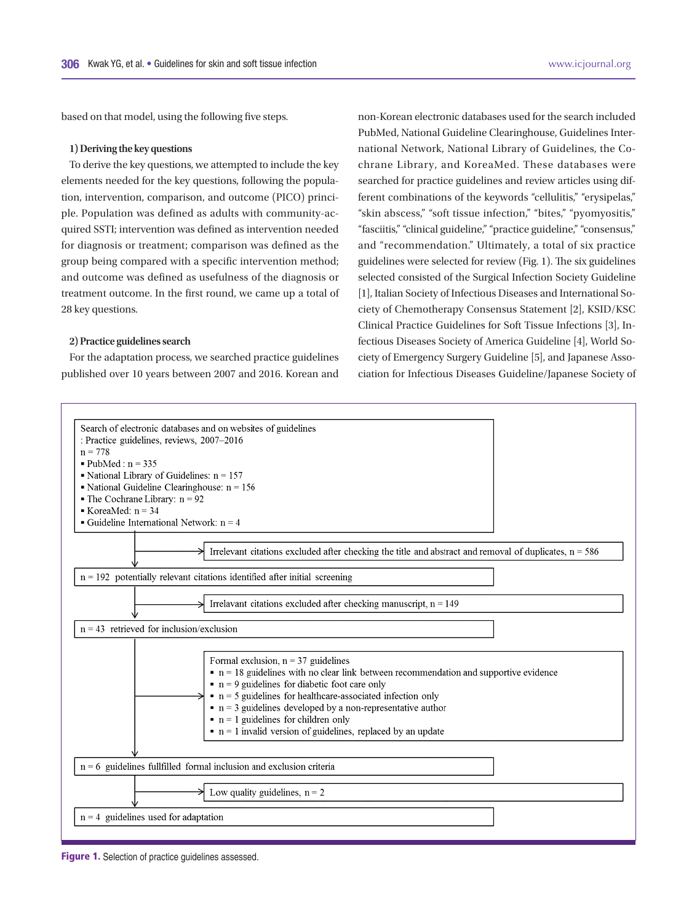based on that model, using the following five steps.

#### **1) Deriving the key questions**

To derive the key questions, we attempted to include the key elements needed for the key questions, following the population, intervention, comparison, and outcome (PICO) principle. Population was defined as adults with community-acquired SSTI; intervention was defined as intervention needed for diagnosis or treatment; comparison was defined as the group being compared with a specific intervention method; and outcome was defined as usefulness of the diagnosis or treatment outcome. In the first round, we came up a total of 28 key questions.

#### **2) Practice guidelines search**

For the adaptation process, we searched practice guidelines published over 10 years between 2007 and 2016. Korean and non-Korean electronic databases used for the search included PubMed, National Guideline Clearinghouse, Guidelines International Network, National Library of Guidelines, the Cochrane Library, and KoreaMed. These databases were searched for practice guidelines and review articles using different combinations of the keywords "cellulitis," "erysipelas," "skin abscess," "soft tissue infection," "bites," "pyomyositis," "fasciitis," "clinical guideline," "practice guideline," "consensus," and "recommendation." Ultimately, a total of six practice guidelines were selected for review (Fig. 1). The six guidelines selected consisted of the Surgical Infection Society Guideline [1], Italian Society of Infectious Diseases and International Society of Chemotherapy Consensus Statement [2], KSID/KSC Clinical Practice Guidelines for Soft Tissue Infections [3], Infectious Diseases Society of America Guideline [4], World Society of Emergency Surgery Guideline [5], and Japanese Association for Infectious Diseases Guideline/Japanese Society of



Figure 1. Selection of practice quidelines assessed.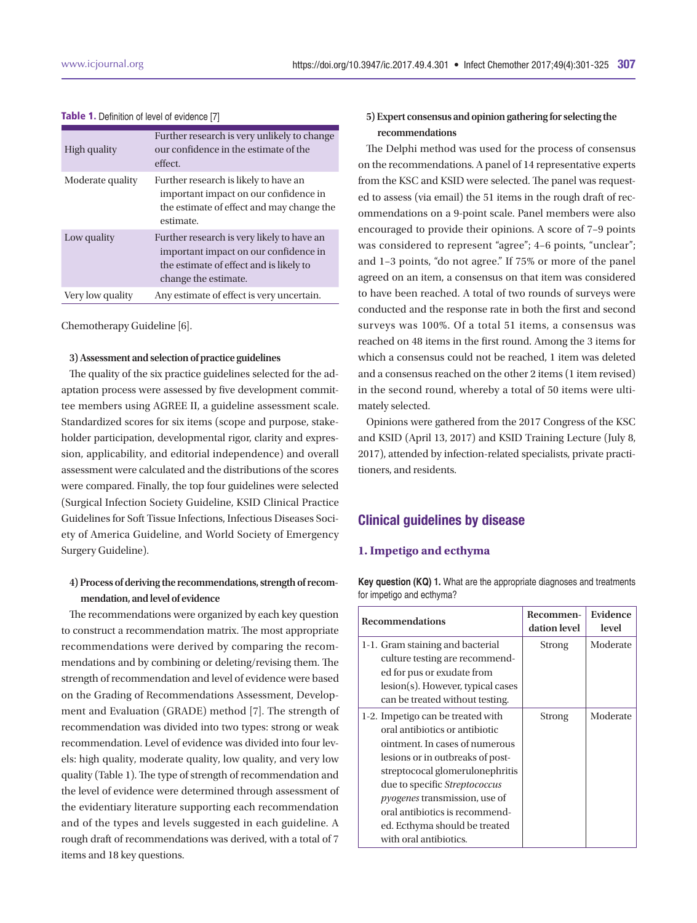#### Table 1. Definition of level of evidence [7]

| High quality     | Further research is very unlikely to change<br>our confidence in the estimate of the<br>effect.                                                        |
|------------------|--------------------------------------------------------------------------------------------------------------------------------------------------------|
| Moderate quality | Further research is likely to have an<br>important impact on our confidence in<br>the estimate of effect and may change the<br>estimate.               |
| Low quality      | Further research is very likely to have an<br>important impact on our confidence in<br>the estimate of effect and is likely to<br>change the estimate. |
| Very low quality | Any estimate of effect is very uncertain.                                                                                                              |

Chemotherapy Guideline [6].

#### **3) Assessment and selection of practice guidelines**

The quality of the six practice guidelines selected for the adaptation process were assessed by five development committee members using AGREE II, a guideline assessment scale. Standardized scores for six items (scope and purpose, stakeholder participation, developmental rigor, clarity and expression, applicability, and editorial independence) and overall assessment were calculated and the distributions of the scores were compared. Finally, the top four guidelines were selected (Surgical Infection Society Guideline, KSID Clinical Practice Guidelines for Soft Tissue Infections, Infectious Diseases Society of America Guideline, and World Society of Emergency Surgery Guideline).

# **4) Process of deriving the recommendations, strength of recommendation, and level of evidence**

The recommendations were organized by each key question to construct a recommendation matrix. The most appropriate recommendations were derived by comparing the recommendations and by combining or deleting/revising them. The strength of recommendation and level of evidence were based on the Grading of Recommendations Assessment, Development and Evaluation (GRADE) method [7]. The strength of recommendation was divided into two types: strong or weak recommendation. Level of evidence was divided into four levels: high quality, moderate quality, low quality, and very low quality (Table 1). The type of strength of recommendation and the level of evidence were determined through assessment of the evidentiary literature supporting each recommendation and of the types and levels suggested in each guideline. A rough draft of recommendations was derived, with a total of 7 items and 18 key questions.

# **5) Expert consensus and opinion gathering for selecting the recommendations**

The Delphi method was used for the process of consensus on the recommendations. A panel of 14 representative experts from the KSC and KSID were selected. The panel was requested to assess (via email) the 51 items in the rough draft of recommendations on a 9-point scale. Panel members were also encouraged to provide their opinions. A score of 7–9 points was considered to represent "agree"; 4-6 points, "unclear"; and 1–3 points, "do not agree." If 75% or more of the panel agreed on an item, a consensus on that item was considered to have been reached. A total of two rounds of surveys were conducted and the response rate in both the first and second surveys was 100%. Of a total 51 items, a consensus was reached on 48 items in the first round. Among the 3 items for which a consensus could not be reached, 1 item was deleted and a consensus reached on the other 2 items (1 item revised) in the second round, whereby a total of 50 items were ultimately selected.

Opinions were gathered from the 2017 Congress of the KSC and KSID (April 13, 2017) and KSID Training Lecture (July 8, 2017), attended by infection-related specialists, private practitioners, and residents.

# **Clinical guidelines by disease**

# **1. Impetigo and ecthyma**

**Key question (KQ) 1.** What are the appropriate diagnoses and treatments for impetigo and ecthyma?

| <b>Recommendations</b>                                                                                                                                                                                                                                                                                                                                    | Recommen-<br>dation level | Evidence<br>level |
|-----------------------------------------------------------------------------------------------------------------------------------------------------------------------------------------------------------------------------------------------------------------------------------------------------------------------------------------------------------|---------------------------|-------------------|
| 1-1. Gram staining and bacterial<br>culture testing are recommend-<br>ed for pus or exudate from<br>lesion(s). However, typical cases<br>can be treated without testing.                                                                                                                                                                                  | Strong                    | Moderate          |
| 1-2. Impetigo can be treated with<br>oral antibiotics or antibiotic<br>ointment. In cases of numerous<br>lesions or in outbreaks of post-<br>streptococal glomerulonephritis<br>due to specific <i>Streptococcus</i><br><i>pyogenes</i> transmission, use of<br>oral antibiotics is recommend-<br>ed. Ecthyma should be treated<br>with oral antibiotics. | Strong                    | Moderate          |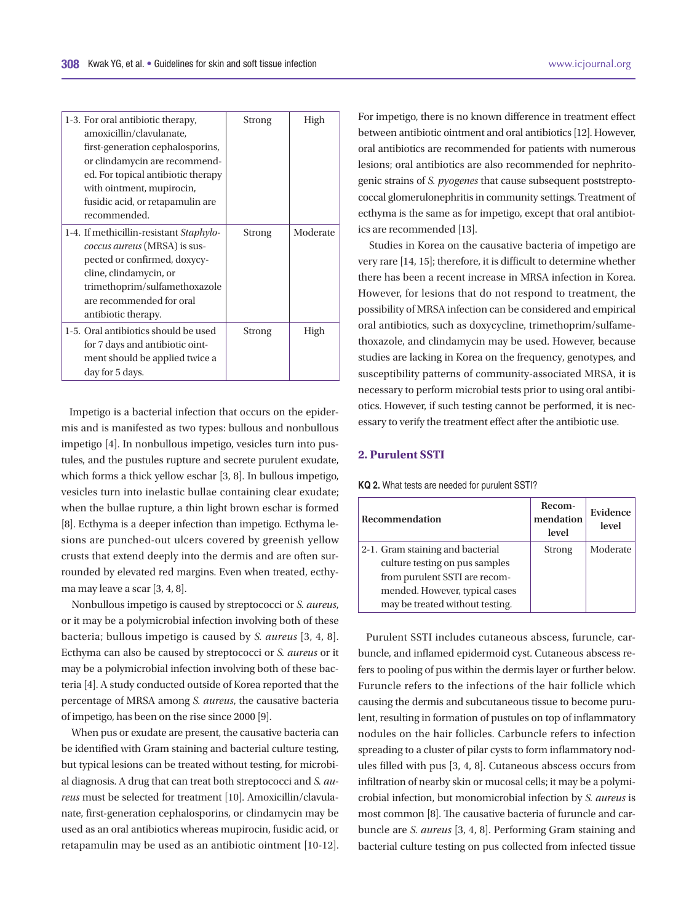| 1-3. For oral antibiotic therapy,       | Strong | High     |
|-----------------------------------------|--------|----------|
| amoxicillin/clavulanate,                |        |          |
| first-generation cephalosporins,        |        |          |
| or clindamycin are recommend-           |        |          |
| ed. For topical antibiotic therapy      |        |          |
| with ointment, mupirocin,               |        |          |
| fusidic acid, or retapamulin are        |        |          |
| recommended.                            |        |          |
| 1-4. If methicillin-resistant Staphylo- | Strong | Moderate |
| coccus aureus (MRSA) is sus-            |        |          |
| pected or confirmed, doxycy-            |        |          |
| cline, clindamycin, or                  |        |          |
| trimethoprim/sulfamethoxazole           |        |          |
| are recommended for oral                |        |          |
| antibiotic therapy.                     |        |          |
| 1-5. Oral antibiotics should be used    | Strong | High     |
| for 7 days and antibiotic oint-         |        |          |
| ment should be applied twice a          |        |          |
| day for 5 days.                         |        |          |

Impetigo is a bacterial infection that occurs on the epidermis and is manifested as two types: bullous and nonbullous impetigo [4]. In nonbullous impetigo, vesicles turn into pustules, and the pustules rupture and secrete purulent exudate, which forms a thick yellow eschar [3, 8]. In bullous impetigo, vesicles turn into inelastic bullae containing clear exudate; when the bullae rupture, a thin light brown eschar is formed [8]. Ecthyma is a deeper infection than impetigo. Ecthyma lesions are punched-out ulcers covered by greenish yellow crusts that extend deeply into the dermis and are often surrounded by elevated red margins. Even when treated, ecthyma may leave a scar [3, 4, 8].

 Nonbullous impetigo is caused by streptococci or *S. aureus*, or it may be a polymicrobial infection involving both of these bacteria; bullous impetigo is caused by *S. aureus* [3, 4, 8]. Ecthyma can also be caused by streptococci or *S. aureus* or it may be a polymicrobial infection involving both of these bacteria [4]. A study conducted outside of Korea reported that the percentage of MRSA among *S. aureus*, the causative bacteria of impetigo, has been on the rise since 2000 [9].

 When pus or exudate are present, the causative bacteria can be identified with Gram staining and bacterial culture testing, but typical lesions can be treated without testing, for microbial diagnosis. A drug that can treat both streptococci and *S. aureus* must be selected for treatment [10]. Amoxicillin/clavulanate, first-generation cephalosporins, or clindamycin may be used as an oral antibiotics whereas mupirocin, fusidic acid, or retapamulin may be used as an antibiotic ointment [10-12]. For impetigo, there is no known difference in treatment effect between antibiotic ointment and oral antibiotics [12]. However, oral antibiotics are recommended for patients with numerous lesions; oral antibiotics are also recommended for nephritogenic strains of *S. pyogenes* that cause subsequent poststreptococcal glomerulonephritis in community settings. Treatment of ecthyma is the same as for impetigo, except that oral antibiotics are recommended [13].

 Studies in Korea on the causative bacteria of impetigo are very rare [14, 15]; therefore, it is difficult to determine whether there has been a recent increase in MRSA infection in Korea. However, for lesions that do not respond to treatment, the possibility of MRSA infection can be considered and empirical oral antibiotics, such as doxycycline, trimethoprim/sulfamethoxazole, and clindamycin may be used. However, because studies are lacking in Korea on the frequency, genotypes, and susceptibility patterns of community-associated MRSA, it is necessary to perform microbial tests prior to using oral antibiotics. However, if such testing cannot be performed, it is necessary to verify the treatment effect after the antibiotic use.

#### **2. Purulent SSTI**

**KQ 2.** What tests are needed for purulent SSTI?

| Recommendation                   | Recom-<br>mendation<br>level | Evidence<br>level |
|----------------------------------|------------------------------|-------------------|
| 2-1. Gram staining and bacterial | Strong                       | Moderate          |
| culture testing on pus samples   |                              |                   |
| from purulent SSTI are recom-    |                              |                   |
| mended. However, typical cases   |                              |                   |
| may be treated without testing.  |                              |                   |

Purulent SSTI includes cutaneous abscess, furuncle, carbuncle, and inflamed epidermoid cyst. Cutaneous abscess refers to pooling of pus within the dermis layer or further below. Furuncle refers to the infections of the hair follicle which causing the dermis and subcutaneous tissue to become purulent, resulting in formation of pustules on top of inflammatory nodules on the hair follicles. Carbuncle refers to infection spreading to a cluster of pilar cysts to form inflammatory nodules filled with pus [3, 4, 8]. Cutaneous abscess occurs from infiltration of nearby skin or mucosal cells; it may be a polymicrobial infection, but monomicrobial infection by *S. aureus* is most common [8]. The causative bacteria of furuncle and carbuncle are *S. aureus* [3, 4, 8]. Performing Gram staining and bacterial culture testing on pus collected from infected tissue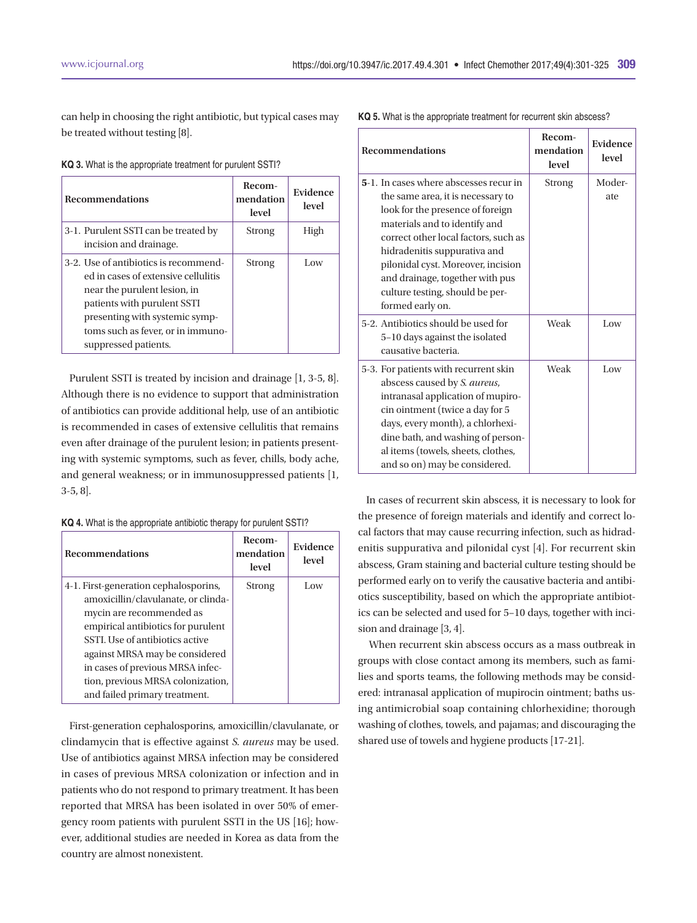can help in choosing the right antibiotic, but typical cases may be treated without testing [8].

|  |  |  |  |  |  | KQ 3. What is the appropriate treatment for purulent SSTI? |
|--|--|--|--|--|--|------------------------------------------------------------|
|--|--|--|--|--|--|------------------------------------------------------------|

| <b>Recommendations</b>                                                                                                                                                                                                                     | Recom-<br>mendation<br>level | Evidence<br>level |
|--------------------------------------------------------------------------------------------------------------------------------------------------------------------------------------------------------------------------------------------|------------------------------|-------------------|
| 3-1. Purulent SSTI can be treated by<br>incision and drainage.                                                                                                                                                                             | Strong                       | High              |
| 3-2. Use of antibiotics is recommend-<br>ed in cases of extensive cellulitis<br>near the purulent lesion, in<br>patients with purulent SSTI<br>presenting with systemic symp-<br>toms such as fever, or in immuno-<br>suppressed patients. | Strong                       | Low               |

Purulent SSTI is treated by incision and drainage [1, 3-5, 8]. Although there is no evidence to support that administration of antibiotics can provide additional help, use of an antibiotic is recommended in cases of extensive cellulitis that remains even after drainage of the purulent lesion; in patients presenting with systemic symptoms, such as fever, chills, body ache, and general weakness; or in immunosuppressed patients [1, 3-5, 8].

**KQ 4.** What is the appropriate antibiotic therapy for purulent SSTI?

| <b>Recommendations</b>                | Recom-<br>mendation<br>level | Evidence<br>level |
|---------------------------------------|------------------------------|-------------------|
| 4-1. First-generation cephalosporins, | Strong                       | Low               |
| amoxicillin/clavulanate, or clinda-   |                              |                   |
| mycin are recommended as              |                              |                   |
| empirical antibiotics for purulent    |                              |                   |
| SSTI. Use of antibiotics active       |                              |                   |
| against MRSA may be considered        |                              |                   |
| in cases of previous MRSA infec-      |                              |                   |
| tion, previous MRSA colonization,     |                              |                   |
| and failed primary treatment.         |                              |                   |

First-generation cephalosporins, amoxicillin/clavulanate, or clindamycin that is effective against *S. aureus* may be used. Use of antibiotics against MRSA infection may be considered in cases of previous MRSA colonization or infection and in patients who do not respond to primary treatment. It has been reported that MRSA has been isolated in over 50% of emergency room patients with purulent SSTI in the US [16]; however, additional studies are needed in Korea as data from the country are almost nonexistent.

**KQ 5.** What is the appropriate treatment for recurrent skin abscess?

| <b>Recommendations</b>                                                                                                                                                                                                                                                                                                                                   | Recom-<br>mendation<br>level | Evidence<br>level |
|----------------------------------------------------------------------------------------------------------------------------------------------------------------------------------------------------------------------------------------------------------------------------------------------------------------------------------------------------------|------------------------------|-------------------|
| 5-1. In cases where abscesses recur in<br>the same area, it is necessary to<br>look for the presence of foreign<br>materials and to identify and<br>correct other local factors, such as<br>hidradenitis suppurativa and<br>pilonidal cyst. Moreover, incision<br>and drainage, together with pus<br>culture testing, should be per-<br>formed early on. | Strong                       | Moder-<br>ate     |
| 5-2. Antibiotics should be used for<br>5-10 days against the isolated<br>causative bacteria.                                                                                                                                                                                                                                                             | Weak                         | Low               |
| 5-3. For patients with recurrent skin<br>abscess caused by <i>S. aureus</i> ,<br>intranasal application of mupiro-<br>cin ointment (twice a day for 5<br>days, every month), a chlorhexi-<br>dine bath, and washing of person-<br>al items (towels, sheets, clothes,<br>and so on) may be considered.                                                    | Weak                         | Low               |

In cases of recurrent skin abscess, it is necessary to look for the presence of foreign materials and identify and correct local factors that may cause recurring infection, such as hidradenitis suppurativa and pilonidal cyst [4]. For recurrent skin abscess, Gram staining and bacterial culture testing should be performed early on to verify the causative bacteria and antibiotics susceptibility, based on which the appropriate antibiotics can be selected and used for 5–10 days, together with incision and drainage [3, 4].

 When recurrent skin abscess occurs as a mass outbreak in groups with close contact among its members, such as families and sports teams, the following methods may be considered: intranasal application of mupirocin ointment; baths using antimicrobial soap containing chlorhexidine; thorough washing of clothes, towels, and pajamas; and discouraging the shared use of towels and hygiene products [17-21].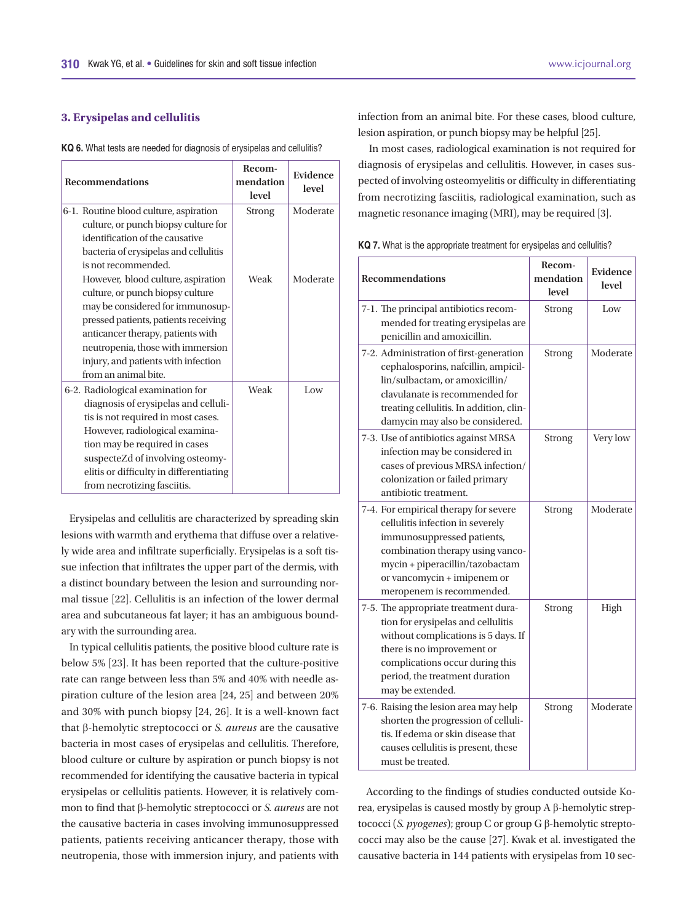## **3. Erysipelas and cellulitis**

**KQ 6.** What tests are needed for diagnosis of erysipelas and cellulitis?

| <b>Recommendations</b>                  | Recom-<br>mendation<br>level | Evidence<br>level |
|-----------------------------------------|------------------------------|-------------------|
| 6-1. Routine blood culture, aspiration  | Strong                       | Moderate          |
| culture, or punch biopsy culture for    |                              |                   |
| identification of the causative         |                              |                   |
| bacteria of erysipelas and cellulitis   |                              |                   |
| is not recommended.                     |                              |                   |
| However, blood culture, aspiration      | Weak                         | Moderate          |
| culture, or punch biopsy culture        |                              |                   |
| may be considered for immunosup-        |                              |                   |
| pressed patients, patients receiving    |                              |                   |
| anticancer therapy, patients with       |                              |                   |
| neutropenia, those with immersion       |                              |                   |
| injury, and patients with infection     |                              |                   |
| from an animal bite.                    |                              |                   |
| 6-2. Radiological examination for       | Weak                         | Low               |
| diagnosis of erysipelas and celluli-    |                              |                   |
| tis is not required in most cases.      |                              |                   |
| However, radiological examina-          |                              |                   |
| tion may be required in cases           |                              |                   |
| suspecteZd of involving osteomy-        |                              |                   |
| elitis or difficulty in differentiating |                              |                   |
| from necrotizing fasciitis.             |                              |                   |

Erysipelas and cellulitis are characterized by spreading skin lesions with warmth and erythema that diffuse over a relatively wide area and infiltrate superficially. Erysipelas is a soft tissue infection that infiltrates the upper part of the dermis, with a distinct boundary between the lesion and surrounding normal tissue [22]. Cellulitis is an infection of the lower dermal area and subcutaneous fat layer; it has an ambiguous boundary with the surrounding area.

In typical cellulitis patients, the positive blood culture rate is below 5% [23]. It has been reported that the culture-positive rate can range between less than 5% and 40% with needle aspiration culture of the lesion area [24, 25] and between 20% and 30% with punch biopsy [24, 26]. It is a well-known fact that β-hemolytic streptococci or *S. aureus* are the causative bacteria in most cases of erysipelas and cellulitis. Therefore, blood culture or culture by aspiration or punch biopsy is not recommended for identifying the causative bacteria in typical erysipelas or cellulitis patients. However, it is relatively common to find that β-hemolytic streptococci or *S. aureus* are not the causative bacteria in cases involving immunosuppressed patients, patients receiving anticancer therapy, those with neutropenia, those with immersion injury, and patients with

infection from an animal bite. For these cases, blood culture, lesion aspiration, or punch biopsy may be helpful [25].

 In most cases, radiological examination is not required for diagnosis of erysipelas and cellulitis. However, in cases suspected of involving osteomyelitis or difficulty in differentiating from necrotizing fasciitis, radiological examination, such as magnetic resonance imaging (MRI), may be required [3].

**KQ 7.** What is the appropriate treatment for erysipelas and cellulitis?

| <b>Recommendations</b>                                                                                                                                                                                                                     | Recom-<br>mendation<br>level | Evidence<br>level |
|--------------------------------------------------------------------------------------------------------------------------------------------------------------------------------------------------------------------------------------------|------------------------------|-------------------|
| 7-1. The principal antibiotics recom-<br>mended for treating erysipelas are<br>penicillin and amoxicillin.                                                                                                                                 | Strong                       | Low               |
| 7-2. Administration of first-generation<br>cephalosporins, nafcillin, ampicil-<br>lin/sulbactam, or amoxicillin/<br>clavulanate is recommended for<br>treating cellulitis. In addition, clin-<br>damycin may also be considered.           | Strong                       | Moderate          |
| 7-3. Use of antibiotics against MRSA<br>infection may be considered in<br>cases of previous MRSA infection/<br>colonization or failed primary<br>antibiotic treatment.                                                                     | Strong                       | Very low          |
| 7-4. For empirical therapy for severe<br>cellulitis infection in severely<br>immunosuppressed patients,<br>combination therapy using vanco-<br>mycin + piperacillin/tazobactam<br>or vancomycin + imipenem or<br>meropenem is recommended. | Strong                       | Moderate          |
| 7-5. The appropriate treatment dura-<br>tion for erysipelas and cellulitis<br>without complications is 5 days. If<br>there is no improvement or<br>complications occur during this<br>period, the treatment duration<br>may be extended.   | Strong                       | High              |
| 7-6. Raising the lesion area may help<br>shorten the progression of celluli-<br>tis. If edema or skin disease that<br>causes cellulitis is present, these<br>must be treated.                                                              | Strong                       | Moderate          |

According to the findings of studies conducted outside Korea, erysipelas is caused mostly by group A β-hemolytic streptococci (*S. pyogenes*); group C or group G β-hemolytic streptococci may also be the cause [27]. Kwak et al. investigated the causative bacteria in 144 patients with erysipelas from 10 sec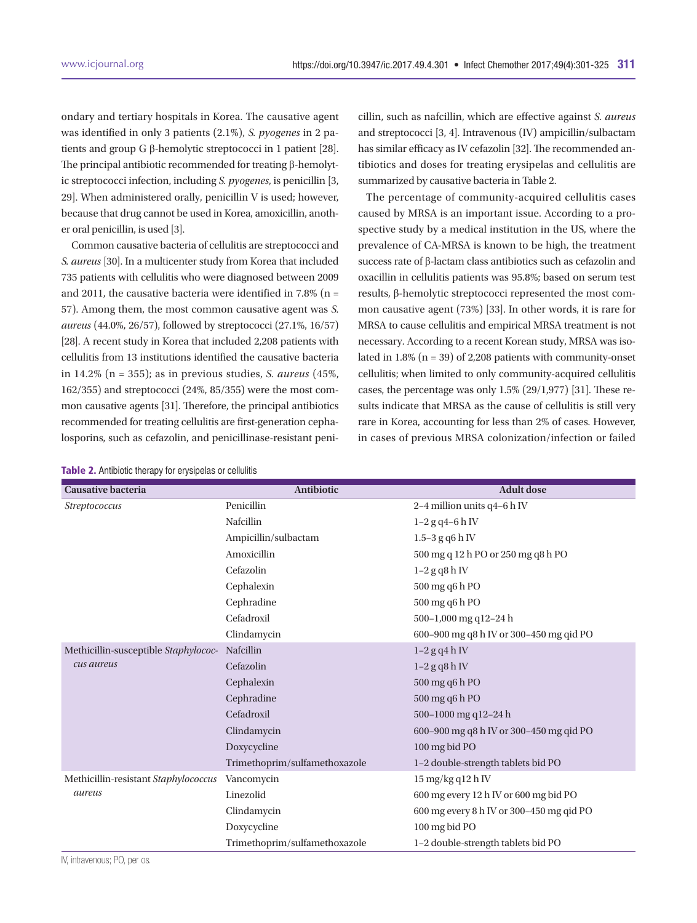ondary and tertiary hospitals in Korea. The causative agent was identified in only 3 patients (2.1%), *S. pyogenes* in 2 patients and group G β-hemolytic streptococci in 1 patient [28]. The principal antibiotic recommended for treating β-hemolytic streptococci infection, including *S. pyogenes*, is penicillin [3, 29]. When administered orally, penicillin V is used; however, because that drug cannot be used in Korea, amoxicillin, another oral penicillin, is used [3].

 Common causative bacteria of cellulitis are streptococci and *S. aureus* [30]. In a multicenter study from Korea that included 735 patients with cellulitis who were diagnosed between 2009 and 2011, the causative bacteria were identified in 7.8% ( $n =$ 57). Among them, the most common causative agent was *S. aureus* (44.0%, 26/57), followed by streptococci (27.1%, 16/57) [28]. A recent study in Korea that included 2,208 patients with cellulitis from 13 institutions identified the causative bacteria in 14.2% (n = 355); as in previous studies, *S. aureus* (45%, 162/355) and streptococci (24%, 85/355) were the most common causative agents [31]. Therefore, the principal antibiotics recommended for treating cellulitis are first-generation cephalosporins, such as cefazolin, and penicillinase-resistant peni-

| cillin, such as nafcillin, which are effective against S. <i>aureus</i> |
|-------------------------------------------------------------------------|
| and streptococci [3, 4]. Intravenous (IV) ampicillin/sulbactam          |
| has similar efficacy as IV cefazolin [32]. The recommended an-          |
| tibiotics and doses for treating erysipelas and cellulitis are          |
| summarized by causative bacteria in Table 2.                            |

The percentage of community-acquired cellulitis cases caused by MRSA is an important issue. According to a prospective study by a medical institution in the US, where the prevalence of CA-MRSA is known to be high, the treatment success rate of β-lactam class antibiotics such as cefazolin and oxacillin in cellulitis patients was 95.8%; based on serum test results, β-hemolytic streptococci represented the most common causative agent (73%) [33]. In other words, it is rare for MRSA to cause cellulitis and empirical MRSA treatment is not necessary. According to a recent Korean study, MRSA was isolated in  $1.8\%$  (n = 39) of 2,208 patients with community-onset cellulitis; when limited to only community-acquired cellulitis cases, the percentage was only 1.5% (29/1,977) [31]. These results indicate that MRSA as the cause of cellulitis is still very rare in Korea, accounting for less than 2% of cases. However, in cases of previous MRSA colonization/infection or failed

| Causative bacteria                   | <b>Antibiotic</b>             | <b>Adult dose</b>                        |
|--------------------------------------|-------------------------------|------------------------------------------|
| <i>Streptococcus</i>                 | Penicillin                    | 2-4 million units q4-6 h IV              |
|                                      | Nafcillin                     | $1-2$ g q4-6 h IV                        |
|                                      | Ampicillin/sulbactam          | $1.5-3$ g q6 h IV                        |
|                                      | Amoxicillin                   | 500 mg q 12 h PO or 250 mg q8 h PO       |
|                                      | Cefazolin                     | $1-2$ g q8 h IV                          |
|                                      | Cephalexin                    | 500 mg q6 h PO                           |
|                                      | Cephradine                    | 500 mg q6 h PO                           |
|                                      | Cefadroxil                    | 500-1,000 mg q12-24 h                    |
|                                      | Clindamycin                   | 600-900 mg q8 h IV or 300-450 mg qid PO  |
| Methicillin-susceptible Staphylococ- | Nafcillin                     | $1-2$ g q 4 h IV                         |
| cus aureus                           | Cefazolin                     | $1-2$ g q8 h IV                          |
|                                      | Cephalexin                    | 500 mg q6 h PO                           |
|                                      | Cephradine                    | 500 mg q6 h PO                           |
|                                      | Cefadroxil                    | 500-1000 mg q12-24 h                     |
|                                      | Clindamycin                   | 600-900 mg q8 h IV or 300-450 mg qid PO  |
|                                      | Doxycycline                   | 100 mg bid PO                            |
|                                      | Trimethoprim/sulfamethoxazole | 1-2 double-strength tablets bid PO       |
| Methicillin-resistant Staphylococcus | Vancomycin                    | 15 mg/kg q12 h IV                        |
| aureus                               | Linezolid                     | 600 mg every 12 h IV or 600 mg bid PO    |
|                                      | Clindamycin                   | 600 mg every 8 h IV or 300-450 mg qid PO |
|                                      | Doxycycline                   | 100 mg bid PO                            |
|                                      | Trimethoprim/sulfamethoxazole | 1-2 double-strength tablets bid PO       |

Table 2. Antibiotic therapy for erysipelas or cellulitis

IV, intravenous; PO, per os.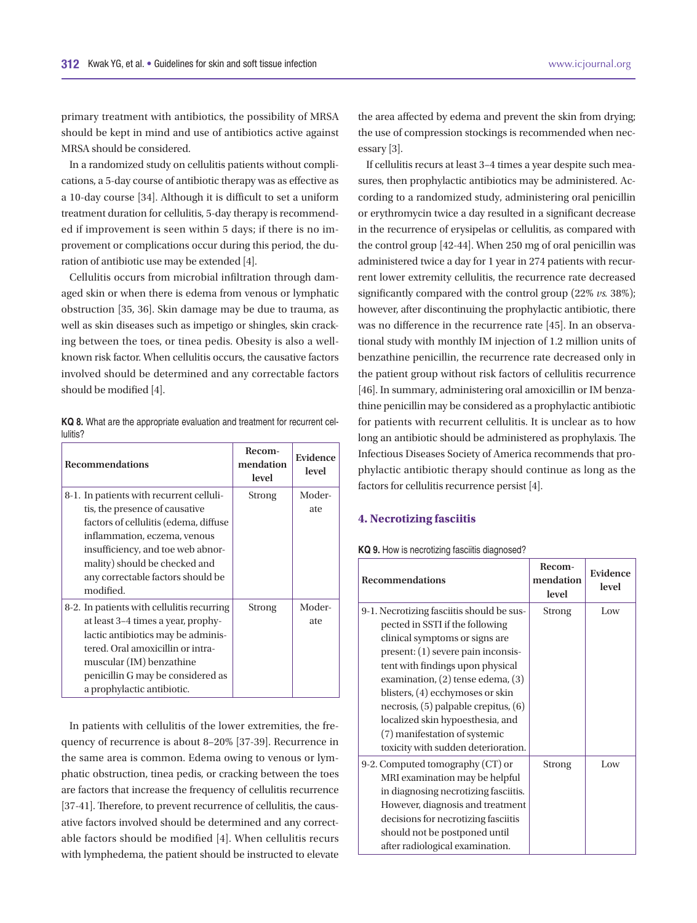primary treatment with antibiotics, the possibility of MRSA should be kept in mind and use of antibiotics active against MRSA should be considered.

In a randomized study on cellulitis patients without complications, a 5-day course of antibiotic therapy was as effective as a 10-day course [34]. Although it is difficult to set a uniform treatment duration for cellulitis, 5-day therapy is recommended if improvement is seen within 5 days; if there is no improvement or complications occur during this period, the duration of antibiotic use may be extended [4].

Cellulitis occurs from microbial infiltration through damaged skin or when there is edema from venous or lymphatic obstruction [35, 36]. Skin damage may be due to trauma, as well as skin diseases such as impetigo or shingles, skin cracking between the toes, or tinea pedis. Obesity is also a wellknown risk factor. When cellulitis occurs, the causative factors involved should be determined and any correctable factors should be modified [4].

|          |  |  |  | KQ 8. What are the appropriate evaluation and treatment for recurrent cel- |  |
|----------|--|--|--|----------------------------------------------------------------------------|--|
| lulitis? |  |  |  |                                                                            |  |

| <b>Recommendations</b>                                                                                                                                                                                                                                                      | Recom-<br>mendation<br>level | Evidence<br>level |
|-----------------------------------------------------------------------------------------------------------------------------------------------------------------------------------------------------------------------------------------------------------------------------|------------------------------|-------------------|
| 8-1. In patients with recurrent celluli-<br>tis, the presence of causative<br>factors of cellulitis (edema, diffuse<br>inflammation, eczema, venous<br>insufficiency, and toe web abnor-<br>mality) should be checked and<br>any correctable factors should be<br>modified. | Strong                       | Moder-<br>ate     |
| 8-2. In patients with cellulitis recurring<br>at least 3–4 times a year, prophy-<br>lactic antibiotics may be adminis-<br>tered. Oral amoxicillin or intra-<br>muscular (IM) benzathine<br>penicillin G may be considered as<br>a prophylactic antibiotic.                  | Strong                       | Moder-<br>ate     |

In patients with cellulitis of the lower extremities, the frequency of recurrence is about 8–20% [37-39]. Recurrence in the same area is common. Edema owing to venous or lymphatic obstruction, tinea pedis, or cracking between the toes are factors that increase the frequency of cellulitis recurrence [37-41]. Therefore, to prevent recurrence of cellulitis, the causative factors involved should be determined and any correctable factors should be modified [4]. When cellulitis recurs with lymphedema, the patient should be instructed to elevate

the area affected by edema and prevent the skin from drying; the use of compression stockings is recommended when necessary [3].

If cellulitis recurs at least 3–4 times a year despite such measures, then prophylactic antibiotics may be administered. According to a randomized study, administering oral penicillin or erythromycin twice a day resulted in a significant decrease in the recurrence of erysipelas or cellulitis, as compared with the control group [42-44]. When 250 mg of oral penicillin was administered twice a day for 1 year in 274 patients with recurrent lower extremity cellulitis, the recurrence rate decreased significantly compared with the control group (22% *vs.* 38%); however, after discontinuing the prophylactic antibiotic, there was no difference in the recurrence rate [45]. In an observational study with monthly IM injection of 1.2 million units of benzathine penicillin, the recurrence rate decreased only in the patient group without risk factors of cellulitis recurrence [46]. In summary, administering oral amoxicillin or IM benzathine penicillin may be considered as a prophylactic antibiotic for patients with recurrent cellulitis. It is unclear as to how long an antibiotic should be administered as prophylaxis. The Infectious Diseases Society of America recommends that prophylactic antibiotic therapy should continue as long as the factors for cellulitis recurrence persist [4].

## **4. Necrotizing fasciitis**

**KQ 9.** How is necrotizing fasciitis diagnosed?

| <b>Recommendations</b>                    | Recom-<br>mendation<br>level | Evidence<br>level |
|-------------------------------------------|------------------------------|-------------------|
| 9-1. Necrotizing fasciitis should be sus- | Strong                       | Low               |
| pected in SSTI if the following           |                              |                   |
| clinical symptoms or signs are            |                              |                   |
| present: (1) severe pain inconsis-        |                              |                   |
| tent with findings upon physical          |                              |                   |
| examination, (2) tense edema, (3)         |                              |                   |
| blisters, (4) ecchymoses or skin          |                              |                   |
| necrosis, $(5)$ palpable crepitus, $(6)$  |                              |                   |
| localized skin hypoesthesia, and          |                              |                   |
| (7) manifestation of systemic             |                              |                   |
| toxicity with sudden deterioration.       |                              |                   |
| 9-2. Computed tomography (CT) or          | <b>Strong</b>                | Low               |
| MRI examination may be helpful            |                              |                   |
| in diagnosing necrotizing fasciitis.      |                              |                   |
| However, diagnosis and treatment          |                              |                   |
| decisions for necrotizing fasciitis       |                              |                   |
| should not be postponed until             |                              |                   |
| after radiological examination.           |                              |                   |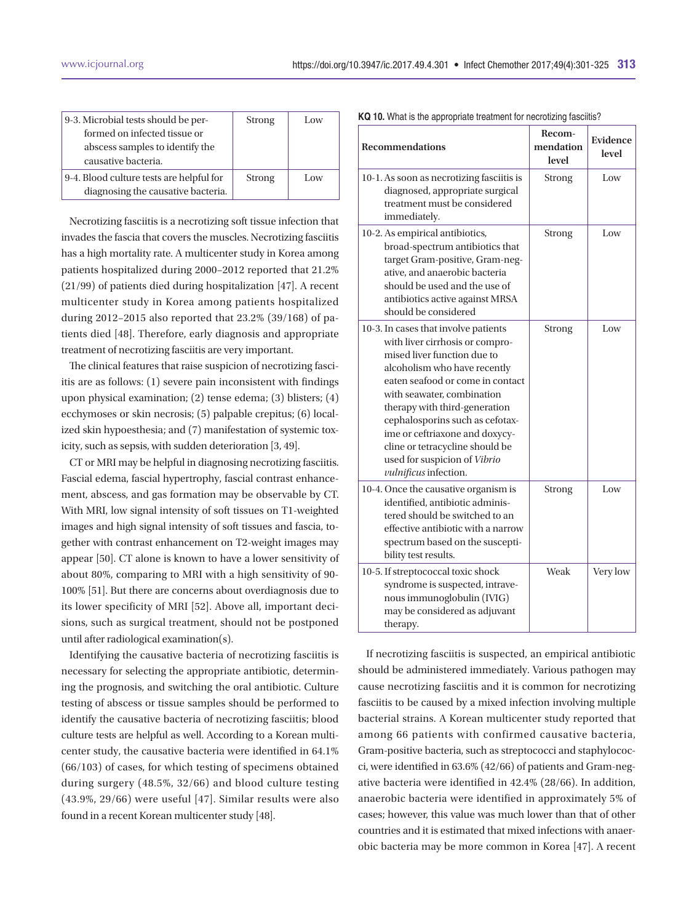**KQ 10.** What is the appropriate treatment for necrotizing fasciitis?

| 9-3. Microbial tests should be per-<br>formed on infected tissue or<br>abscess samples to identify the<br>causative bacteria. | Strong | Low |
|-------------------------------------------------------------------------------------------------------------------------------|--------|-----|
| 9-4. Blood culture tests are helpful for<br>diagnosing the causative bacteria.                                                | Strong | Low |

Necrotizing fasciitis is a necrotizing soft tissue infection that invades the fascia that covers the muscles. Necrotizing fasciitis has a high mortality rate. A multicenter study in Korea among patients hospitalized during 2000–2012 reported that 21.2% (21/99) of patients died during hospitalization [47]. A recent multicenter study in Korea among patients hospitalized during 2012–2015 also reported that 23.2% (39/168) of patients died [48]. Therefore, early diagnosis and appropriate treatment of necrotizing fasciitis are very important.

The clinical features that raise suspicion of necrotizing fasciitis are as follows: (1) severe pain inconsistent with findings upon physical examination; (2) tense edema; (3) blisters; (4) ecchymoses or skin necrosis; (5) palpable crepitus; (6) localized skin hypoesthesia; and (7) manifestation of systemic toxicity, such as sepsis, with sudden deterioration [3, 49].

CT or MRI may be helpful in diagnosing necrotizing fasciitis. Fascial edema, fascial hypertrophy, fascial contrast enhancement, abscess, and gas formation may be observable by CT. With MRI, low signal intensity of soft tissues on T1-weighted images and high signal intensity of soft tissues and fascia, together with contrast enhancement on T2-weight images may appear [50]. CT alone is known to have a lower sensitivity of about 80%, comparing to MRI with a high sensitivity of 90- 100% [51]. But there are concerns about overdiagnosis due to its lower specificity of MRI [52]. Above all, important decisions, such as surgical treatment, should not be postponed until after radiological examination(s).

Identifying the causative bacteria of necrotizing fasciitis is necessary for selecting the appropriate antibiotic, determining the prognosis, and switching the oral antibiotic. Culture testing of abscess or tissue samples should be performed to identify the causative bacteria of necrotizing fasciitis; blood culture tests are helpful as well. According to a Korean multicenter study, the causative bacteria were identified in 64.1% (66/103) of cases, for which testing of specimens obtained during surgery (48.5%, 32/66) and blood culture testing (43.9%, 29/66) were useful [47]. Similar results were also found in a recent Korean multicenter study [48].

| <b>Recommendations</b>                                                                                                                                                                                                                                                                                                                                                                                     | Recom-<br>mendation<br>level | Evidence<br>level |
|------------------------------------------------------------------------------------------------------------------------------------------------------------------------------------------------------------------------------------------------------------------------------------------------------------------------------------------------------------------------------------------------------------|------------------------------|-------------------|
| 10-1. As soon as necrotizing fasciitis is<br>diagnosed, appropriate surgical<br>treatment must be considered<br>immediately.                                                                                                                                                                                                                                                                               | Strong                       | Low               |
| 10-2. As empirical antibiotics,<br>broad-spectrum antibiotics that<br>target Gram-positive, Gram-neg-<br>ative, and anaerobic bacteria<br>should be used and the use of<br>antibiotics active against MRSA<br>should be considered                                                                                                                                                                         | Strong                       | Low               |
| 10-3. In cases that involve patients<br>with liver cirrhosis or compro-<br>mised liver function due to<br>alcoholism who have recently<br>eaten seafood or come in contact<br>with seawater, combination<br>therapy with third-generation<br>cephalosporins such as cefotax-<br>ime or ceftriaxone and doxycy-<br>cline or tetracycline should be<br>used for suspicion of Vibrio<br>vulnificus infection. | Strong                       | Low               |
| 10-4. Once the causative organism is<br>identified, antibiotic adminis-<br>tered should be switched to an<br>effective antibiotic with a narrow<br>spectrum based on the suscepti-<br>bility test results.                                                                                                                                                                                                 | Strong                       | Low               |
| 10-5. If streptococcal toxic shock<br>syndrome is suspected, intrave-<br>nous immunoglobulin (IVIG)<br>may be considered as adjuvant<br>therapy.                                                                                                                                                                                                                                                           | Weak                         | Very low          |

If necrotizing fasciitis is suspected, an empirical antibiotic should be administered immediately. Various pathogen may cause necrotizing fasciitis and it is common for necrotizing fasciitis to be caused by a mixed infection involving multiple bacterial strains. A Korean multicenter study reported that among 66 patients with confirmed causative bacteria, Gram-positive bacteria, such as streptococci and staphylococci, were identified in 63.6% (42/66) of patients and Gram-negative bacteria were identified in 42.4% (28/66). In addition, anaerobic bacteria were identified in approximately 5% of cases; however, this value was much lower than that of other countries and it is estimated that mixed infections with anaerobic bacteria may be more common in Korea [47]. A recent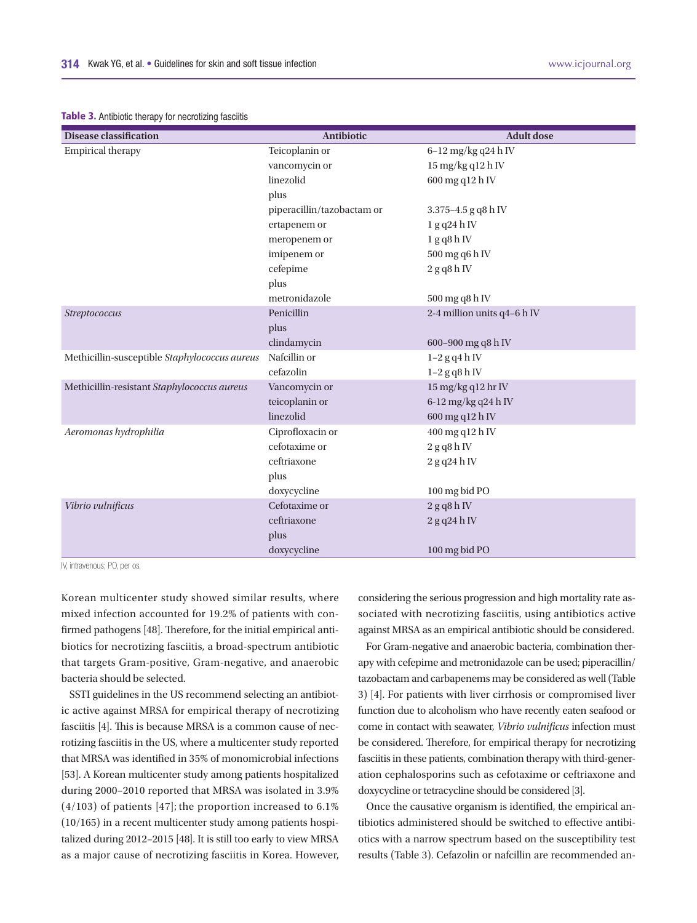| <b>Disease classification</b>                 | Antibiotic                 | <b>Adult dose</b>           |
|-----------------------------------------------|----------------------------|-----------------------------|
| <b>Empirical therapy</b>                      | Teicoplanin or             | $6-12$ mg/kg q24 h IV       |
|                                               | vancomycin or              | 15 mg/kg q12 h IV           |
|                                               | linezolid                  | 600 mg q12 h IV             |
|                                               | plus                       |                             |
|                                               | piperacillin/tazobactam or | 3.375-4.5 g q8 h IV         |
|                                               | ertapenem or               | $1$ g q24 h IV              |
|                                               | meropenem or               | $1$ g q8 h IV               |
|                                               | imipenem or                | 500 mg q6 h IV              |
|                                               | cefepime                   | $2$ g q8 h IV               |
|                                               | plus                       |                             |
|                                               | metronidazole              | 500 mg q8 h IV              |
| Streptococcus                                 | Penicillin                 | 2-4 million units q4-6 h IV |
|                                               | plus                       |                             |
|                                               | clindamycin                | 600-900 mg q8 h IV          |
| Methicillin-susceptible Staphylococcus aureus | Nafcillin or               | $1-2$ g q4 h IV             |
|                                               | cefazolin                  | $1-2$ g q8 h IV             |
| Methicillin-resistant Staphylococcus aureus   | Vancomycin or              | 15 mg/kg q12 hr IV          |
|                                               | teicoplanin or             | 6-12 mg/kg q24 h IV         |
|                                               | linezolid                  | 600 mg q12 h IV             |
| Aeromonas hydrophilia                         | Ciprofloxacin or           | 400 mg q12 h IV             |
|                                               | cefotaxime or              | $2$ g q8 h IV               |
|                                               | ceftriaxone                | $2$ g q24 h IV              |
|                                               | plus                       |                             |
|                                               | doxycycline                | 100 mg bid PO               |
| Vibrio vulnificus                             | Cefotaxime or              | $2$ g q8 h IV               |
|                                               | ceftriaxone                | $2$ g q24 h IV              |
|                                               | plus                       |                             |
|                                               | doxycycline                | 100 mg bid PO               |

#### Table 3. Antibiotic therapy for necrotizing fasciitis

IV, intravenous; PO, per os.

Korean multicenter study showed similar results, where mixed infection accounted for 19.2% of patients with confirmed pathogens [48]. Therefore, for the initial empirical antibiotics for necrotizing fasciitis, a broad-spectrum antibiotic that targets Gram-positive, Gram-negative, and anaerobic bacteria should be selected.

SSTI guidelines in the US recommend selecting an antibiotic active against MRSA for empirical therapy of necrotizing fasciitis [4]. This is because MRSA is a common cause of necrotizing fasciitis in the US, where a multicenter study reported that MRSA was identified in 35% of monomicrobial infections [53]. A Korean multicenter study among patients hospitalized during 2000–2010 reported that MRSA was isolated in 3.9% (4/103) of patients [47]; the proportion increased to 6.1% (10/165) in a recent multicenter study among patients hospitalized during 2012–2015 [48]. It is still too early to view MRSA as a major cause of necrotizing fasciitis in Korea. However,

considering the serious progression and high mortality rate associated with necrotizing fasciitis, using antibiotics active against MRSA as an empirical antibiotic should be considered.

For Gram-negative and anaerobic bacteria, combination therapy with cefepime and metronidazole can be used; piperacillin/ tazobactam and carbapenems may be considered as well (Table 3) [4]. For patients with liver cirrhosis or compromised liver function due to alcoholism who have recently eaten seafood or come in contact with seawater, *Vibrio vulnificus* infection must be considered. Therefore, for empirical therapy for necrotizing fasciitis in these patients, combination therapy with third-generation cephalosporins such as cefotaxime or ceftriaxone and doxycycline or tetracycline should be considered [3].

Once the causative organism is identified, the empirical antibiotics administered should be switched to effective antibiotics with a narrow spectrum based on the susceptibility test results (Table 3). Cefazolin or nafcillin are recommended an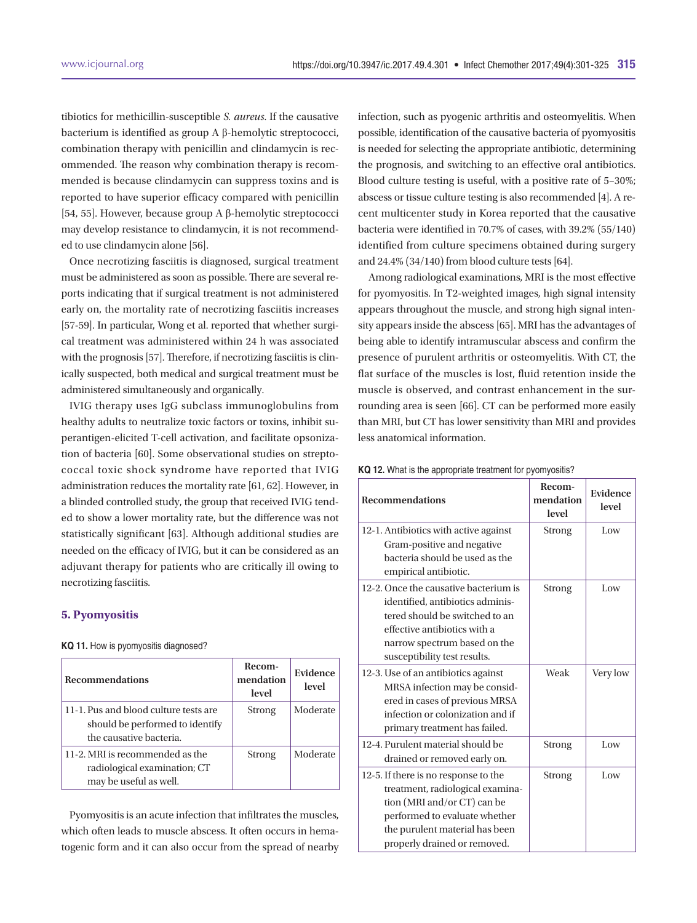tibiotics for methicillin-susceptible *S. aureus*. If the causative bacterium is identified as group A β-hemolytic streptococci, combination therapy with penicillin and clindamycin is recommended. The reason why combination therapy is recommended is because clindamycin can suppress toxins and is reported to have superior efficacy compared with penicillin [54, 55]. However, because group A β-hemolytic streptococci may develop resistance to clindamycin, it is not recommended to use clindamycin alone [56].

Once necrotizing fasciitis is diagnosed, surgical treatment must be administered as soon as possible. There are several reports indicating that if surgical treatment is not administered early on, the mortality rate of necrotizing fasciitis increases [57-59]. In particular, Wong et al. reported that whether surgical treatment was administered within 24 h was associated with the prognosis [57]. Therefore, if necrotizing fasciitis is clinically suspected, both medical and surgical treatment must be administered simultaneously and organically.

IVIG therapy uses IgG subclass immunoglobulins from healthy adults to neutralize toxic factors or toxins, inhibit superantigen-elicited T-cell activation, and facilitate opsonization of bacteria [60]. Some observational studies on streptococcal toxic shock syndrome have reported that IVIG administration reduces the mortality rate [61, 62]. However, in a blinded controlled study, the group that received IVIG tended to show a lower mortality rate, but the difference was not statistically significant [63]. Although additional studies are needed on the efficacy of IVIG, but it can be considered as an adjuvant therapy for patients who are critically ill owing to necrotizing fasciitis.

#### **5. Pyomyositis**

**KQ 11.** How is pyomyositis diagnosed?

| <b>Recommendations</b>                                                                              | Recom-<br>mendation<br>level | Evidence<br>level |
|-----------------------------------------------------------------------------------------------------|------------------------------|-------------------|
| 11-1. Pus and blood culture tests are<br>should be performed to identify<br>the causative bacteria. | Strong                       | Moderate          |
| 11-2. MRI is recommended as the<br>radiological examination; CT<br>may be useful as well.           | Strong                       | Moderate          |

Pyomyositis is an acute infection that infiltrates the muscles, which often leads to muscle abscess. It often occurs in hematogenic form and it can also occur from the spread of nearby infection, such as pyogenic arthritis and osteomyelitis. When possible, identification of the causative bacteria of pyomyositis is needed for selecting the appropriate antibiotic, determining the prognosis, and switching to an effective oral antibiotics. Blood culture testing is useful, with a positive rate of 5–30%; abscess or tissue culture testing is also recommended [4]. A recent multicenter study in Korea reported that the causative bacteria were identified in 70.7% of cases, with 39.2% (55/140) identified from culture specimens obtained during surgery and 24.4% (34/140) from blood culture tests [64].

 Among radiological examinations, MRI is the most effective for pyomyositis. In T2-weighted images, high signal intensity appears throughout the muscle, and strong high signal intensity appears inside the abscess [65]. MRI has the advantages of being able to identify intramuscular abscess and confirm the presence of purulent arthritis or osteomyelitis. With CT, the flat surface of the muscles is lost, fluid retention inside the muscle is observed, and contrast enhancement in the surrounding area is seen [66]. CT can be performed more easily than MRI, but CT has lower sensitivity than MRI and provides less anatomical information.

|  |  |  |  | KQ 12. What is the appropriate treatment for pyomyositis? |
|--|--|--|--|-----------------------------------------------------------|
|--|--|--|--|-----------------------------------------------------------|

| <b>Recommendations</b>                                                                                                                                                                                      | Recom-<br>mendation<br>level | Evidence<br>level |
|-------------------------------------------------------------------------------------------------------------------------------------------------------------------------------------------------------------|------------------------------|-------------------|
| 12-1. Antibiotics with active against<br>Gram-positive and negative<br>bacteria should be used as the<br>empirical antibiotic.                                                                              | Strong                       | Low               |
| 12-2. Once the causative bacterium is<br>identified, antibiotics adminis-<br>tered should be switched to an<br>effective antibiotics with a<br>narrow spectrum based on the<br>susceptibility test results. | Strong                       | Low               |
| 12-3. Use of an antibiotics against<br>MRSA infection may be consid-<br>ered in cases of previous MRSA<br>infection or colonization and if<br>primary treatment has failed.                                 | Weak                         | Very low          |
| 12-4. Purulent material should be<br>drained or removed early on.                                                                                                                                           | Strong                       | Low               |
| 12-5. If there is no response to the<br>treatment, radiological examina-<br>tion (MRI and/or CT) can be<br>performed to evaluate whether<br>the purulent material has been<br>properly drained or removed.  | Strong                       | Low               |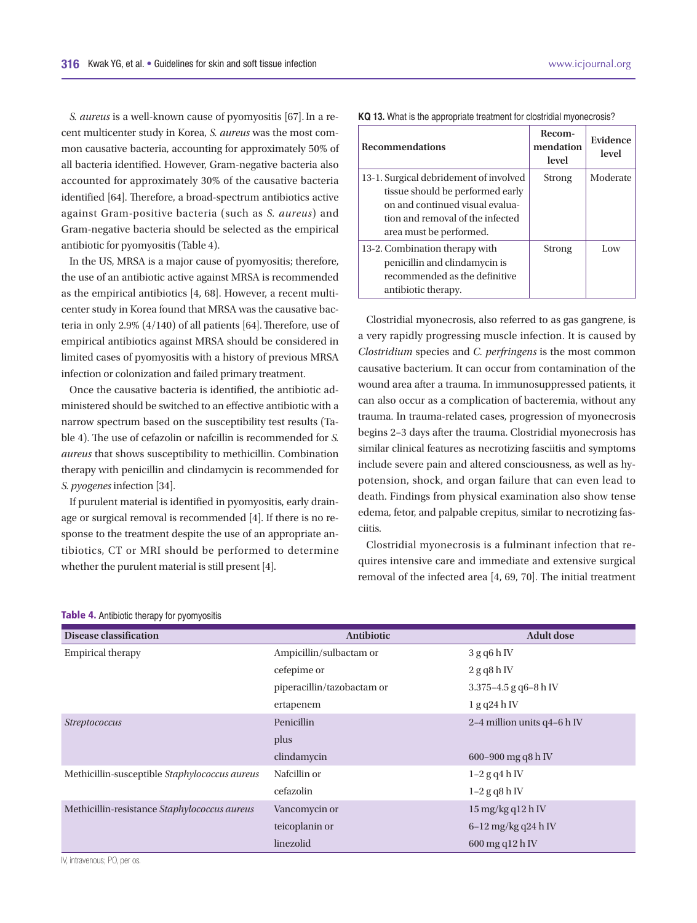*S. aureus* is a well-known cause of pyomyositis [67].In a recent multicenter study in Korea, *S. aureus* was the most common causative bacteria, accounting for approximately 50% of all bacteria identified. However, Gram-negative bacteria also accounted for approximately 30% of the causative bacteria identified [64]. Therefore, a broad-spectrum antibiotics active against Gram-positive bacteria (such as *S. aureus*) and Gram-negative bacteria should be selected as the empirical antibiotic for pyomyositis (Table 4).

In the US, MRSA is a major cause of pyomyositis; therefore, the use of an antibiotic active against MRSA is recommended as the empirical antibiotics [4, 68]. However, a recent multicenter study in Korea found that MRSA was the causative bacteria in only  $2.9\%$  ( $4/140$ ) of all patients [64]. Therefore, use of empirical antibiotics against MRSA should be considered in limited cases of pyomyositis with a history of previous MRSA infection or colonization and failed primary treatment.

Once the causative bacteria is identified, the antibiotic administered should be switched to an effective antibiotic with a narrow spectrum based on the susceptibility test results (Table 4). The use of cefazolin or nafcillin is recommended for *S. aureus* that shows susceptibility to methicillin. Combination therapy with penicillin and clindamycin is recommended for *S. pyogenes* infection [34].

If purulent material is identified in pyomyositis, early drainage or surgical removal is recommended [4]. If there is no response to the treatment despite the use of an appropriate antibiotics, CT or MRI should be performed to determine whether the purulent material is still present [4].

|  |  |  |  |  |  |  | KQ 13. What is the appropriate treatment for clostridial myonecrosis? |  |  |  |  |  |
|--|--|--|--|--|--|--|-----------------------------------------------------------------------|--|--|--|--|--|
|--|--|--|--|--|--|--|-----------------------------------------------------------------------|--|--|--|--|--|

| <b>Recommendations</b>                                                                                                                                                       | Recom-<br>mendation<br>level | Evidence<br>level |
|------------------------------------------------------------------------------------------------------------------------------------------------------------------------------|------------------------------|-------------------|
| 13-1. Surgical debridement of involved<br>tissue should be performed early<br>on and continued visual evalua-<br>tion and removal of the infected<br>area must be performed. | Strong                       | Moderate          |
| 13-2. Combination therapy with<br>penicillin and clindamycin is<br>recommended as the definitive<br>antibiotic therapy.                                                      | Strong                       | Low               |

Clostridial myonecrosis, also referred to as gas gangrene, is a very rapidly progressing muscle infection. It is caused by *Clostridium* species and *C. perfringens* is the most common causative bacterium. It can occur from contamination of the wound area after a trauma. In immunosuppressed patients, it can also occur as a complication of bacteremia, without any trauma. In trauma-related cases, progression of myonecrosis begins 2–3 days after the trauma. Clostridial myonecrosis has similar clinical features as necrotizing fasciitis and symptoms include severe pain and altered consciousness, as well as hypotension, shock, and organ failure that can even lead to death. Findings from physical examination also show tense edema, fetor, and palpable crepitus, similar to necrotizing fasciitis.

Clostridial myonecrosis is a fulminant infection that requires intensive care and immediate and extensive surgical removal of the infected area [4, 69, 70]. The initial treatment

| <b>Disease classification</b>                 | Antibiotic                 | <b>Adult dose</b>                            |
|-----------------------------------------------|----------------------------|----------------------------------------------|
| <b>Empirical therapy</b>                      | Ampicillin/sulbactam or    | $3$ g q6 h IV                                |
|                                               | cefepime or                | $2$ g q8 h IV                                |
|                                               | piperacillin/tazobactam or | $3.375 - 4.5$ g q6-8 h IV                    |
|                                               | ertapenem                  | $1$ g q24 h IV                               |
| <i>Streptococcus</i>                          | Penicillin                 | 2-4 million units q4-6 h IV                  |
|                                               | plus                       |                                              |
|                                               | clindamycin                | 600-900 mg q8 h IV                           |
| Methicillin-susceptible Staphylococcus aureus | Nafcillin or               | $1-2$ g q4 h IV                              |
|                                               | cefazolin                  | $1-2$ g q8 h IV                              |
| Methicillin-resistance Staphylococcus aureus  | Vancomycin or              | $15 \,\mathrm{mg/kg}$ q $12 \,\mathrm{h}$ IV |
|                                               | teicoplanin or             | $6-12$ mg/kg q24 h IV                        |
|                                               | linezolid                  | 600 mg q12 h IV                              |

Table 4. Antibiotic therapy for pyomyositis

IV, intravenous; PO, per os.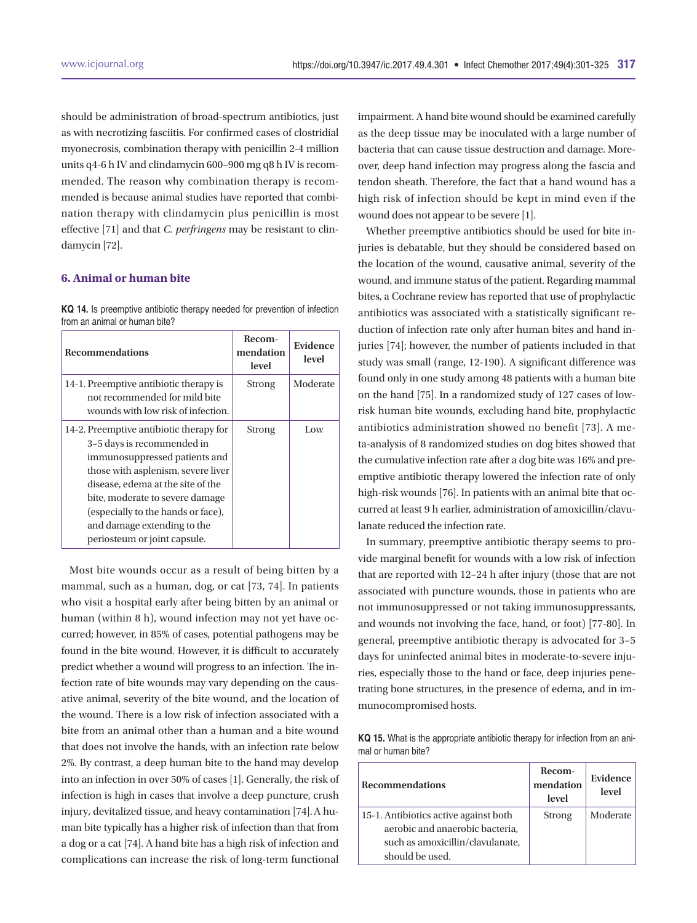should be administration of broad-spectrum antibiotics, just as with necrotizing fasciitis. For confirmed cases of clostridial myonecrosis, combination therapy with penicillin 2-4 million units q4-6 h IV and clindamycin 600–900 mg q8 h IV is recommended. The reason why combination therapy is recommended is because animal studies have reported that combination therapy with clindamycin plus penicillin is most effective [71] and that *C. perfringens* may be resistant to clindamycin [72].

# **6. Animal or human bite**

**KQ 14.** Is preemptive antibiotic therapy needed for prevention of infection from an animal or human bite?

| <b>Recommendations</b>                                                                                                                                                                                                                                                                                                    | Recom-<br>mendation<br>level | Evidence<br>level |
|---------------------------------------------------------------------------------------------------------------------------------------------------------------------------------------------------------------------------------------------------------------------------------------------------------------------------|------------------------------|-------------------|
| 14-1. Preemptive antibiotic therapy is<br>not recommended for mild bite<br>wounds with low risk of infection.                                                                                                                                                                                                             | Strong                       | Moderate          |
| 14-2. Preemptive antibiotic therapy for<br>3-5 days is recommended in<br>immunosuppressed patients and<br>those with asplenism, severe liver<br>disease, edema at the site of the<br>bite, moderate to severe damage<br>(especially to the hands or face),<br>and damage extending to the<br>periosteum or joint capsule. | Strong                       | Low               |

Most bite wounds occur as a result of being bitten by a mammal, such as a human, dog, or cat [73, 74]. In patients who visit a hospital early after being bitten by an animal or human (within 8 h), wound infection may not yet have occurred; however, in 85% of cases, potential pathogens may be found in the bite wound. However, it is difficult to accurately predict whether a wound will progress to an infection. The infection rate of bite wounds may vary depending on the causative animal, severity of the bite wound, and the location of the wound. There is a low risk of infection associated with a bite from an animal other than a human and a bite wound that does not involve the hands, with an infection rate below 2%. By contrast, a deep human bite to the hand may develop into an infection in over 50% of cases [1]. Generally, the risk of infection is high in cases that involve a deep puncture, crush injury, devitalized tissue, and heavy contamination [74].A human bite typically has a higher risk of infection than that from a dog or a cat [74]. A hand bite has a high risk of infection and complications can increase the risk of long-term functional

impairment. A hand bite wound should be examined carefully as the deep tissue may be inoculated with a large number of bacteria that can cause tissue destruction and damage. Moreover, deep hand infection may progress along the fascia and tendon sheath. Therefore, the fact that a hand wound has a high risk of infection should be kept in mind even if the wound does not appear to be severe [1].

Whether preemptive antibiotics should be used for bite injuries is debatable, but they should be considered based on the location of the wound, causative animal, severity of the wound, and immune status of the patient. Regarding mammal bites, a Cochrane review has reported that use of prophylactic antibiotics was associated with a statistically significant reduction of infection rate only after human bites and hand injuries [74]; however, the number of patients included in that study was small (range, 12-190). A significant difference was found only in one study among 48 patients with a human bite on the hand [75]. In a randomized study of 127 cases of lowrisk human bite wounds, excluding hand bite, prophylactic antibiotics administration showed no benefit [73]. A meta-analysis of 8 randomized studies on dog bites showed that the cumulative infection rate after a dog bite was 16% and preemptive antibiotic therapy lowered the infection rate of only high-risk wounds [76]. In patients with an animal bite that occurred at least 9 h earlier, administration of amoxicillin/clavulanate reduced the infection rate.

In summary, preemptive antibiotic therapy seems to provide marginal benefit for wounds with a low risk of infection that are reported with 12–24 h after injury (those that are not associated with puncture wounds, those in patients who are not immunosuppressed or not taking immunosuppressants, and wounds not involving the face, hand, or foot) [77-80]. In general, preemptive antibiotic therapy is advocated for 3–5 days for uninfected animal bites in moderate-to-severe injuries, especially those to the hand or face, deep injuries penetrating bone structures, in the presence of edema, and in immunocompromised hosts.

**KQ 15.** What is the appropriate antibiotic therapy for infection from an animal or human bite?

| <b>Recommendations</b>                                                                                                          | Recom-<br>mendation<br>level | Evidence<br>level |
|---------------------------------------------------------------------------------------------------------------------------------|------------------------------|-------------------|
| 15-1. Antibiotics active against both<br>aerobic and anaerobic bacteria,<br>such as amoxicillin/clavulanate,<br>should be used. | Strong                       | Moderate          |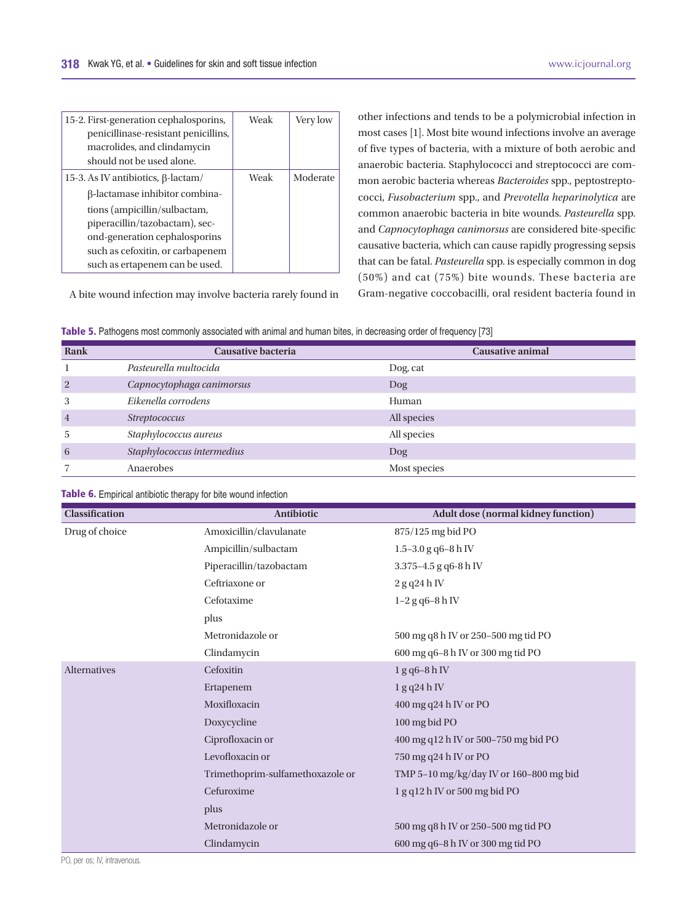| 15-2. First-generation cephalosporins,    | Weak | Very low |
|-------------------------------------------|------|----------|
| penicillinase-resistant penicillins,      |      |          |
| macrolides, and clindamycin               |      |          |
| should not be used alone.                 |      |          |
| 15-3. As IV antibiotics, $\beta$ -lactam/ | Weak | Moderate |
| β-lactamase inhibitor combina-            |      |          |
| tions (ampicillin/sulbactam,              |      |          |
| piperacillin/tazobactam), sec-            |      |          |
| ond-generation cephalosporins             |      |          |
| such as cefoxitin, or carbapenem          |      |          |
| such as ertapenem can be used.            |      |          |
|                                           |      |          |

A bite wound infection may involve bacteria rarely found in

other infections and tends to be a polymicrobial infection in most cases [1]. Most bite wound infections involve an average of five types of bacteria, with a mixture of both aerobic and anaerobic bacteria. Staphylococci and streptococci are common aerobic bacteria whereas *Bacteroides* spp., peptostreptococci, *Fusobacterium* spp., and *Prevotella heparinolytica* are common anaerobic bacteria in bite wounds. *Pasteurella* spp. and *Capnocytophaga canimorsus* are considered bite-specific causative bacteria, which can cause rapidly progressing sepsis that can be fatal. *Pasteurella* spp. is especially common in dog (50%) and cat (75%) bite wounds. These bacteria are Gram-negative coccobacilli, oral resident bacteria found in

| Table 5. Pathogens most commonly associated with animal and human bites, in decreasing order of frequency [73] |  |  |
|----------------------------------------------------------------------------------------------------------------|--|--|
|                                                                                                                |  |  |

| Rank           | Causative bacteria         | <b>Causative animal</b> |
|----------------|----------------------------|-------------------------|
|                | Pasteurella multocida      | Dog, cat                |
| $\overline{2}$ | Capnocytophaga canimorsus  | Dog                     |
| 3              | Eikenella corrodens        | Human                   |
| $\overline{4}$ | <b>Streptococcus</b>       | All species             |
| 5              | Staphylococcus aureus      | All species             |
| 6              | Staphylococcus intermedius | Dog                     |
|                | Anaerobes                  | Most species            |

Table 6. Empirical antibiotic therapy for bite wound infection

| <b>Classification</b> | Antibiotic                       | Adult dose (normal kidney function)     |
|-----------------------|----------------------------------|-----------------------------------------|
| Drug of choice        | Amoxicillin/clavulanate          | 875/125 mg bid PO                       |
|                       | Ampicillin/sulbactam             | 1.5-3.0 g q6-8 h IV                     |
|                       | Piperacillin/tazobactam          | 3.375-4.5 g q6-8 h IV                   |
|                       | Ceftriaxone or                   | $2$ g q24 h IV                          |
|                       | Cefotaxime                       | $1-2$ g q6-8 h IV                       |
|                       | plus                             |                                         |
|                       | Metronidazole or                 | 500 mg q8 h IV or 250-500 mg tid PO     |
|                       | Clindamycin                      | 600 mg q6-8 h IV or 300 mg tid PO       |
| <b>Alternatives</b>   | Cefoxitin                        | $1 g q6 - 8 h IV$                       |
|                       | Ertapenem                        | $1$ g q24 h IV                          |
|                       | Moxifloxacin                     | 400 mg q24 h IV or PO                   |
|                       | Doxycycline                      | 100 mg bid PO                           |
|                       | Ciprofloxacin or                 | 400 mg q12 h IV or 500-750 mg bid PO    |
|                       | Levofloxacin or                  | 750 mg q24 h IV or PO                   |
|                       | Trimethoprim-sulfamethoxazole or | TMP 5-10 mg/kg/day IV or 160-800 mg bid |
|                       | Cefuroxime                       | 1 g q12 h IV or 500 mg bid PO           |
|                       | plus                             |                                         |
|                       | Metronidazole or                 | 500 mg q8 h IV or 250-500 mg tid PO     |
|                       | Clindamycin                      | 600 mg q6-8 h IV or 300 mg tid PO       |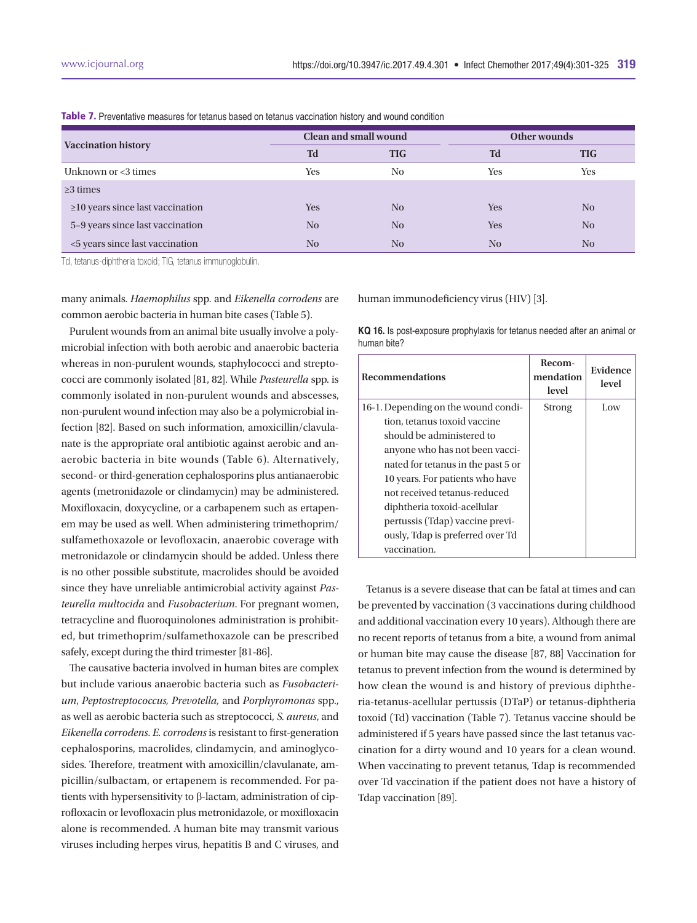|                                        | <b>Clean and small wound</b> |                |           | Other wounds |
|----------------------------------------|------------------------------|----------------|-----------|--------------|
| <b>Vaccination history</b>             | <b>Td</b>                    | <b>TIG</b>     | <b>Td</b> | <b>TIG</b>   |
| Unknown or <3 times                    | Yes                          | N <sub>0</sub> | Yes       | Yes          |
| $\geq$ 3 times                         |                              |                |           |              |
| $\geq$ 10 years since last vaccination | Yes                          | N <sub>0</sub> | Yes       | $\rm No$     |
| 5-9 years since last vaccination       | $\rm No$                     | N <sub>0</sub> | Yes       | $\rm No$     |
| <5 years since last vaccination        | $\rm No$                     | N <sub>0</sub> | $\rm No$  | No           |

Table 7. Preventative measures for tetanus based on tetanus vaccination history and wound condition

Td, tetanus-diphtheria toxoid; TIG, tetanus immunoglobulin.

many animals. *Haemophilus* spp. and *Eikenella corrodens* are common aerobic bacteria in human bite cases (Table 5).

Purulent wounds from an animal bite usually involve a polymicrobial infection with both aerobic and anaerobic bacteria whereas in non-purulent wounds, staphylococci and streptococci are commonly isolated [81, 82]. While *Pasteurella* spp. is commonly isolated in non-purulent wounds and abscesses, non-purulent wound infection may also be a polymicrobial infection [82]. Based on such information, amoxicillin/clavulanate is the appropriate oral antibiotic against aerobic and anaerobic bacteria in bite wounds (Table 6). Alternatively, second- or third-generation cephalosporins plus antianaerobic agents (metronidazole or clindamycin) may be administered. Moxifloxacin, doxycycline, or a carbapenem such as ertapenem may be used as well. When administering trimethoprim/ sulfamethoxazole or levofloxacin, anaerobic coverage with metronidazole or clindamycin should be added. Unless there is no other possible substitute, macrolides should be avoided since they have unreliable antimicrobial activity against *Pasteurella multocida* and *Fusobacterium*. For pregnant women, tetracycline and fluoroquinolones administration is prohibited, but trimethoprim/sulfamethoxazole can be prescribed safely, except during the third trimester [81-86].

The causative bacteria involved in human bites are complex but include various anaerobic bacteria such as *Fusobacterium*, *Peptostreptococcus, Prevotella,* and *Porphyromonas* spp., as well as aerobic bacteria such as streptococci, *S. aureus*, and *Eikenella corrodens*. *E. corrodens* is resistant to first-generation cephalosporins, macrolides, clindamycin, and aminoglycosides. Therefore, treatment with amoxicillin/clavulanate, ampicillin/sulbactam, or ertapenem is recommended. For patients with hypersensitivity to β-lactam, administration of ciprofloxacin or levofloxacin plus metronidazole, or moxifloxacin alone is recommended. A human bite may transmit various viruses including herpes virus, hepatitis B and C viruses, and

human immunodeficiency virus (HIV) [3].

**KQ 16.** Is post-exposure prophylaxis for tetanus needed after an animal or human bite?

| <b>Recommendations</b>              | Recom-<br>mendation<br>level | Evidence<br>level |
|-------------------------------------|------------------------------|-------------------|
| 16-1. Depending on the wound condi- | Strong                       | Low               |
| tion, tetanus toxoid vaccine        |                              |                   |
| should be administered to           |                              |                   |
| anyone who has not been vacci-      |                              |                   |
| nated for tetanus in the past 5 or  |                              |                   |
| 10 years. For patients who have     |                              |                   |
| not received tetanus-reduced        |                              |                   |
| diphtheria toxoid-acellular         |                              |                   |
| pertussis (Tdap) vaccine previ-     |                              |                   |
| ously, Tdap is preferred over Td    |                              |                   |
| vaccination.                        |                              |                   |

Tetanus is a severe disease that can be fatal at times and can be prevented by vaccination (3 vaccinations during childhood and additional vaccination every 10 years). Although there are no recent reports of tetanus from a bite, a wound from animal or human bite may cause the disease [87, 88] Vaccination for tetanus to prevent infection from the wound is determined by how clean the wound is and history of previous diphtheria-tetanus-acellular pertussis (DTaP) or tetanus-diphtheria toxoid (Td) vaccination (Table 7). Tetanus vaccine should be administered if 5 years have passed since the last tetanus vaccination for a dirty wound and 10 years for a clean wound. When vaccinating to prevent tetanus, Tdap is recommended over Td vaccination if the patient does not have a history of Tdap vaccination [89].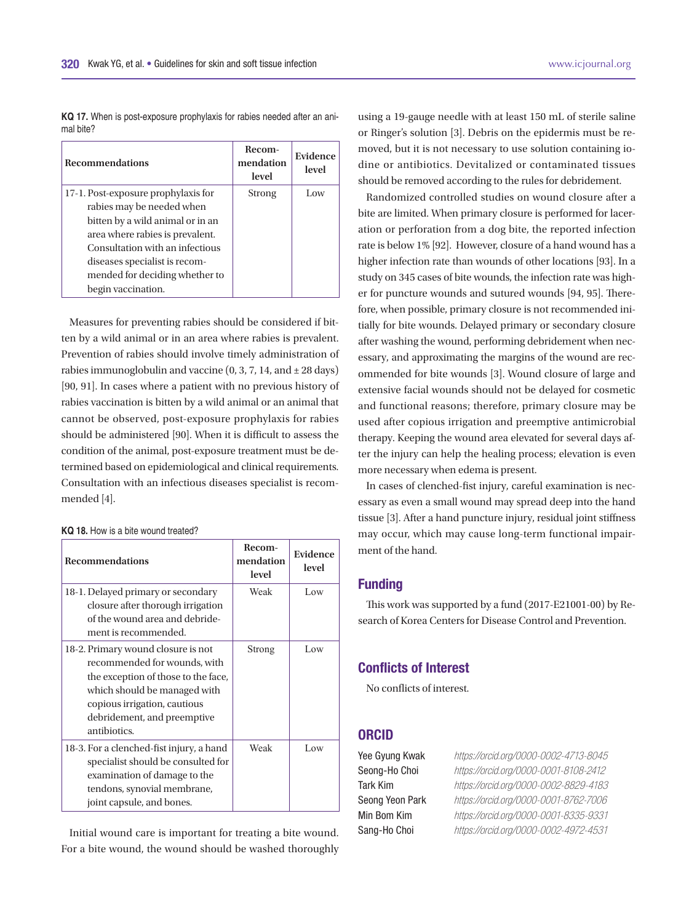|           |  | KQ 17. When is post-exposure prophylaxis for rabies needed after an ani- |  |  |  |  |  |
|-----------|--|--------------------------------------------------------------------------|--|--|--|--|--|
| mal bite? |  |                                                                          |  |  |  |  |  |

| <b>Recommendations</b>                                              | Recom-<br>mendation<br>level | Evidence<br>level |
|---------------------------------------------------------------------|------------------------------|-------------------|
| 17-1. Post-exposure prophylaxis for<br>rabies may be needed when    | Strong                       | Low               |
| bitten by a wild animal or in an<br>area where rabies is prevalent. |                              |                   |
| Consultation with an infectious<br>diseases specialist is recom-    |                              |                   |
| mended for deciding whether to<br>begin vaccination.                |                              |                   |

Measures for preventing rabies should be considered if bitten by a wild animal or in an area where rabies is prevalent. Prevention of rabies should involve timely administration of rabies immunoglobulin and vaccine  $(0, 3, 7, 14,$  and  $\pm 28$  days) [90, 91]. In cases where a patient with no previous history of rabies vaccination is bitten by a wild animal or an animal that cannot be observed, post-exposure prophylaxis for rabies should be administered [90]. When it is difficult to assess the condition of the animal, post-exposure treatment must be determined based on epidemiological and clinical requirements. Consultation with an infectious diseases specialist is recommended [4].

#### **KQ 18.** How is a bite wound treated?

| <b>Recommendations</b>                                                                                                                                                                                                   | Recom-<br>mendation<br>level | Evidence<br>level |
|--------------------------------------------------------------------------------------------------------------------------------------------------------------------------------------------------------------------------|------------------------------|-------------------|
| 18-1. Delayed primary or secondary<br>closure after thorough irrigation<br>of the wound area and debride-<br>ment is recommended.                                                                                        | Weak                         | Low               |
| 18-2. Primary wound closure is not<br>recommended for wounds, with<br>the exception of those to the face,<br>which should be managed with<br>copious irrigation, cautious<br>debridement, and preemptive<br>antibiotics. | Strong                       | Low               |
| 18-3. For a clenched-fist injury, a hand<br>specialist should be consulted for<br>examination of damage to the<br>tendons, synovial membrane,<br>joint capsule, and bones.                                               | Weak                         | Low               |

Initial wound care is important for treating a bite wound. For a bite wound, the wound should be washed thoroughly using a 19-gauge needle with at least 150 mL of sterile saline or Ringer's solution [3]. Debris on the epidermis must be removed, but it is not necessary to use solution containing iodine or antibiotics. Devitalized or contaminated tissues should be removed according to the rules for debridement.

Randomized controlled studies on wound closure after a bite are limited. When primary closure is performed for laceration or perforation from a dog bite, the reported infection rate is below 1% [92]. However, closure of a hand wound has a higher infection rate than wounds of other locations [93]. In a study on 345 cases of bite wounds, the infection rate was higher for puncture wounds and sutured wounds [94, 95]. Therefore, when possible, primary closure is not recommended initially for bite wounds. Delayed primary or secondary closure after washing the wound, performing debridement when necessary, and approximating the margins of the wound are recommended for bite wounds [3]. Wound closure of large and extensive facial wounds should not be delayed for cosmetic and functional reasons; therefore, primary closure may be used after copious irrigation and preemptive antimicrobial therapy. Keeping the wound area elevated for several days after the injury can help the healing process; elevation is even more necessary when edema is present.

In cases of clenched-fist injury, careful examination is necessary as even a small wound may spread deep into the hand tissue [3]. After a hand puncture injury, residual joint stiffness may occur, which may cause long-term functional impairment of the hand.

## **Funding**

This work was supported by a fund (2017-E21001-00) by Research of Korea Centers for Disease Control and Prevention.

# **Conflicts of Interest**

No conflicts of interest.

# **ORCID**

Yee Gyung Kwak https://orcid.org/0000-0002-4713-8045 Seong-Ho Choi https://orcid.org/0000-0001-8108-2412 Tark Kim https://orcid.org/0000-0002-8829-4183 Seong Yeon Park https://orcid.org/0000-0001-8762-7006 Min Bom Kim https://orcid.org/0000-0001-8335-9331 Sang-Ho Choi https://orcid.org/0000-0002-4972-4531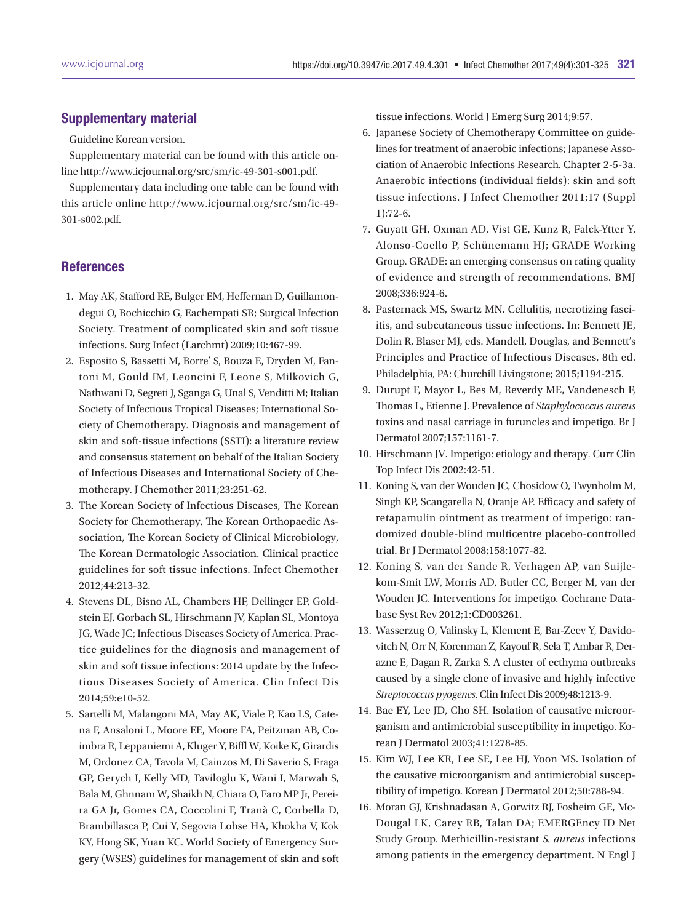# **Supplementary material**

Guideline Korean version.

Supplementary material can be found with this article online http://www.icjournal.org/src/sm/ic-49-301-s001.pdf.

Supplementary data including one table can be found with this article online http://www.icjournal.org/src/sm/ic-49- 301-s002.pdf.

# **References**

- 1. [May AK,](https://www.ncbi.nlm.nih.gov/pubmed/?term=May%20AK%5BAuthor%5D&cauthor=true&cauthor_uid=19860574) [Stafford RE](https://www.ncbi.nlm.nih.gov/pubmed/?term=Stafford%20RE%5BAuthor%5D&cauthor=true&cauthor_uid=19860574), [Bulger EM](https://www.ncbi.nlm.nih.gov/pubmed/?term=Bulger%20EM%5BAuthor%5D&cauthor=true&cauthor_uid=19860574), [Heffernan D,](https://www.ncbi.nlm.nih.gov/pubmed/?term=Heffernan%20D%5BAuthor%5D&cauthor=true&cauthor_uid=19860574) [Guillamon](https://www.ncbi.nlm.nih.gov/pubmed/?term=Guillamondegui%20O%5BAuthor%5D&cauthor=true&cauthor_uid=19860574)[degui O,](https://www.ncbi.nlm.nih.gov/pubmed/?term=Guillamondegui%20O%5BAuthor%5D&cauthor=true&cauthor_uid=19860574) [Bochicchio G](https://www.ncbi.nlm.nih.gov/pubmed/?term=Bochicchio%20G%5BAuthor%5D&cauthor=true&cauthor_uid=19860574), [Eachempati SR](https://www.ncbi.nlm.nih.gov/pubmed/?term=Eachempati%20SR%5BAuthor%5D&cauthor=true&cauthor_uid=19860574); [Surgical Infection](https://www.ncbi.nlm.nih.gov/pubmed/?term=Surgical%20Infection%20Society%5BCorporate%20Author%5D)  [Society](https://www.ncbi.nlm.nih.gov/pubmed/?term=Surgical%20Infection%20Society%5BCorporate%20Author%5D). Treatment of complicated skin and soft tissue infections. Surg Infect (Larchmt) 2009;10:467-99.
- 2. [Esposito S](https://www.ncbi.nlm.nih.gov/pubmed/?term=Esposito%20S%5BAuthor%5D&cauthor=true&cauthor_uid=22005055), [Bassetti M](https://www.ncbi.nlm.nih.gov/pubmed/?term=Bassetti%20M%5BAuthor%5D&cauthor=true&cauthor_uid=22005055), [Borre' S](https://www.ncbi.nlm.nih.gov/pubmed/?term=Borre), [Bouza E,](https://www.ncbi.nlm.nih.gov/pubmed/?term=Bouza%20E%5BAuthor%5D&cauthor=true&cauthor_uid=22005055) [Dryden M](https://www.ncbi.nlm.nih.gov/pubmed/?term=Dryden%20M%5BAuthor%5D&cauthor=true&cauthor_uid=22005055), [Fan](https://www.ncbi.nlm.nih.gov/pubmed/?term=Fantoni%20M%5BAuthor%5D&cauthor=true&cauthor_uid=22005055)[toni M,](https://www.ncbi.nlm.nih.gov/pubmed/?term=Fantoni%20M%5BAuthor%5D&cauthor=true&cauthor_uid=22005055) [Gould IM,](https://www.ncbi.nlm.nih.gov/pubmed/?term=Gould%20IM%5BAuthor%5D&cauthor=true&cauthor_uid=22005055) [Leoncini F](https://www.ncbi.nlm.nih.gov/pubmed/?term=Leoncini%20F%5BAuthor%5D&cauthor=true&cauthor_uid=22005055), [Leone S](https://www.ncbi.nlm.nih.gov/pubmed/?term=Leone%20S%5BAuthor%5D&cauthor=true&cauthor_uid=22005055), [Milkovich G,](https://www.ncbi.nlm.nih.gov/pubmed/?term=Milkovich%20G%5BAuthor%5D&cauthor=true&cauthor_uid=22005055) [Nathwani D,](https://www.ncbi.nlm.nih.gov/pubmed/?term=Nathwani%20D%5BAuthor%5D&cauthor=true&cauthor_uid=22005055) [Segreti J](https://www.ncbi.nlm.nih.gov/pubmed/?term=Segreti%20J%5BAuthor%5D&cauthor=true&cauthor_uid=22005055), [Sganga G](https://www.ncbi.nlm.nih.gov/pubmed/?term=Sganga%20G%5BAuthor%5D&cauthor=true&cauthor_uid=22005055), [Unal S,](https://www.ncbi.nlm.nih.gov/pubmed/?term=Unal%20S%5BAuthor%5D&cauthor=true&cauthor_uid=22005055) [Venditti M](https://www.ncbi.nlm.nih.gov/pubmed/?term=Venditti%20M%5BAuthor%5D&cauthor=true&cauthor_uid=22005055); [Italian](https://www.ncbi.nlm.nih.gov/pubmed/?term=Italian%20Society%20of%20Infectious%20Tropical%20Diseases%5BCorporate%20Author%5D)  [Society of Infectious Tropical Diseases;](https://www.ncbi.nlm.nih.gov/pubmed/?term=Italian%20Society%20of%20Infectious%20Tropical%20Diseases%5BCorporate%20Author%5D) [International So](https://www.ncbi.nlm.nih.gov/pubmed/?term=International%20Society%20of%20Chemotherapy%5BCorporate%20Author%5D)[ciety of Chemotherapy.](https://www.ncbi.nlm.nih.gov/pubmed/?term=International%20Society%20of%20Chemotherapy%5BCorporate%20Author%5D) Diagnosis and management of skin and soft-tissue infections (SSTI): a literature review and consensus statement on behalf of the Italian Society of Infectious Diseases and International Society of Chemotherapy. J Chemother 2011;23:251-62.
- 3. The Korean Society of Infectious Diseases, The Korean Society for Chemotherapy, The Korean Orthopaedic Association, The Korean Society of Clinical Microbiology, The Korean Dermatologic Association. Clinical practice guidelines for soft tissue infections. Infect Chemother 2012;44:213-32.
- 4. [Stevens DL](https://www.ncbi.nlm.nih.gov/pubmed/?term=Stevens%20DL%5BAuthor%5D&cauthor=true&cauthor_uid=24973422), [Bisno AL](https://www.ncbi.nlm.nih.gov/pubmed/?term=Bisno%20AL%5BAuthor%5D&cauthor=true&cauthor_uid=24973422), [Chambers HF](https://www.ncbi.nlm.nih.gov/pubmed/?term=Chambers%20HF%5BAuthor%5D&cauthor=true&cauthor_uid=24973422), [Dellinger EP](https://www.ncbi.nlm.nih.gov/pubmed/?term=Dellinger%20EP%5BAuthor%5D&cauthor=true&cauthor_uid=24973422), [Gold](https://www.ncbi.nlm.nih.gov/pubmed/?term=Goldstein%20EJ%5BAuthor%5D&cauthor=true&cauthor_uid=24973422)[stein EJ,](https://www.ncbi.nlm.nih.gov/pubmed/?term=Goldstein%20EJ%5BAuthor%5D&cauthor=true&cauthor_uid=24973422) [Gorbach SL,](https://www.ncbi.nlm.nih.gov/pubmed/?term=Gorbach%20SL%5BAuthor%5D&cauthor=true&cauthor_uid=24973422) [Hirschmann JV](https://www.ncbi.nlm.nih.gov/pubmed/?term=Hirschmann%20JV%5BAuthor%5D&cauthor=true&cauthor_uid=24973422), [Kaplan SL](https://www.ncbi.nlm.nih.gov/pubmed/?term=Kaplan%20SL%5BAuthor%5D&cauthor=true&cauthor_uid=24973422), [Montoya](https://www.ncbi.nlm.nih.gov/pubmed/?term=Montoya%20JG%5BAuthor%5D&cauthor=true&cauthor_uid=24973422)  [JG,](https://www.ncbi.nlm.nih.gov/pubmed/?term=Montoya%20JG%5BAuthor%5D&cauthor=true&cauthor_uid=24973422) [Wade JC;](https://www.ncbi.nlm.nih.gov/pubmed/?term=Wade%20JC%5BAuthor%5D&cauthor=true&cauthor_uid=24973422) [Infectious Diseases Society of America](https://www.ncbi.nlm.nih.gov/pubmed/?term=Infectious%20Diseases%20Society%20of%20America%5BCorporate%20Author%5D). Practice guidelines for the diagnosis and management of skin and soft tissue infections: 2014 update by the Infectious Diseases Society of America. Clin Infect Dis 2014;59:e10-52.
- 5. [Sartelli M,](https://www.ncbi.nlm.nih.gov/pubmed/?term=Sartelli%20M%5BAuthor%5D&cauthor=true&cauthor_uid=25422671) [Malangoni MA](https://www.ncbi.nlm.nih.gov/pubmed/?term=Malangoni%20MA%5BAuthor%5D&cauthor=true&cauthor_uid=25422671), [May AK](https://www.ncbi.nlm.nih.gov/pubmed/?term=May%20AK%5BAuthor%5D&cauthor=true&cauthor_uid=25422671), [Viale P](https://www.ncbi.nlm.nih.gov/pubmed/?term=Viale%20P%5BAuthor%5D&cauthor=true&cauthor_uid=25422671), [Kao LS,](https://www.ncbi.nlm.nih.gov/pubmed/?term=Kao%20LS%5BAuthor%5D&cauthor=true&cauthor_uid=25422671) [Cate](https://www.ncbi.nlm.nih.gov/pubmed/?term=Catena%20F%5BAuthor%5D&cauthor=true&cauthor_uid=25422671)[na F,](https://www.ncbi.nlm.nih.gov/pubmed/?term=Catena%20F%5BAuthor%5D&cauthor=true&cauthor_uid=25422671) [Ansaloni L,](https://www.ncbi.nlm.nih.gov/pubmed/?term=Ansaloni%20L%5BAuthor%5D&cauthor=true&cauthor_uid=25422671) [Moore EE,](https://www.ncbi.nlm.nih.gov/pubmed/?term=Moore%20EE%5BAuthor%5D&cauthor=true&cauthor_uid=25422671) [Moore FA](https://www.ncbi.nlm.nih.gov/pubmed/?term=Moore%20FA%5BAuthor%5D&cauthor=true&cauthor_uid=25422671), [Peitzman AB,](https://www.ncbi.nlm.nih.gov/pubmed/?term=Peitzman%20AB%5BAuthor%5D&cauthor=true&cauthor_uid=25422671) [Co](https://www.ncbi.nlm.nih.gov/pubmed/?term=Coimbra%20R%5BAuthor%5D&cauthor=true&cauthor_uid=25422671)[imbra R,](https://www.ncbi.nlm.nih.gov/pubmed/?term=Coimbra%20R%5BAuthor%5D&cauthor=true&cauthor_uid=25422671) [Leppaniemi A](https://www.ncbi.nlm.nih.gov/pubmed/?term=Leppaniemi%20A%5BAuthor%5D&cauthor=true&cauthor_uid=25422671), [Kluger Y](https://www.ncbi.nlm.nih.gov/pubmed/?term=Kluger%20Y%5BAuthor%5D&cauthor=true&cauthor_uid=25422671), [Biffl W](https://www.ncbi.nlm.nih.gov/pubmed/?term=Biffl%20W%5BAuthor%5D&cauthor=true&cauthor_uid=25422671), [Koike K,](https://www.ncbi.nlm.nih.gov/pubmed/?term=Koike%20K%5BAuthor%5D&cauthor=true&cauthor_uid=25422671) [Girardis](https://www.ncbi.nlm.nih.gov/pubmed/?term=Girardis%20M%5BAuthor%5D&cauthor=true&cauthor_uid=25422671)  [M,](https://www.ncbi.nlm.nih.gov/pubmed/?term=Girardis%20M%5BAuthor%5D&cauthor=true&cauthor_uid=25422671) [Ordonez CA,](https://www.ncbi.nlm.nih.gov/pubmed/?term=Ordonez%20CA%5BAuthor%5D&cauthor=true&cauthor_uid=25422671) [Tavola M](https://www.ncbi.nlm.nih.gov/pubmed/?term=Tavola%20M%5BAuthor%5D&cauthor=true&cauthor_uid=25422671), [Cainzos M](https://www.ncbi.nlm.nih.gov/pubmed/?term=Cainzos%20M%5BAuthor%5D&cauthor=true&cauthor_uid=25422671), [Di Saverio S](https://www.ncbi.nlm.nih.gov/pubmed/?term=Di%20Saverio%20S%5BAuthor%5D&cauthor=true&cauthor_uid=25422671), [Fraga](https://www.ncbi.nlm.nih.gov/pubmed/?term=Fraga%20GP%5BAuthor%5D&cauthor=true&cauthor_uid=25422671)  [GP,](https://www.ncbi.nlm.nih.gov/pubmed/?term=Fraga%20GP%5BAuthor%5D&cauthor=true&cauthor_uid=25422671) [Gerych I,](https://www.ncbi.nlm.nih.gov/pubmed/?term=Gerych%20I%5BAuthor%5D&cauthor=true&cauthor_uid=25422671) [Kelly MD](https://www.ncbi.nlm.nih.gov/pubmed/?term=Kelly%20MD%5BAuthor%5D&cauthor=true&cauthor_uid=25422671), [Taviloglu K,](https://www.ncbi.nlm.nih.gov/pubmed/?term=Taviloglu%20K%5BAuthor%5D&cauthor=true&cauthor_uid=25422671) [Wani I](https://www.ncbi.nlm.nih.gov/pubmed/?term=Wani%20I%5BAuthor%5D&cauthor=true&cauthor_uid=25422671), [Marwah S,](https://www.ncbi.nlm.nih.gov/pubmed/?term=Marwah%20S%5BAuthor%5D&cauthor=true&cauthor_uid=25422671) [Bala M,](https://www.ncbi.nlm.nih.gov/pubmed/?term=Bala%20M%5BAuthor%5D&cauthor=true&cauthor_uid=25422671) [Ghnnam W,](https://www.ncbi.nlm.nih.gov/pubmed/?term=Ghnnam%20W%5BAuthor%5D&cauthor=true&cauthor_uid=25422671) [Shaikh N](https://www.ncbi.nlm.nih.gov/pubmed/?term=Shaikh%20N%5BAuthor%5D&cauthor=true&cauthor_uid=25422671), [Chiara O](https://www.ncbi.nlm.nih.gov/pubmed/?term=Chiara%20O%5BAuthor%5D&cauthor=true&cauthor_uid=25422671), [Faro MP Jr](https://www.ncbi.nlm.nih.gov/pubmed/?term=Faro%20MP%20Jr%5BAuthor%5D&cauthor=true&cauthor_uid=25422671), [Perei](https://www.ncbi.nlm.nih.gov/pubmed/?term=Pereira%20GA%20Jr%5BAuthor%5D&cauthor=true&cauthor_uid=25422671)[ra GA Jr,](https://www.ncbi.nlm.nih.gov/pubmed/?term=Pereira%20GA%20Jr%5BAuthor%5D&cauthor=true&cauthor_uid=25422671) [Gomes CA,](https://www.ncbi.nlm.nih.gov/pubmed/?term=Gomes%20CA%5BAuthor%5D&cauthor=true&cauthor_uid=25422671) [Coccolini F,](https://www.ncbi.nlm.nih.gov/pubmed/?term=Coccolini%20F%5BAuthor%5D&cauthor=true&cauthor_uid=25422671) [Tranà C,](https://www.ncbi.nlm.nih.gov/pubmed/?term=Tran%C3%A0%20C%5BAuthor%5D&cauthor=true&cauthor_uid=25422671) [Corbella D,](https://www.ncbi.nlm.nih.gov/pubmed/?term=Corbella%20D%5BAuthor%5D&cauthor=true&cauthor_uid=25422671) [Brambillasca P,](https://www.ncbi.nlm.nih.gov/pubmed/?term=Brambillasca%20P%5BAuthor%5D&cauthor=true&cauthor_uid=25422671) [Cui Y,](https://www.ncbi.nlm.nih.gov/pubmed/?term=Cui%20Y%5BAuthor%5D&cauthor=true&cauthor_uid=25422671) [Segovia Lohse HA,](https://www.ncbi.nlm.nih.gov/pubmed/?term=Segovia%20Lohse%20HA%5BAuthor%5D&cauthor=true&cauthor_uid=25422671) [Khokha V](https://www.ncbi.nlm.nih.gov/pubmed/?term=Khokha%20V%5BAuthor%5D&cauthor=true&cauthor_uid=25422671), [Kok](https://www.ncbi.nlm.nih.gov/pubmed/?term=Kok%20KY%5BAuthor%5D&cauthor=true&cauthor_uid=25422671)  [KY](https://www.ncbi.nlm.nih.gov/pubmed/?term=Kok%20KY%5BAuthor%5D&cauthor=true&cauthor_uid=25422671), [Hong SK,](https://www.ncbi.nlm.nih.gov/pubmed/?term=Hong%20SK%5BAuthor%5D&cauthor=true&cauthor_uid=25422671) [Yuan KC](https://www.ncbi.nlm.nih.gov/pubmed/?term=Yuan%20KC%5BAuthor%5D&cauthor=true&cauthor_uid=25422671). World Society of Emergency Surgery (WSES) guidelines for management of skin and soft

tissue infections. World J Emerg Surg 2014;9:57.

- 6. [Japanese Society of Chemotherapy Committee on guide](https://www.ncbi.nlm.nih.gov/pubmed/?term=Japanese%20Society%20of%20Chemotherapy%20Committee%20on%20guidelines%20for%20treatment%20of%20anaerobic%20infections%5BCorporate%20Author%5D)[lines for treatment of anaerobic infections](https://www.ncbi.nlm.nih.gov/pubmed/?term=Japanese%20Society%20of%20Chemotherapy%20Committee%20on%20guidelines%20for%20treatment%20of%20anaerobic%20infections%5BCorporate%20Author%5D); [Japanese Asso](https://www.ncbi.nlm.nih.gov/pubmed/?term=Japanese%20Association%20of%20Anaerobic%20Infections%20Research%5BCorporate%20Author%5D)[ciation of Anaerobic Infections Research.](https://www.ncbi.nlm.nih.gov/pubmed/?term=Japanese%20Association%20of%20Anaerobic%20Infections%20Research%5BCorporate%20Author%5D) Chapter 2-5-3a. Anaerobic infections (individual fields): skin and soft tissue infections. J Infect Chemother 2011;17 (Suppl 1):72-6.
- 7. [Guyatt GH](https://www.ncbi.nlm.nih.gov/pubmed/?term=Guyatt%20GH%5BAuthor%5D&cauthor=true&cauthor_uid=18436948), [Oxman AD](https://www.ncbi.nlm.nih.gov/pubmed/?term=Oxman%20AD%5BAuthor%5D&cauthor=true&cauthor_uid=18436948), [Vist GE,](https://www.ncbi.nlm.nih.gov/pubmed/?term=Vist%20GE%5BAuthor%5D&cauthor=true&cauthor_uid=18436948) [Kunz R](https://www.ncbi.nlm.nih.gov/pubmed/?term=Kunz%20R%5BAuthor%5D&cauthor=true&cauthor_uid=18436948), [Falck-Ytter Y](https://www.ncbi.nlm.nih.gov/pubmed/?term=Falck-Ytter%20Y%5BAuthor%5D&cauthor=true&cauthor_uid=18436948), [Alonso-Coello P,](https://www.ncbi.nlm.nih.gov/pubmed/?term=Alonso-Coello%20P%5BAuthor%5D&cauthor=true&cauthor_uid=18436948) [Schünemann HJ;](https://www.ncbi.nlm.nih.gov/pubmed/?term=Sch%C3%BCnemann%20HJ%5BAuthor%5D&cauthor=true&cauthor_uid=18436948) [GRADE Working](https://www.ncbi.nlm.nih.gov/pubmed/?term=GRADE%20Working%20Group%5BCorporate%20Author%5D) [Group.](https://www.ncbi.nlm.nih.gov/pubmed/?term=GRADE%20Working%20Group%5BCorporate%20Author%5D) GRADE: an emerging consensus on rating quality of evidence and strength of recommendations. BMJ 2008;336:924-6.
- 8. Pasternack MS, Swartz MN. Cellulitis, necrotizing fasciitis, and subcutaneous tissue infections. In: Bennett JE, Dolin R, Blaser MJ, eds. Mandell, Douglas, and Bennett's Principles and Practice of Infectious Diseases, 8th ed. Philadelphia, PA: Churchill Livingstone; 2015;1194-215.
- 9. Durupt F, Mayor L, Bes M, Reverdy ME, Vandenesch F, Thomas L, Etienne J. Prevalence of *Staphylococcus aureus* toxins and nasal carriage in furuncles and impetigo. Br J Dermatol 2007;157:1161-7.
- 10. [Hirschmann JV](https://www.ncbi.nlm.nih.gov/pubmed/?term=Hirschmann%20JV%5BAuthor%5D&cauthor=true&cauthor_uid=12520646). Impetigo: etiology and therapy. Curr Clin Top Infect Dis 2002:42-51.
- 11. [Koning S,](https://www.ncbi.nlm.nih.gov/pubmed/?term=Koning%20S%5BAuthor%5D&cauthor=true&cauthor_uid=18341664) [van der Wouden JC](https://www.ncbi.nlm.nih.gov/pubmed/?term=van%20der%20Wouden%20JC%5BAuthor%5D&cauthor=true&cauthor_uid=18341664), [Chosidow O,](https://www.ncbi.nlm.nih.gov/pubmed/?term=Chosidow%20O%5BAuthor%5D&cauthor=true&cauthor_uid=18341664) [Twynholm M](https://www.ncbi.nlm.nih.gov/pubmed/?term=Twynholm%20M%5BAuthor%5D&cauthor=true&cauthor_uid=18341664), [Singh KP](https://www.ncbi.nlm.nih.gov/pubmed/?term=Singh%20KP%5BAuthor%5D&cauthor=true&cauthor_uid=18341664), [Scangarella N](https://www.ncbi.nlm.nih.gov/pubmed/?term=Scangarella%20N%5BAuthor%5D&cauthor=true&cauthor_uid=18341664), [Oranje AP](https://www.ncbi.nlm.nih.gov/pubmed/?term=Oranje%20AP%5BAuthor%5D&cauthor=true&cauthor_uid=18341664). Efficacy and safety of retapamulin ointment as treatment of impetigo: randomized double‐blind multicentre placebo‐controlled trial. Br J Dermatol 2008;158:1077-82.
- 12. [Koning S](https://www.ncbi.nlm.nih.gov/pubmed/?term=Koning%20S%5BAuthor%5D&cauthor=true&cauthor_uid=22258953), [van der Sande R,](https://www.ncbi.nlm.nih.gov/pubmed/?term=van%20der%20Sande%20R%5BAuthor%5D&cauthor=true&cauthor_uid=22258953) [Verhagen AP,](https://www.ncbi.nlm.nih.gov/pubmed/?term=Verhagen%20AP%5BAuthor%5D&cauthor=true&cauthor_uid=22258953) [van Suijle](https://www.ncbi.nlm.nih.gov/pubmed/?term=van%20Suijlekom-Smit%20LW%5BAuthor%5D&cauthor=true&cauthor_uid=22258953)[kom-Smit LW](https://www.ncbi.nlm.nih.gov/pubmed/?term=van%20Suijlekom-Smit%20LW%5BAuthor%5D&cauthor=true&cauthor_uid=22258953), [Morris AD](https://www.ncbi.nlm.nih.gov/pubmed/?term=Morris%20AD%5BAuthor%5D&cauthor=true&cauthor_uid=22258953), [Butler CC,](https://www.ncbi.nlm.nih.gov/pubmed/?term=Butler%20CC%5BAuthor%5D&cauthor=true&cauthor_uid=22258953) [Berger M,](https://www.ncbi.nlm.nih.gov/pubmed/?term=Berger%20M%5BAuthor%5D&cauthor=true&cauthor_uid=22258953) [van der](https://www.ncbi.nlm.nih.gov/pubmed/?term=van%20der%20Wouden%20JC%5BAuthor%5D&cauthor=true&cauthor_uid=22258953) [Wouden JC.](https://www.ncbi.nlm.nih.gov/pubmed/?term=van%20der%20Wouden%20JC%5BAuthor%5D&cauthor=true&cauthor_uid=22258953) Interventions for impetigo. Cochrane Database Syst Rev 2012;1:CD003261.
- 13. [Wasserzug O](https://www.ncbi.nlm.nih.gov/pubmed/?term=Wasserzug%20O%5BAuthor%5D&cauthor=true&cauthor_uid=19331587), [Valinsky L,](https://www.ncbi.nlm.nih.gov/pubmed/?term=Valinsky%20L%5BAuthor%5D&cauthor=true&cauthor_uid=19331587) [Klement E](https://www.ncbi.nlm.nih.gov/pubmed/?term=Klement%20E%5BAuthor%5D&cauthor=true&cauthor_uid=19331587), [Bar-Zeev Y,](https://www.ncbi.nlm.nih.gov/pubmed/?term=Bar-Zeev%20Y%5BAuthor%5D&cauthor=true&cauthor_uid=19331587) [Davido](https://www.ncbi.nlm.nih.gov/pubmed/?term=Davidovitch%20N%5BAuthor%5D&cauthor=true&cauthor_uid=19331587)[vitch N,](https://www.ncbi.nlm.nih.gov/pubmed/?term=Davidovitch%20N%5BAuthor%5D&cauthor=true&cauthor_uid=19331587) [Orr N,](https://www.ncbi.nlm.nih.gov/pubmed/?term=Orr%20N%5BAuthor%5D&cauthor=true&cauthor_uid=19331587) [Korenman Z,](https://www.ncbi.nlm.nih.gov/pubmed/?term=Korenman%20Z%5BAuthor%5D&cauthor=true&cauthor_uid=19331587) [Kayouf R,](https://www.ncbi.nlm.nih.gov/pubmed/?term=Kayouf%20R%5BAuthor%5D&cauthor=true&cauthor_uid=19331587) [Sela T,](https://www.ncbi.nlm.nih.gov/pubmed/?term=Sela%20T%5BAuthor%5D&cauthor=true&cauthor_uid=19331587) [Ambar R,](https://www.ncbi.nlm.nih.gov/pubmed/?term=Ambar%20R%5BAuthor%5D&cauthor=true&cauthor_uid=19331587) [Der](https://www.ncbi.nlm.nih.gov/pubmed/?term=Derazne%20E%5BAuthor%5D&cauthor=true&cauthor_uid=19331587)[azne E,](https://www.ncbi.nlm.nih.gov/pubmed/?term=Derazne%20E%5BAuthor%5D&cauthor=true&cauthor_uid=19331587) [Dagan R](https://www.ncbi.nlm.nih.gov/pubmed/?term=Dagan%20R%5BAuthor%5D&cauthor=true&cauthor_uid=19331587), [Zarka S.](https://www.ncbi.nlm.nih.gov/pubmed/?term=Zarka%20S%5BAuthor%5D&cauthor=true&cauthor_uid=19331587) A cluster of ecthyma outbreaks caused by a single clone of invasive and highly infective *Streptococcus pyogenes*. Clin Infect Dis 2009;48:1213-9.
- 14. Bae EY, Lee JD, Cho SH. Isolation of causative microorganism and antimicrobial susceptibility in impetigo. Korean J Dermatol 2003;41:1278-85.
- 15. Kim WJ, Lee KR, Lee SE, Lee HJ, Yoon MS. Isolation of the causative microorganism and antimicrobial susceptibility of impetigo. Korean J Dermatol 2012;50:788-94.
- 16. [Moran GJ,](https://www.ncbi.nlm.nih.gov/pubmed/?term=Moran%20GJ%5BAuthor%5D&cauthor=true&cauthor_uid=16914702) [Krishnadasan A](https://www.ncbi.nlm.nih.gov/pubmed/?term=Krishnadasan%20A%5BAuthor%5D&cauthor=true&cauthor_uid=16914702), [Gorwitz RJ,](https://www.ncbi.nlm.nih.gov/pubmed/?term=Gorwitz%20RJ%5BAuthor%5D&cauthor=true&cauthor_uid=16914702) [Fosheim GE](https://www.ncbi.nlm.nih.gov/pubmed/?term=Fosheim%20GE%5BAuthor%5D&cauthor=true&cauthor_uid=16914702), [Mc-](https://www.ncbi.nlm.nih.gov/pubmed/?term=McDougal%20LK%5BAuthor%5D&cauthor=true&cauthor_uid=16914702)[Dougal LK](https://www.ncbi.nlm.nih.gov/pubmed/?term=McDougal%20LK%5BAuthor%5D&cauthor=true&cauthor_uid=16914702), [Carey RB,](https://www.ncbi.nlm.nih.gov/pubmed/?term=Carey%20RB%5BAuthor%5D&cauthor=true&cauthor_uid=16914702) [Talan DA](https://www.ncbi.nlm.nih.gov/pubmed/?term=Talan%20DA%5BAuthor%5D&cauthor=true&cauthor_uid=16914702); [EMERGEncy ID Net](https://www.ncbi.nlm.nih.gov/pubmed/?term=EMERGEncy%20ID%20Net%20Study%20Group%5BCorporate%20Author%5D) [Study Group.](https://www.ncbi.nlm.nih.gov/pubmed/?term=EMERGEncy%20ID%20Net%20Study%20Group%5BCorporate%20Author%5D) Methicillin-resistant *S. aureus* infections among patients in the emergency department. N Engl J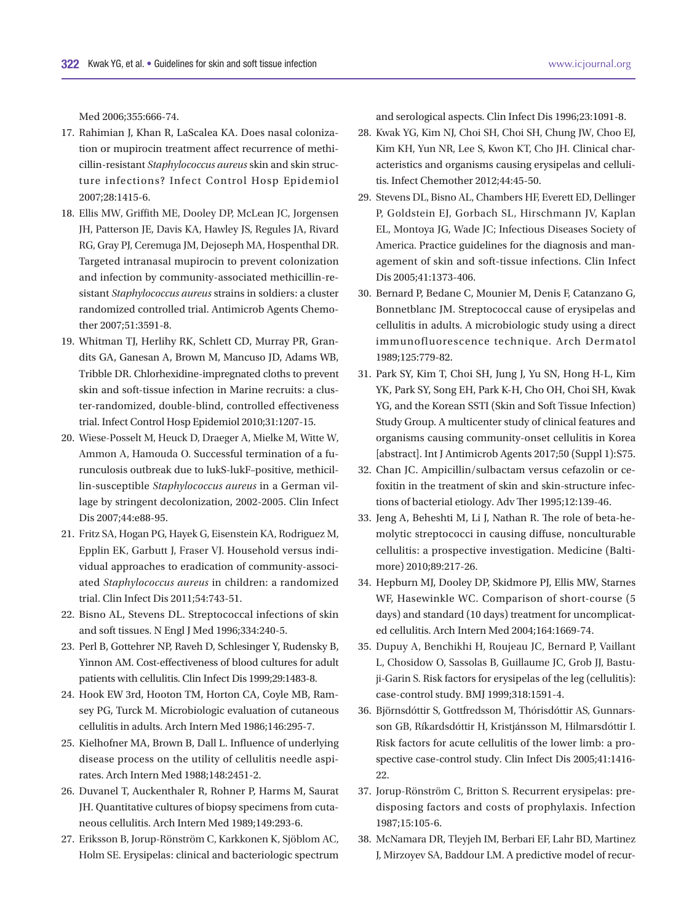Med 2006;355:666-74.

- 17. Rahimian J, Khan R, LaScalea KA. Does nasal colonization or mupirocin treatment affect recurrence of methicillin-resistant *Staphylococcus aureus* skin and skin structure infections? Infect Control Hosp Epidemiol 2007;28:1415-6.
- 18. [Ellis MW,](https://www.ncbi.nlm.nih.gov/pubmed/?term=Ellis%20MW%5BAuthor%5D&cauthor=true&cauthor_uid=17682105) [Griffith ME](https://www.ncbi.nlm.nih.gov/pubmed/?term=Griffith%20ME%5BAuthor%5D&cauthor=true&cauthor_uid=17682105), [Dooley DP,](https://www.ncbi.nlm.nih.gov/pubmed/?term=Dooley%20DP%5BAuthor%5D&cauthor=true&cauthor_uid=17682105) [McLean JC,](https://www.ncbi.nlm.nih.gov/pubmed/?term=McLean%20JC%5BAuthor%5D&cauthor=true&cauthor_uid=17682105) [Jorgensen](https://www.ncbi.nlm.nih.gov/pubmed/?term=Jorgensen%20JH%5BAuthor%5D&cauthor=true&cauthor_uid=17682105)  [JH](https://www.ncbi.nlm.nih.gov/pubmed/?term=Jorgensen%20JH%5BAuthor%5D&cauthor=true&cauthor_uid=17682105), [Patterson JE](https://www.ncbi.nlm.nih.gov/pubmed/?term=Patterson%20JE%5BAuthor%5D&cauthor=true&cauthor_uid=17682105), [Davis KA](https://www.ncbi.nlm.nih.gov/pubmed/?term=Davis%20KA%5BAuthor%5D&cauthor=true&cauthor_uid=17682105), [Hawley JS,](https://www.ncbi.nlm.nih.gov/pubmed/?term=Hawley%20JS%5BAuthor%5D&cauthor=true&cauthor_uid=17682105) [Regules JA](https://www.ncbi.nlm.nih.gov/pubmed/?term=Regules%20JA%5BAuthor%5D&cauthor=true&cauthor_uid=17682105), [Rivard](https://www.ncbi.nlm.nih.gov/pubmed/?term=Rivard%20RG%5BAuthor%5D&cauthor=true&cauthor_uid=17682105)  [RG,](https://www.ncbi.nlm.nih.gov/pubmed/?term=Rivard%20RG%5BAuthor%5D&cauthor=true&cauthor_uid=17682105) [Gray PJ](https://www.ncbi.nlm.nih.gov/pubmed/?term=Gray%20PJ%5BAuthor%5D&cauthor=true&cauthor_uid=17682105), [Ceremuga JM](https://www.ncbi.nlm.nih.gov/pubmed/?term=Ceremuga%20JM%5BAuthor%5D&cauthor=true&cauthor_uid=17682105), [Dejoseph MA,](https://www.ncbi.nlm.nih.gov/pubmed/?term=Dejoseph%20MA%5BAuthor%5D&cauthor=true&cauthor_uid=17682105) [Hospenthal DR.](https://www.ncbi.nlm.nih.gov/pubmed/?term=Hospenthal%20DR%5BAuthor%5D&cauthor=true&cauthor_uid=17682105) Targeted intranasal mupirocin to prevent colonization and infection by community-associated methicillin-resistant *Staphylococcus aureus* strains in soldiers: a cluster randomized controlled trial. Antimicrob Agents Chemother 2007;51:3591-8.
- 19. Whitman TJ, Herlihy RK, Schlett CD, Murray PR, Grandits GA, Ganesan A, Brown M, Mancuso JD, Adams WB, Tribble DR. Chlorhexidine-impregnated cloths to prevent skin and soft-tissue infection in Marine recruits: a cluster-randomized, double-blind, controlled effectiveness trial. Infect Control Hosp Epidemiol 2010;31:1207-15.
- 20. [Wiese-Posselt M,](https://www.ncbi.nlm.nih.gov/pubmed/?term=Wiese-Posselt%20M%5BAuthor%5D&cauthor=true&cauthor_uid=17479931) [Heuck D,](https://www.ncbi.nlm.nih.gov/pubmed/?term=Heuck%20D%5BAuthor%5D&cauthor=true&cauthor_uid=17479931) [Draeger A](https://www.ncbi.nlm.nih.gov/pubmed/?term=Draeger%20A%5BAuthor%5D&cauthor=true&cauthor_uid=17479931), [Mielke M,](https://www.ncbi.nlm.nih.gov/pubmed/?term=Mielke%20M%5BAuthor%5D&cauthor=true&cauthor_uid=17479931) [Witte W,](https://www.ncbi.nlm.nih.gov/pubmed/?term=Witte%20W%5BAuthor%5D&cauthor=true&cauthor_uid=17479931) [Ammon A](https://www.ncbi.nlm.nih.gov/pubmed/?term=Ammon%20A%5BAuthor%5D&cauthor=true&cauthor_uid=17479931), [Hamouda O.](https://www.ncbi.nlm.nih.gov/pubmed/?term=Hamouda%20O%5BAuthor%5D&cauthor=true&cauthor_uid=17479931) Successful termination of a furunculosis outbreak due to lukS-lukF–positive, methicillin-susceptible *Staphylococcus aureus* in a German village by stringent decolonization, 2002-2005. Clin Infect Dis 2007;44:e88-95.
- 21. [Fritz SA,](https://www.ncbi.nlm.nih.gov/pubmed/?term=Fritz%20SA%5BAuthor%5D&cauthor=true&cauthor_uid=22198793) [Hogan PG,](https://www.ncbi.nlm.nih.gov/pubmed/?term=Hogan%20PG%5BAuthor%5D&cauthor=true&cauthor_uid=22198793) [Hayek G,](https://www.ncbi.nlm.nih.gov/pubmed/?term=Hayek%20G%5BAuthor%5D&cauthor=true&cauthor_uid=22198793) [Eisenstein KA,](https://www.ncbi.nlm.nih.gov/pubmed/?term=Eisenstein%20KA%5BAuthor%5D&cauthor=true&cauthor_uid=22198793) [Rodriguez M,](https://www.ncbi.nlm.nih.gov/pubmed/?term=Rodriguez%20M%5BAuthor%5D&cauthor=true&cauthor_uid=22198793) [Epplin EK,](https://www.ncbi.nlm.nih.gov/pubmed/?term=Epplin%20EK%5BAuthor%5D&cauthor=true&cauthor_uid=22198793) [Garbutt J,](https://www.ncbi.nlm.nih.gov/pubmed/?term=Garbutt%20J%5BAuthor%5D&cauthor=true&cauthor_uid=22198793) [Fraser VJ.](https://www.ncbi.nlm.nih.gov/pubmed/?term=Fraser%20VJ%5BAuthor%5D&cauthor=true&cauthor_uid=22198793) Household versus individual approaches to eradication of community-associated *Staphylococcus aureus* in children: a randomized trial. Clin Infect Dis 2011;54:743-51.
- 22. Bisno AL, Stevens DL. Streptococcal infections of skin and soft tissues. N Engl J Med 1996;334:240-5.
- 23. Perl B, Gottehrer NP, Raveh D, Schlesinger Y, Rudensky B, Yinnon AM. Cost-effectiveness of blood cultures for adult patients with cellulitis. Clin Infect Dis 1999;29:1483-8.
- 24. Hook EW 3rd, Hooton TM, Horton CA, Coyle MB, Ramsey PG, Turck M. Microbiologic evaluation of cutaneous cellulitis in adults. Arch Intern Med 1986;146:295-7.
- 25. Kielhofner MA, Brown B, Dall L. Influence of underlying disease process on the utility of cellulitis needle aspirates. Arch Intern Med 1988;148:2451-2.
- 26. Duvanel T, Auckenthaler R, Rohner P, Harms M, Saurat JH. Quantitative cultures of biopsy specimens from cutaneous cellulitis. Arch Intern Med 1989;149:293-6.
- 27. [Eriksson B](https://www.ncbi.nlm.nih.gov/pubmed/?term=Eriksson%20B%5BAuthor%5D&cauthor=true&cauthor_uid=8922808), [Jorup-Rönström C](https://www.ncbi.nlm.nih.gov/pubmed/?term=Jorup-R%C3%B6nstr%C3%B6m%20C%5BAuthor%5D&cauthor=true&cauthor_uid=8922808), [Karkkonen K](https://www.ncbi.nlm.nih.gov/pubmed/?term=Karkkonen%20K%5BAuthor%5D&cauthor=true&cauthor_uid=8922808), [Sjöblom AC,](https://www.ncbi.nlm.nih.gov/pubmed/?term=Sj%C3%B6blom%20AC%5BAuthor%5D&cauthor=true&cauthor_uid=8922808) [Holm SE](https://www.ncbi.nlm.nih.gov/pubmed/?term=Holm%20SE%5BAuthor%5D&cauthor=true&cauthor_uid=8922808). Erysipelas: clinical and bacteriologic spectrum

and serological aspects. Clin Infect Dis 1996;23:1091-8.

- 28. Kwak YG, Kim NJ, Choi SH, Choi SH, Chung JW, Choo EJ, Kim KH, Yun NR, Lee S, Kwon KT, Cho JH. Clinical characteristics and organisms causing erysipelas and cellulitis. Infect Chemother 2012;44:45-50.
- 29. [Stevens DL,](https://www.ncbi.nlm.nih.gov/pubmed/?term=Stevens%20DL%5BAuthor%5D&cauthor=true&cauthor_uid=16231249) [Bisno AL](https://www.ncbi.nlm.nih.gov/pubmed/?term=Bisno%20AL%5BAuthor%5D&cauthor=true&cauthor_uid=16231249), [Chambers HF](https://www.ncbi.nlm.nih.gov/pubmed/?term=Chambers%20HF%5BAuthor%5D&cauthor=true&cauthor_uid=16231249), [Everett ED,](https://www.ncbi.nlm.nih.gov/pubmed/?term=Everett%20ED%5BAuthor%5D&cauthor=true&cauthor_uid=16231249) [Dellinger](https://www.ncbi.nlm.nih.gov/pubmed/?term=Dellinger%20P%5BAuthor%5D&cauthor=true&cauthor_uid=16231249) [P,](https://www.ncbi.nlm.nih.gov/pubmed/?term=Dellinger%20P%5BAuthor%5D&cauthor=true&cauthor_uid=16231249) [Goldstein EJ,](https://www.ncbi.nlm.nih.gov/pubmed/?term=Goldstein%20EJ%5BAuthor%5D&cauthor=true&cauthor_uid=16231249) [Gorbach SL,](https://www.ncbi.nlm.nih.gov/pubmed/?term=Gorbach%20SL%5BAuthor%5D&cauthor=true&cauthor_uid=16231249) [Hirschmann JV,](https://www.ncbi.nlm.nih.gov/pubmed/?term=Hirschmann%20JV%5BAuthor%5D&cauthor=true&cauthor_uid=16231249) [Kaplan](https://www.ncbi.nlm.nih.gov/pubmed/?term=Kaplan%20EL%5BAuthor%5D&cauthor=true&cauthor_uid=16231249) [EL](https://www.ncbi.nlm.nih.gov/pubmed/?term=Kaplan%20EL%5BAuthor%5D&cauthor=true&cauthor_uid=16231249), [Montoya JG,](https://www.ncbi.nlm.nih.gov/pubmed/?term=Montoya%20JG%5BAuthor%5D&cauthor=true&cauthor_uid=16231249) [Wade JC;](https://www.ncbi.nlm.nih.gov/pubmed/?term=Wade%20JC%5BAuthor%5D&cauthor=true&cauthor_uid=16231249) [Infectious Diseases Society of](https://www.ncbi.nlm.nih.gov/pubmed/?term=Infectious%20Diseases%20Society%20of%20America%5BCorporate%20Author%5D) [America.](https://www.ncbi.nlm.nih.gov/pubmed/?term=Infectious%20Diseases%20Society%20of%20America%5BCorporate%20Author%5D) Practice guidelines for the diagnosis and management of skin and soft-tissue infections. Clin Infect Dis 2005;41:1373-406.
- 30. Bernard P, Bedane C, Mounier M, Denis F, Catanzano G, Bonnetblanc JM. Streptococcal cause of erysipelas and cellulitis in adults. A microbiologic study using a direct immunofluorescence technique. Arch Dermatol 1989;125:779-82.
- 31. Park SY, Kim T, Choi SH, Jung J, Yu SN, Hong H-L, Kim YK, Park SY, Song EH, Park K-H, Cho OH, Choi SH, Kwak YG, and the Korean SSTI (Skin and Soft Tissue Infection) Study Group. A multicenter study of clinical features and organisms causing community-onset cellulitis in Korea [abstract]. Int J Antimicrob Agents 2017;50 (Suppl 1):S75.
- 32. Chan JC. Ampicillin/sulbactam versus cefazolin or cefoxitin in the treatment of skin and skin-structure infections of bacterial etiology. Adv Ther 1995;12:139-46.
- 33. Jeng A, Beheshti M, Li J, Nathan R. The role of beta-hemolytic streptococci in causing diffuse, nonculturable cellulitis: a prospective investigation. Medicine (Baltimore) 2010;89:217-26.
- 34. Hepburn MJ, Dooley DP, Skidmore PJ, Ellis MW, Starnes WF, Hasewinkle WC. Comparison of short-course (5 days) and standard (10 days) treatment for uncomplicated cellulitis. Arch Intern Med 2004;164:1669-74.
- 35. [Dupuy A,](https://www.ncbi.nlm.nih.gov/pubmed/?term=Dupuy%20A%5BAuthor%5D&cauthor=true&cauthor_uid=10364117) [Benchikhi H,](https://www.ncbi.nlm.nih.gov/pubmed/?term=Benchikhi%20H%5BAuthor%5D&cauthor=true&cauthor_uid=10364117) [Roujeau JC](https://www.ncbi.nlm.nih.gov/pubmed/?term=Roujeau%20JC%5BAuthor%5D&cauthor=true&cauthor_uid=10364117), [Bernard P,](https://www.ncbi.nlm.nih.gov/pubmed/?term=Bernard%20P%5BAuthor%5D&cauthor=true&cauthor_uid=10364117) [Vaillant](https://www.ncbi.nlm.nih.gov/pubmed/?term=Vaillant%20L%5BAuthor%5D&cauthor=true&cauthor_uid=10364117) [L,](https://www.ncbi.nlm.nih.gov/pubmed/?term=Vaillant%20L%5BAuthor%5D&cauthor=true&cauthor_uid=10364117) [Chosidow O,](https://www.ncbi.nlm.nih.gov/pubmed/?term=Chosidow%20O%5BAuthor%5D&cauthor=true&cauthor_uid=10364117) [Sassolas B](https://www.ncbi.nlm.nih.gov/pubmed/?term=Sassolas%20B%5BAuthor%5D&cauthor=true&cauthor_uid=10364117), [Guillaume JC,](https://www.ncbi.nlm.nih.gov/pubmed/?term=Guillaume%20JC%5BAuthor%5D&cauthor=true&cauthor_uid=10364117) [Grob JJ](https://www.ncbi.nlm.nih.gov/pubmed/?term=Grob%20JJ%5BAuthor%5D&cauthor=true&cauthor_uid=10364117), [Bastu](https://www.ncbi.nlm.nih.gov/pubmed/?term=Bastuji-Garin%20S%5BAuthor%5D&cauthor=true&cauthor_uid=10364117)[ji-Garin S](https://www.ncbi.nlm.nih.gov/pubmed/?term=Bastuji-Garin%20S%5BAuthor%5D&cauthor=true&cauthor_uid=10364117). Risk factors for erysipelas of the leg (cellulitis): case-control study. BMJ 1999;318:1591-4.
- 36. [Björnsdóttir S,](https://www.ncbi.nlm.nih.gov/pubmed/?term=Bj%C3%B6rnsd%C3%B3ttir%20S%5BAuthor%5D&cauthor=true&cauthor_uid=16231251) [Gottfredsson M](https://www.ncbi.nlm.nih.gov/pubmed/?term=Gottfredsson%20M%5BAuthor%5D&cauthor=true&cauthor_uid=16231251), [Thórisdóttir AS](https://www.ncbi.nlm.nih.gov/pubmed/?term=Th%C3%B3risd%C3%B3ttir%20AS%5BAuthor%5D&cauthor=true&cauthor_uid=16231251), [Gunnars](https://www.ncbi.nlm.nih.gov/pubmed/?term=Gunnarsson%20GB%5BAuthor%5D&cauthor=true&cauthor_uid=16231251)[son GB,](https://www.ncbi.nlm.nih.gov/pubmed/?term=Gunnarsson%20GB%5BAuthor%5D&cauthor=true&cauthor_uid=16231251) [Ríkardsdóttir H](https://www.ncbi.nlm.nih.gov/pubmed/?term=R%C3%ADkardsd%C3%B3ttir%20H%5BAuthor%5D&cauthor=true&cauthor_uid=16231251), [Kristjánsson M,](https://www.ncbi.nlm.nih.gov/pubmed/?term=Kristj%C3%A1nsson%20M%5BAuthor%5D&cauthor=true&cauthor_uid=16231251) [Hilmarsdóttir I](https://www.ncbi.nlm.nih.gov/pubmed/?term=Hilmarsd%C3%B3ttir%20I%5BAuthor%5D&cauthor=true&cauthor_uid=16231251). Risk factors for acute cellulitis of the lower limb: a prospective case-control study. Clin Infect Dis 2005;41:1416- 22.
- 37. [Jorup-Rönström C](https://www.ncbi.nlm.nih.gov/pubmed/?term=Jorup-R%C3%B6nstr%C3%B6m%20C%5BAuthor%5D&cauthor=true&cauthor_uid=3110071), [Britton S](https://www.ncbi.nlm.nih.gov/pubmed/?term=Britton%20S%5BAuthor%5D&cauthor=true&cauthor_uid=3110071). Recurrent erysipelas: predisposing factors and costs of prophylaxis. Infection 1987;15:105-6.
- 38. [McNamara DR,](https://www.ncbi.nlm.nih.gov/pubmed/?term=McNamara%20DR%5BAuthor%5D&cauthor=true&cauthor_uid=17420430) [Tleyjeh IM](https://www.ncbi.nlm.nih.gov/pubmed/?term=Tleyjeh%20IM%5BAuthor%5D&cauthor=true&cauthor_uid=17420430), [Berbari EF](https://www.ncbi.nlm.nih.gov/pubmed/?term=Berbari%20EF%5BAuthor%5D&cauthor=true&cauthor_uid=17420430), [Lahr BD,](https://www.ncbi.nlm.nih.gov/pubmed/?term=Lahr%20BD%5BAuthor%5D&cauthor=true&cauthor_uid=17420430) [Martinez](https://www.ncbi.nlm.nih.gov/pubmed/?term=Martinez%20J%5BAuthor%5D&cauthor=true&cauthor_uid=17420430) [J,](https://www.ncbi.nlm.nih.gov/pubmed/?term=Martinez%20J%5BAuthor%5D&cauthor=true&cauthor_uid=17420430) [Mirzoyev SA,](https://www.ncbi.nlm.nih.gov/pubmed/?term=Mirzoyev%20SA%5BAuthor%5D&cauthor=true&cauthor_uid=17420430) [Baddour LM.](https://www.ncbi.nlm.nih.gov/pubmed/?term=Baddour%20LM%5BAuthor%5D&cauthor=true&cauthor_uid=17420430) A predictive model of recur-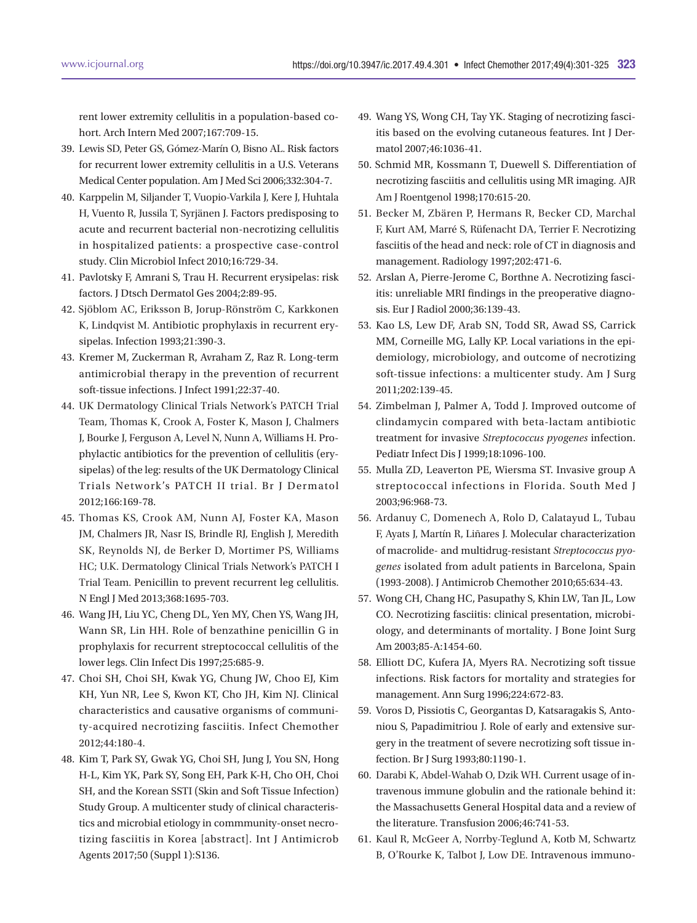rent lower extremity cellulitis in a population-based cohort. Arch Intern Med 2007;167:709-15.

- 39. [Lewis SD](https://www.ncbi.nlm.nih.gov/pubmed/?term=Lewis%20SD%5BAuthor%5D&cauthor=true&cauthor_uid=17170620), [Peter GS](https://www.ncbi.nlm.nih.gov/pubmed/?term=Peter%20GS%5BAuthor%5D&cauthor=true&cauthor_uid=17170620), [Gómez-Marín O](https://www.ncbi.nlm.nih.gov/pubmed/?term=G%C3%B3mez-Mar%C3%ADn%20O%5BAuthor%5D&cauthor=true&cauthor_uid=17170620), [Bisno AL](https://www.ncbi.nlm.nih.gov/pubmed/?term=Bisno%20AL%5BAuthor%5D&cauthor=true&cauthor_uid=17170620). Risk factors for recurrent lower extremity cellulitis in a U.S. Veterans Medical Center population. Am J Med Sci 2006;332:304-7.
- 40. [Karppelin M](https://www.ncbi.nlm.nih.gov/pubmed/?term=Karppelin%20M%5BAuthor%5D&cauthor=true&cauthor_uid=19694769), [Siljander T,](https://www.ncbi.nlm.nih.gov/pubmed/?term=Siljander%20T%5BAuthor%5D&cauthor=true&cauthor_uid=19694769) [Vuopio-Varkila J](https://www.ncbi.nlm.nih.gov/pubmed/?term=Vuopio-Varkila%20J%5BAuthor%5D&cauthor=true&cauthor_uid=19694769), [Kere J](https://www.ncbi.nlm.nih.gov/pubmed/?term=Kere%20J%5BAuthor%5D&cauthor=true&cauthor_uid=19694769), [Huhtala](https://www.ncbi.nlm.nih.gov/pubmed/?term=Huhtala%20H%5BAuthor%5D&cauthor=true&cauthor_uid=19694769)  [H](https://www.ncbi.nlm.nih.gov/pubmed/?term=Huhtala%20H%5BAuthor%5D&cauthor=true&cauthor_uid=19694769), [Vuento R,](https://www.ncbi.nlm.nih.gov/pubmed/?term=Vuento%20R%5BAuthor%5D&cauthor=true&cauthor_uid=19694769) [Jussila T](https://www.ncbi.nlm.nih.gov/pubmed/?term=Jussila%20T%5BAuthor%5D&cauthor=true&cauthor_uid=19694769), [Syrjänen J](https://www.ncbi.nlm.nih.gov/pubmed/?term=Syrj%C3%A4nen%20J%5BAuthor%5D&cauthor=true&cauthor_uid=19694769). Factors predisposing to acute and recurrent bacterial non-necrotizing cellulitis in hospitalized patients: a prospective case-control study. Clin Microbiol Infect 2010;16:729-34.
- 41. Pavlotsky F, Amrani S, Trau H. Recurrent erysipelas: risk factors. J Dtsch Dermatol Ges 2004;2:89-95.
- 42. [Sjöblom AC,](https://www.ncbi.nlm.nih.gov/pubmed/?term=Sj%C3%B6blom%20AC%5BAuthor%5D&cauthor=true&cauthor_uid=8132369) [Eriksson B](https://www.ncbi.nlm.nih.gov/pubmed/?term=Eriksson%20B%5BAuthor%5D&cauthor=true&cauthor_uid=8132369), [Jorup-Rönström C,](https://www.ncbi.nlm.nih.gov/pubmed/?term=Jorup-R%C3%B6nstr%C3%B6m%20C%5BAuthor%5D&cauthor=true&cauthor_uid=8132369) [Karkkonen](https://www.ncbi.nlm.nih.gov/pubmed/?term=Karkkonen%20K%5BAuthor%5D&cauthor=true&cauthor_uid=8132369)  [K,](https://www.ncbi.nlm.nih.gov/pubmed/?term=Karkkonen%20K%5BAuthor%5D&cauthor=true&cauthor_uid=8132369) [Lindqvist M](https://www.ncbi.nlm.nih.gov/pubmed/?term=Lindqvist%20M%5BAuthor%5D&cauthor=true&cauthor_uid=8132369). Antibiotic prophylaxis in recurrent erysipelas. Infection 1993;21:390-3.
- 43. Kremer M, Zuckerman R, Avraham Z, Raz R. Long-term antimicrobial therapy in the prevention of recurrent soft-tissue infections. J Infect 1991;22:37-40.
- 44. [UK Dermatology Clinical Trials Network's PATCH Trial](https://www.ncbi.nlm.nih.gov/pubmed/?term=UK%20Dermatology%20Clinical%20Trials%20Network%E2%80%99s%20PATCH%20Trial%20Team%5BCorporate%20Author%5D)  [Team,](https://www.ncbi.nlm.nih.gov/pubmed/?term=UK%20Dermatology%20Clinical%20Trials%20Network%E2%80%99s%20PATCH%20Trial%20Team%5BCorporate%20Author%5D) [Thomas K,](https://www.ncbi.nlm.nih.gov/pubmed/?term=Thomas%20K%5BAuthor%5D&cauthor=true&cauthor_uid=21910701) [Crook A](https://www.ncbi.nlm.nih.gov/pubmed/?term=Crook%20A%5BAuthor%5D&cauthor=true&cauthor_uid=21910701), [Foster K](https://www.ncbi.nlm.nih.gov/pubmed/?term=Foster%20K%5BAuthor%5D&cauthor=true&cauthor_uid=21910701), [Mason J,](https://www.ncbi.nlm.nih.gov/pubmed/?term=Mason%20J%5BAuthor%5D&cauthor=true&cauthor_uid=21910701) [Chalmers](https://www.ncbi.nlm.nih.gov/pubmed/?term=Chalmers%20J%5BAuthor%5D&cauthor=true&cauthor_uid=21910701)  [J](https://www.ncbi.nlm.nih.gov/pubmed/?term=Chalmers%20J%5BAuthor%5D&cauthor=true&cauthor_uid=21910701), [Bourke J](https://www.ncbi.nlm.nih.gov/pubmed/?term=Bourke%20J%5BAuthor%5D&cauthor=true&cauthor_uid=21910701), [Ferguson A,](https://www.ncbi.nlm.nih.gov/pubmed/?term=Ferguson%20A%5BAuthor%5D&cauthor=true&cauthor_uid=21910701) [Level N,](https://www.ncbi.nlm.nih.gov/pubmed/?term=Level%20N%5BAuthor%5D&cauthor=true&cauthor_uid=21910701) [Nunn A](https://www.ncbi.nlm.nih.gov/pubmed/?term=Nunn%20A%5BAuthor%5D&cauthor=true&cauthor_uid=21910701), [Williams H](https://www.ncbi.nlm.nih.gov/pubmed/?term=Williams%20H%5BAuthor%5D&cauthor=true&cauthor_uid=21910701). Prophylactic antibiotics for the prevention of cellulitis (erysipelas) of the leg: results of the UK Dermatology Clinical Tr ials Network 's PATCH II trial. Br J Dermatol 2012;166:169-78.
- 45. [Thomas KS,](https://www.ncbi.nlm.nih.gov/pubmed/?term=Thomas%20KS%5BAuthor%5D&cauthor=true&cauthor_uid=23635049) [Crook AM](https://www.ncbi.nlm.nih.gov/pubmed/?term=Crook%20AM%5BAuthor%5D&cauthor=true&cauthor_uid=23635049), [Nunn AJ](https://www.ncbi.nlm.nih.gov/pubmed/?term=Nunn%20AJ%5BAuthor%5D&cauthor=true&cauthor_uid=23635049), [Foster KA,](https://www.ncbi.nlm.nih.gov/pubmed/?term=Foster%20KA%5BAuthor%5D&cauthor=true&cauthor_uid=23635049) [Mason](https://www.ncbi.nlm.nih.gov/pubmed/?term=Mason%20JM%5BAuthor%5D&cauthor=true&cauthor_uid=23635049)  [JM,](https://www.ncbi.nlm.nih.gov/pubmed/?term=Mason%20JM%5BAuthor%5D&cauthor=true&cauthor_uid=23635049) [Chalmers JR](https://www.ncbi.nlm.nih.gov/pubmed/?term=Chalmers%20JR%5BAuthor%5D&cauthor=true&cauthor_uid=23635049), [Nasr IS](https://www.ncbi.nlm.nih.gov/pubmed/?term=Nasr%20IS%5BAuthor%5D&cauthor=true&cauthor_uid=23635049), [Brindle RJ,](https://www.ncbi.nlm.nih.gov/pubmed/?term=Brindle%20RJ%5BAuthor%5D&cauthor=true&cauthor_uid=23635049) [English J,](https://www.ncbi.nlm.nih.gov/pubmed/?term=English%20J%5BAuthor%5D&cauthor=true&cauthor_uid=23635049) [Meredith](https://www.ncbi.nlm.nih.gov/pubmed/?term=Meredith%20SK%5BAuthor%5D&cauthor=true&cauthor_uid=23635049)  [SK](https://www.ncbi.nlm.nih.gov/pubmed/?term=Meredith%20SK%5BAuthor%5D&cauthor=true&cauthor_uid=23635049), [Reynolds NJ,](https://www.ncbi.nlm.nih.gov/pubmed/?term=Reynolds%20NJ%5BAuthor%5D&cauthor=true&cauthor_uid=23635049) [de Berker D,](https://www.ncbi.nlm.nih.gov/pubmed/?term=de%20Berker%20D%5BAuthor%5D&cauthor=true&cauthor_uid=23635049) [Mortimer PS](https://www.ncbi.nlm.nih.gov/pubmed/?term=Mortimer%20PS%5BAuthor%5D&cauthor=true&cauthor_uid=23635049), [Williams](https://www.ncbi.nlm.nih.gov/pubmed/?term=Williams%20HC%5BAuthor%5D&cauthor=true&cauthor_uid=23635049)  [HC](https://www.ncbi.nlm.nih.gov/pubmed/?term=Williams%20HC%5BAuthor%5D&cauthor=true&cauthor_uid=23635049); [U.K. Dermatology Clinical Trials Network's PATCH I](https://www.ncbi.nlm.nih.gov/pubmed/?term=U.K.%20Dermatology%20Clinical%20Trials%20Network%27s%20PATCH%20I%20Trial%20Team%5BCorporate%20Author%5D)  [Trial Team](https://www.ncbi.nlm.nih.gov/pubmed/?term=U.K.%20Dermatology%20Clinical%20Trials%20Network%27s%20PATCH%20I%20Trial%20Team%5BCorporate%20Author%5D). Penicillin to prevent recurrent leg cellulitis. N Engl J Med 2013;368:1695-703.
- 46. Wang JH, Liu YC, Cheng DL, Yen MY, Chen YS, Wang JH, Wann SR, Lin HH. Role of benzathine penicillin G in prophylaxis for recurrent streptococcal cellulitis of the lower legs. Clin Infect Dis 1997;25:685-9.
- 47. Choi SH, Choi SH, Kwak YG, Chung JW, Choo EJ, Kim KH, Yun NR, Lee S, Kwon KT, Cho JH, Kim NJ. Clinical characteristics and causative organisms of community-acquired necrotizing fasciitis. Infect Chemother 2012;44:180-4.
- 48. Kim T, Park SY, Gwak YG, Choi SH, Jung J, You SN, Hong H-L, Kim YK, Park SY, Song EH, Park K-H, Cho OH, Choi SH, and the Korean SSTI (Skin and Soft Tissue Infection) Study Group. A multicenter study of clinical characteristics and microbial etiology in commmunity-onset necrotizing fasciitis in Korea [abstract]. Int J Antimicrob Agents 2017;50 (Suppl 1):S136.
- 49. Wang YS, Wong CH, Tay YK. Staging of necrotizing fasciitis based on the evolving cutaneous features. Int J Dermatol 2007;46:1036-41.
- 50. Schmid MR, Kossmann T, Duewell S. Differentiation of necrotizing fasciitis and cellulitis using MR imaging. [AJR](https://www.ncbi.nlm.nih.gov/pubmed/?term=Schmid+MR%2C+Kossmann+T%2C+Duewell+S.+Differentiation+of+necrotizing+fasciitis+and+cellulitis+using+MR+imaging) [Am J Roentgenol](https://www.ncbi.nlm.nih.gov/pubmed/?term=Schmid+MR%2C+Kossmann+T%2C+Duewell+S.+Differentiation+of+necrotizing+fasciitis+and+cellulitis+using+MR+imaging) 1998;170:615-20.
- 51. [Becker M,](https://www.ncbi.nlm.nih.gov/pubmed/?term=Becker%20M%5BAuthor%5D&cauthor=true&cauthor_uid=9015076) [Zbären P](https://www.ncbi.nlm.nih.gov/pubmed/?term=Zb%C3%A4ren%20P%5BAuthor%5D&cauthor=true&cauthor_uid=9015076), [Hermans R,](https://www.ncbi.nlm.nih.gov/pubmed/?term=Hermans%20R%5BAuthor%5D&cauthor=true&cauthor_uid=9015076) [Becker CD](https://www.ncbi.nlm.nih.gov/pubmed/?term=Becker%20CD%5BAuthor%5D&cauthor=true&cauthor_uid=9015076), [Marchal](https://www.ncbi.nlm.nih.gov/pubmed/?term=Marchal%20F%5BAuthor%5D&cauthor=true&cauthor_uid=9015076) [F](https://www.ncbi.nlm.nih.gov/pubmed/?term=Marchal%20F%5BAuthor%5D&cauthor=true&cauthor_uid=9015076), [Kurt AM,](https://www.ncbi.nlm.nih.gov/pubmed/?term=Kurt%20AM%5BAuthor%5D&cauthor=true&cauthor_uid=9015076) [Marré S,](https://www.ncbi.nlm.nih.gov/pubmed/?term=Marr%C3%A9%20S%5BAuthor%5D&cauthor=true&cauthor_uid=9015076) [Rüfenacht DA](https://www.ncbi.nlm.nih.gov/pubmed/?term=R%C3%BCfenacht%20DA%5BAuthor%5D&cauthor=true&cauthor_uid=9015076), [Terrier F.](https://www.ncbi.nlm.nih.gov/pubmed/?term=Terrier%20F%5BAuthor%5D&cauthor=true&cauthor_uid=9015076) Necrotizing fasciitis of the head and neck: role of CT in diagnosis and management. Radiology 1997;202:471-6.
- 52. Arslan A, Pierre-Jerome C, Borthne A. Necrotizing fasciitis: unreliable MRI findings in the preoperative diagnosis. Eur J Radiol 2000;36:139-43.
- 53. Kao LS, Lew DF, Arab SN, Todd SR, Awad SS, Carrick MM, Corneille MG, Lally KP. Local variations in the epidemiology, microbiology, and outcome of necrotizing soft-tissue infections: a multicenter study. Am J Surg 2011;202:139-45.
- 54. Zimbelman J, Palmer A, Todd J. Improved outcome of clindamycin compared with beta-lactam antibiotic treatment for invasive *Streptococcus pyogenes* infection. Pediatr Infect Dis J 1999;18:1096-100.
- 55. Mulla ZD, Leaverton PE, Wiersma ST. Invasive group A streptococcal infections in Florida. South Med J 2003;96:968-73.
- 56. [Ardanuy C,](https://www.ncbi.nlm.nih.gov/pubmed/?term=Ardanuy%20C%5BAuthor%5D&cauthor=true&cauthor_uid=20118164) [Domenech A,](https://www.ncbi.nlm.nih.gov/pubmed/?term=Domenech%20A%5BAuthor%5D&cauthor=true&cauthor_uid=20118164) [Rolo D,](https://www.ncbi.nlm.nih.gov/pubmed/?term=Rolo%20D%5BAuthor%5D&cauthor=true&cauthor_uid=20118164) [Calatayud L,](https://www.ncbi.nlm.nih.gov/pubmed/?term=Calatayud%20L%5BAuthor%5D&cauthor=true&cauthor_uid=20118164) [Tubau](https://www.ncbi.nlm.nih.gov/pubmed/?term=Tubau%20F%5BAuthor%5D&cauthor=true&cauthor_uid=20118164) [F](https://www.ncbi.nlm.nih.gov/pubmed/?term=Tubau%20F%5BAuthor%5D&cauthor=true&cauthor_uid=20118164), [Ayats J](https://www.ncbi.nlm.nih.gov/pubmed/?term=Ayats%20J%5BAuthor%5D&cauthor=true&cauthor_uid=20118164), [Martín R,](https://www.ncbi.nlm.nih.gov/pubmed/?term=Mart%C3%ADn%20R%5BAuthor%5D&cauthor=true&cauthor_uid=20118164) [Liñares J.](https://www.ncbi.nlm.nih.gov/pubmed/?term=Li%C3%B1ares%20J%5BAuthor%5D&cauthor=true&cauthor_uid=20118164) Molecular characterization of macrolide- and multidrug-resistant *Streptococcus pyogenes* isolated from adult patients in Barcelona, Spain (1993-2008). J Antimicrob Chemother 2010;65:634-43.
- 57. Wong CH, Chang HC, Pasupathy S, Khin LW, Tan JL, Low CO. Necrotizing fasciitis: clinical presentation, microbiology, and determinants of mortality. J Bone Joint Surg Am 2003;85-A:1454-60.
- 58. Elliott DC, Kufera JA, Myers RA. Necrotizing soft tissue infections. Risk factors for mortality and strategies for management. Ann Surg 1996;224:672-83.
- 59. Voros D, Pissiotis C, Georgantas D, Katsaragakis S, Antoniou S, Papadimitriou J. Role of early and extensive surgery in the treatment of severe necrotizing soft tissue infection. Br J Surg 1993;80:1190-1.
- 60. [Darabi K,](https://www.ncbi.nlm.nih.gov/pubmed/?term=Darabi%20K%5BAuthor%5D&cauthor=true&cauthor_uid=16686841) [Abdel-Wahab O](https://www.ncbi.nlm.nih.gov/pubmed/?term=Abdel-Wahab%20O%5BAuthor%5D&cauthor=true&cauthor_uid=16686841), [Dzik WH](https://www.ncbi.nlm.nih.gov/pubmed/?term=Dzik%20WH%5BAuthor%5D&cauthor=true&cauthor_uid=16686841). Current usage of intravenous immune globulin and the rationale behind it: the Massachusetts General Hospital data and a review of the literature. Transfusion 2006;46:741-53.
- 61. [Kaul R](https://www.ncbi.nlm.nih.gov/pubmed/?term=Kaul%20R%5BAuthor%5D&cauthor=true&cauthor_uid=10825042), [McGeer A,](https://www.ncbi.nlm.nih.gov/pubmed/?term=McGeer%20A%5BAuthor%5D&cauthor=true&cauthor_uid=10825042) [Norrby-Teglund A,](https://www.ncbi.nlm.nih.gov/pubmed/?term=Norrby-Teglund%20A%5BAuthor%5D&cauthor=true&cauthor_uid=10825042) [Kotb M,](https://www.ncbi.nlm.nih.gov/pubmed/?term=Kotb%20M%5BAuthor%5D&cauthor=true&cauthor_uid=10825042) [Schwartz](https://www.ncbi.nlm.nih.gov/pubmed/?term=Schwartz%20B%5BAuthor%5D&cauthor=true&cauthor_uid=10825042) [B](https://www.ncbi.nlm.nih.gov/pubmed/?term=Schwartz%20B%5BAuthor%5D&cauthor=true&cauthor_uid=10825042), [O'Rourke K](https://www.ncbi.nlm.nih.gov/pubmed/?term=O%27Rourke%20K%5BAuthor%5D&cauthor=true&cauthor_uid=10825042), [Talbot J](https://www.ncbi.nlm.nih.gov/pubmed/?term=Talbot%20J%5BAuthor%5D&cauthor=true&cauthor_uid=10825042), [Low DE.](https://www.ncbi.nlm.nih.gov/pubmed/?term=Low%20DE%5BAuthor%5D&cauthor=true&cauthor_uid=10825042) Intravenous immuno-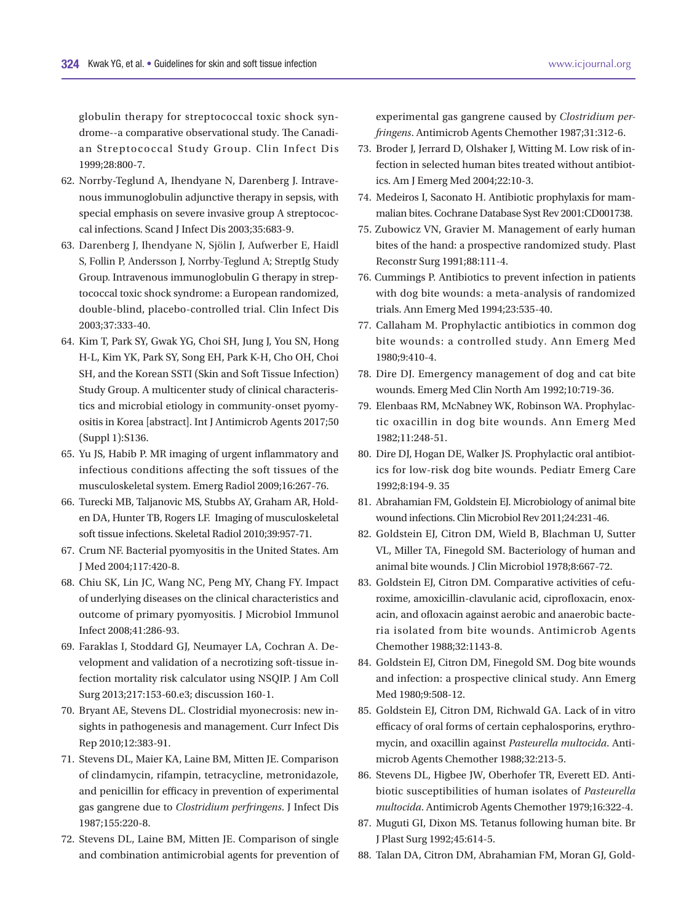globulin therapy for streptococcal toxic shock syndrome--a comparative observational study. The Canadian Streptococcal Study Group. Clin Infect Dis 1999;28:800-7.

- 62. Norrby-Teglund A, Ihendyane N, Darenberg J. Intravenous immunoglobulin adjunctive therapy in sepsis, with special emphasis on severe invasive group A streptococcal infections. Scand J Infect Dis 2003;35:683-9.
- 63. [Darenberg J](https://www.ncbi.nlm.nih.gov/pubmed/?term=Darenberg%20J%5BAuthor%5D&cauthor=true&cauthor_uid=12884156), [Ihendyane N](https://www.ncbi.nlm.nih.gov/pubmed/?term=Ihendyane%20N%5BAuthor%5D&cauthor=true&cauthor_uid=12884156), [Sjölin J,](https://www.ncbi.nlm.nih.gov/pubmed/?term=Sj%C3%B6lin%20J%5BAuthor%5D&cauthor=true&cauthor_uid=12884156) [Aufwerber E](https://www.ncbi.nlm.nih.gov/pubmed/?term=Aufwerber%20E%5BAuthor%5D&cauthor=true&cauthor_uid=12884156), [Haidl](https://www.ncbi.nlm.nih.gov/pubmed/?term=Haidl%20S%5BAuthor%5D&cauthor=true&cauthor_uid=12884156)  [S](https://www.ncbi.nlm.nih.gov/pubmed/?term=Haidl%20S%5BAuthor%5D&cauthor=true&cauthor_uid=12884156), [Follin P](https://www.ncbi.nlm.nih.gov/pubmed/?term=Follin%20P%5BAuthor%5D&cauthor=true&cauthor_uid=12884156), [Andersson J,](https://www.ncbi.nlm.nih.gov/pubmed/?term=Andersson%20J%5BAuthor%5D&cauthor=true&cauthor_uid=12884156) [Norrby-Teglund A;](https://www.ncbi.nlm.nih.gov/pubmed/?term=Norrby-Teglund%20A%5BAuthor%5D&cauthor=true&cauthor_uid=12884156) [StreptIg Study](https://www.ncbi.nlm.nih.gov/pubmed/?term=StreptIg%20Study%20Group%5BCorporate%20Author%5D)  [Group.](https://www.ncbi.nlm.nih.gov/pubmed/?term=StreptIg%20Study%20Group%5BCorporate%20Author%5D) Intravenous immunoglobulin G therapy in streptococcal toxic shock syndrome: a European randomized, double-blind, placebo-controlled trial. Clin Infect Dis 2003;37:333-40.
- 64. Kim T, Park SY, Gwak YG, Choi SH, Jung J, You SN, Hong H-L, Kim YK, Park SY, Song EH, Park K-H, Cho OH, Choi SH, and the Korean SSTI (Skin and Soft Tissue Infection) Study Group. A multicenter study of clinical characteristics and microbial etiology in community-onset pyomyositis in Korea [abstract]. Int J Antimicrob Agents 2017;50 (Suppl 1):S136.
- 65. Yu JS, Habib P. MR imaging of urgent inflammatory and infectious conditions affecting the soft tissues of the musculoskeletal system. Emerg Radiol 2009;16:267-76.
- 66. Turecki MB, Taljanovic MS, Stubbs AY, Graham AR, Holden DA, Hunter TB, Rogers LF. Imaging of musculoskeletal soft tissue infections. Skeletal Radiol 2010;39:957-71.
- 67. Crum NF. Bacterial pyomyositis in the United States. Am J Med 2004;117:420-8.
- 68. Chiu SK, Lin JC, Wang NC, Peng MY, Chang FY. Impact of underlying diseases on the clinical characteristics and outcome of primary pyomyositis. J Microbiol Immunol Infect 2008;41:286-93.
- 69. Faraklas I, Stoddard GJ, Neumayer LA, Cochran A. Development and validation of a necrotizing soft-tissue infection mortality risk calculator using NSQIP. J Am Coll Surg 2013;217:153-60.e3; discussion 160-1.
- 70. Bryant AE, Stevens DL. Clostridial myonecrosis: new insights in pathogenesis and management. Curr Infect Dis Rep 2010;12:383-91.
- 71. Stevens DL, Maier KA, Laine BM, Mitten JE. Comparison of clindamycin, rifampin, tetracycline, metronidazole, and penicillin for efficacy in prevention of experimental gas gangrene due to *Clostridium perfringens*. J Infect Dis 1987;155:220-8.
- 72. Stevens DL, Laine BM, Mitten JE. Comparison of single and combination antimicrobial agents for prevention of

experimental gas gangrene caused by *Clostridium perfringens*. Antimicrob Agents Chemother 1987;31:312-6.

- 73. Broder J, Jerrard D, Olshaker J, Witting M. Low risk of infection in selected human bites treated without antibiotics. Am J Emerg Med 2004;22:10-3.
- 74. Medeiros I, Saconato H. Antibiotic prophylaxis for mammalian bites. Cochrane Database Syst Rev 2001:CD001738.
- 75. Zubowicz VN, Gravier M. Management of early human bites of the hand: a prospective randomized study. Plast Reconstr Surg 1991;88:111-4.
- 76. Cummings P. Antibiotics to prevent infection in patients with dog bite wounds: a meta-analysis of randomized trials. Ann Emerg Med 1994;23:535-40.
- 77. Callaham M. Prophylactic antibiotics in common dog bite wounds: a controlled study. Ann Emerg Med 1980;9:410-4.
- 78. Dire DJ. Emergency management of dog and cat bite wounds. Emerg Med Clin North Am 1992;10:719-36.
- 79. Elenbaas RM, McNabney WK, Robinson WA. Prophylactic oxacillin in dog bite wounds. Ann Emerg Med 1982;11:248-51.
- 80. Dire DJ, Hogan DE, Walker JS. Prophylactic oral antibiotics for low-risk dog bite wounds. Pediatr Emerg Care 1992;8:194-9. 35
- 81. Abrahamian FM, Goldstein EJ. Microbiology of animal bite wound infections. Clin Microbiol Rev 2011;24:231-46.
- 82. Goldstein EJ, Citron DM, Wield B, Blachman U, Sutter VL, Miller TA, Finegold SM. Bacteriology of human and animal bite wounds. J Clin Microbiol 1978;8:667-72.
- 83. Goldstein EJ, Citron DM. Comparative activities of cefuroxime, amoxicillin-clavulanic acid, ciprofloxacin, enoxacin, and ofloxacin against aerobic and anaerobic bacteria isolated from bite wounds. Antimicrob Agents Chemother 1988;32:1143-8.
- 84. Goldstein EJ, Citron DM, Finegold SM. Dog bite wounds and infection: a prospective clinical study. Ann Emerg Med 1980;9:508-12.
- 85. Goldstein EJ, Citron DM, Richwald GA. Lack of in vitro efficacy of oral forms of certain cephalosporins, erythromycin, and oxacillin against *Pasteurella multocida*. Antimicrob Agents Chemother 1988;32:213-5.
- 86. Stevens DL, Higbee JW, Oberhofer TR, Everett ED. Antibiotic susceptibilities of human isolates of *Pasteurella multocida*. Antimicrob Agents Chemother 1979;16:322-4.
- 87. Muguti GI, Dixon MS. Tetanus following human bite. Br J Plast Surg 1992;45:614-5.
- 88. Talan DA, Citron DM, Abrahamian FM, Moran GJ, Gold-